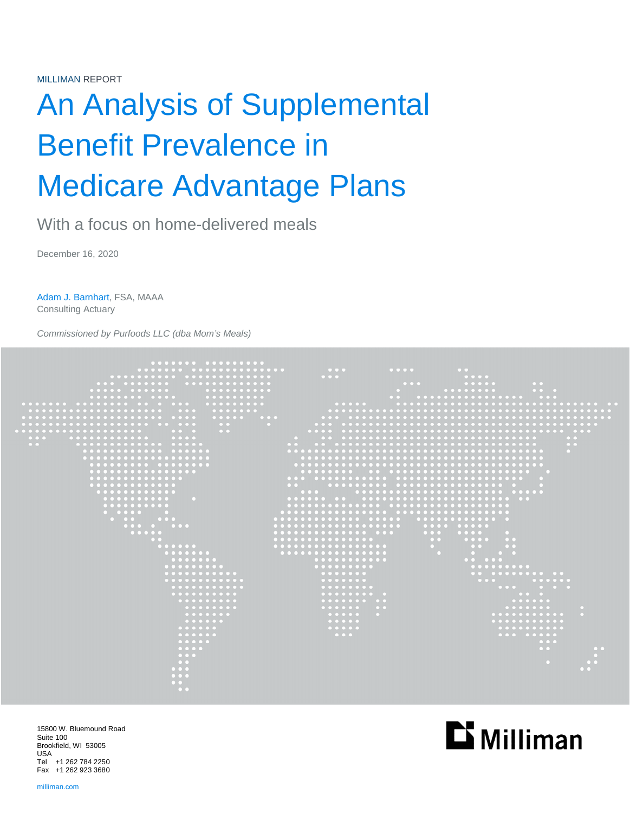# An Analysis of Supplemental Benefit Prevalence in Medicare Advantage Plans

With a focus on home-delivered meals

December 16, 2020

Adam J. Barnhart, FSA, MAAA Consulting Actuary

*Commissioned by Purfoods LLC (dba Mom's Meals)* 



15800 W. Bluemound Road Suite 100 Brookfield, WI 53005 USA Tel +1 262 784 2250 Fax +1 262 923 3680

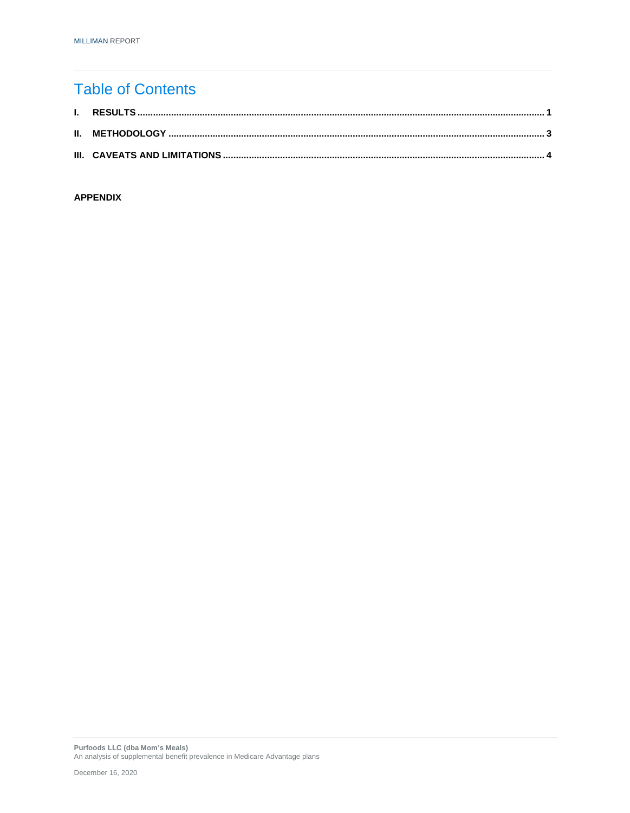# **Table of Contents**

### **APPENDIX**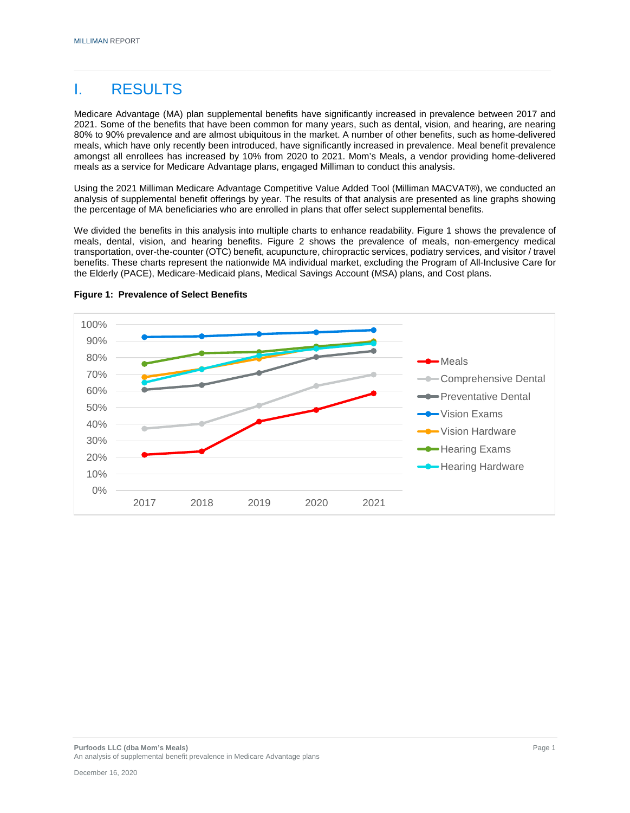# I. RESULTS

Medicare Advantage (MA) plan supplemental benefits have significantly increased in prevalence between 2017 and 2021. Some of the benefits that have been common for many years, such as dental, vision, and hearing, are nearing 80% to 90% prevalence and are almost ubiquitous in the market. A number of other benefits, such as home-delivered meals, which have only recently been introduced, have significantly increased in prevalence. Meal benefit prevalence amongst all enrollees has increased by 10% from 2020 to 2021. Mom's Meals, a vendor providing home-delivered meals as a service for Medicare Advantage plans, engaged Milliman to conduct this analysis.

Using the 2021 Milliman Medicare Advantage Competitive Value Added Tool (Milliman MACVAT®), we conducted an analysis of supplemental benefit offerings by year. The results of that analysis are presented as line graphs showing the percentage of MA beneficiaries who are enrolled in plans that offer select supplemental benefits.

We divided the benefits in this analysis into multiple charts to enhance readability. Figure 1 shows the prevalence of meals, dental, vision, and hearing benefits. Figure 2 shows the prevalence of meals, non-emergency medical transportation, over-the-counter (OTC) benefit, acupuncture, chiropractic services, podiatry services, and visitor / travel benefits. These charts represent the nationwide MA individual market, excluding the Program of All-Inclusive Care for the Elderly (PACE), Medicare-Medicaid plans, Medical Savings Account (MSA) plans, and Cost plans.



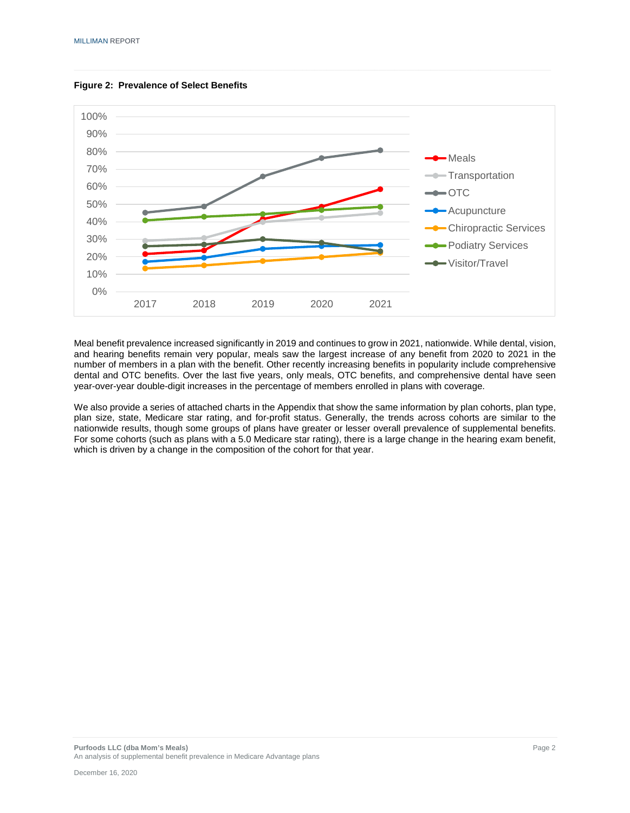



Meal benefit prevalence increased significantly in 2019 and continues to grow in 2021, nationwide. While dental, vision, and hearing benefits remain very popular, meals saw the largest increase of any benefit from 2020 to 2021 in the number of members in a plan with the benefit. Other recently increasing benefits in popularity include comprehensive dental and OTC benefits. Over the last five years, only meals, OTC benefits, and comprehensive dental have seen year-over-year double-digit increases in the percentage of members enrolled in plans with coverage.

We also provide a series of attached charts in the Appendix that show the same information by plan cohorts, plan type, plan size, state, Medicare star rating, and for-profit status. Generally, the trends across cohorts are similar to the nationwide results, though some groups of plans have greater or lesser overall prevalence of supplemental benefits. For some cohorts (such as plans with a 5.0 Medicare star rating), there is a large change in the hearing exam benefit, which is driven by a change in the composition of the cohort for that year.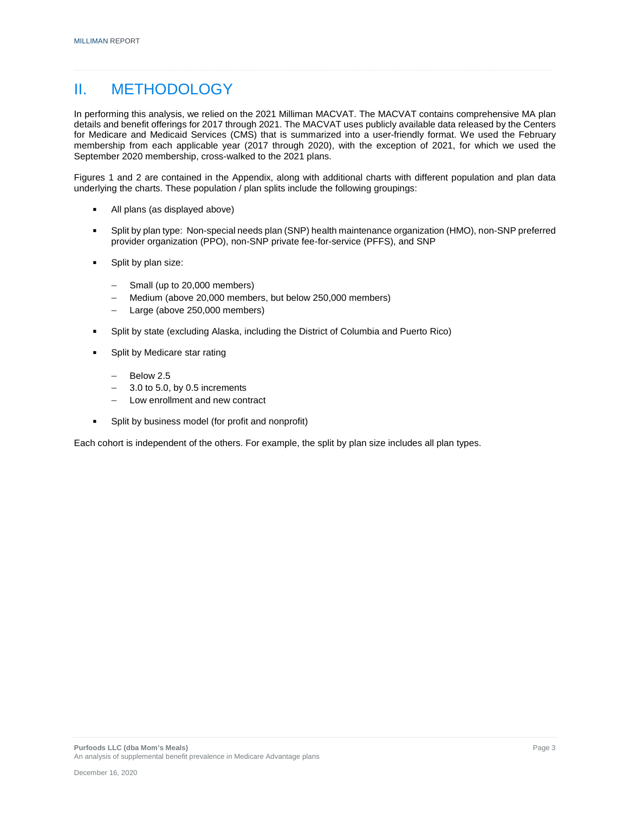# II. METHODOLOGY

In performing this analysis, we relied on the 2021 Milliman MACVAT. The MACVAT contains comprehensive MA plan details and benefit offerings for 2017 through 2021. The MACVAT uses publicly available data released by the Centers for Medicare and Medicaid Services (CMS) that is summarized into a user-friendly format. We used the February membership from each applicable year (2017 through 2020), with the exception of 2021, for which we used the September 2020 membership, cross-walked to the 2021 plans.

Figures 1 and 2 are contained in the Appendix, along with additional charts with different population and plan data underlying the charts. These population / plan splits include the following groupings:

- All plans (as displayed above)
- Split by plan type: Non-special needs plan (SNP) health maintenance organization (HMO), non-SNP preferred provider organization (PPO), non-SNP private fee-for-service (PFFS), and SNP
- **Split by plan size:** 
	- Small (up to 20,000 members)
	- Medium (above 20,000 members, but below 250,000 members)
	- Large (above 250,000 members)
- Split by state (excluding Alaska, including the District of Columbia and Puerto Rico)
- Split by Medicare star rating
	- $-$  Below 2.5
	- $-$  3.0 to 5.0, by 0.5 increments
	- Low enrollment and new contract
- Split by business model (for profit and nonprofit)

Each cohort is independent of the others. For example, the split by plan size includes all plan types.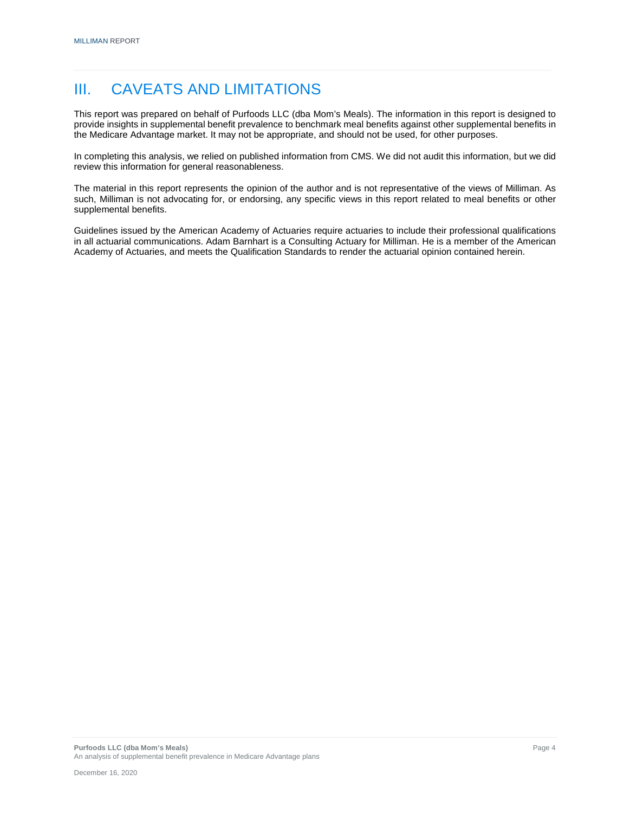# III. CAVEATS AND LIMITATIONS

This report was prepared on behalf of Purfoods LLC (dba Mom's Meals). The information in this report is designed to provide insights in supplemental benefit prevalence to benchmark meal benefits against other supplemental benefits in the Medicare Advantage market. It may not be appropriate, and should not be used, for other purposes.

In completing this analysis, we relied on published information from CMS. We did not audit this information, but we did review this information for general reasonableness.

The material in this report represents the opinion of the author and is not representative of the views of Milliman. As such, Milliman is not advocating for, or endorsing, any specific views in this report related to meal benefits or other supplemental benefits.

Guidelines issued by the American Academy of Actuaries require actuaries to include their professional qualifications in all actuarial communications. Adam Barnhart is a Consulting Actuary for Milliman. He is a member of the American Academy of Actuaries, and meets the Qualification Standards to render the actuarial opinion contained herein.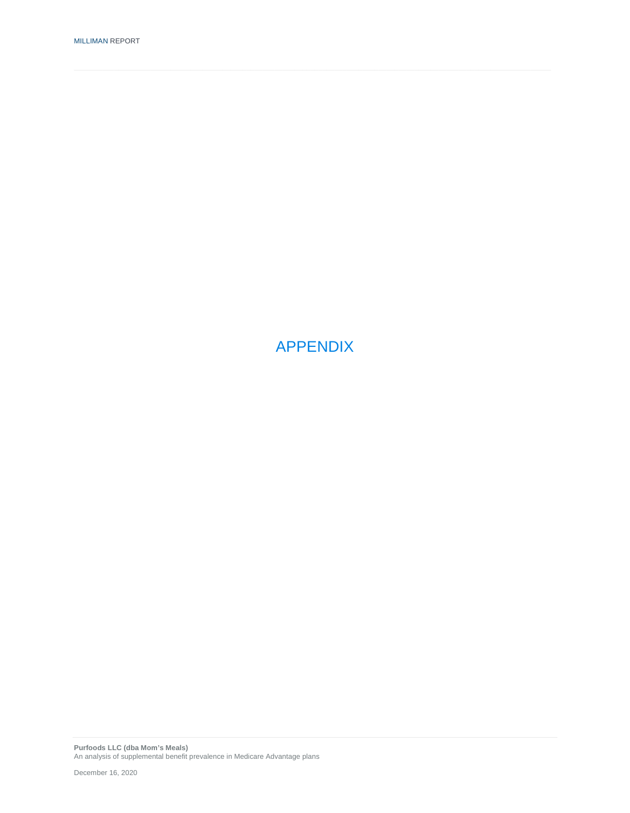APPENDIX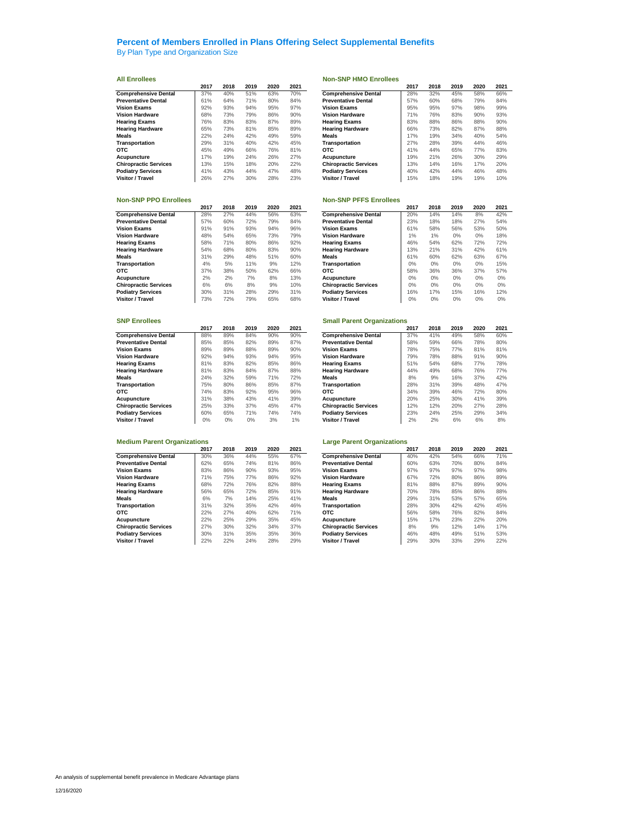By Plan Type and Organization Size

|                              | 2017 | 2018 | 2019 | 2020 | 2021 |                              | 2017 | 2018 | 2019 | 2020 | 2021 |
|------------------------------|------|------|------|------|------|------------------------------|------|------|------|------|------|
| <b>Comprehensive Dental</b>  | 37%  | 40%  | 51%  | 63%  | 70%  | <b>Comprehensive Dental</b>  | 28%  | 32%  | 45%  | 58%  | 66%  |
| <b>Preventative Dental</b>   | 61%  | 64%  | 71%  | 80%  | 84%  | <b>Preventative Dental</b>   | 57%  | 60%  | 68%  | 79%  | 84%  |
| <b>Vision Exams</b>          | 92%  | 93%  | 94%  | 95%  | 97%  | <b>Vision Exams</b>          | 95%  | 95%  | 97%  | 98%  | 99%  |
| <b>Vision Hardware</b>       | 68%  | 73%  | 79%  | 86%  | 90%  | <b>Vision Hardware</b>       | 71%  | 76%  | 83%  | 90%  | 93%  |
| <b>Hearing Exams</b>         | 76%  | 83%  | 83%  | 87%  | 89%  | <b>Hearing Exams</b>         | 83%  | 88%  | 86%  | 88%  | 90%  |
| <b>Hearing Hardware</b>      | 65%  | 73%  | 81%  | 85%  | 89%  | <b>Hearing Hardware</b>      | 66%  | 73%  | 82%  | 87%  | 88%  |
| Meals                        | 22%  | 24%  | 42%  | 49%  | 59%  | <b>Meals</b>                 | 17%  | 19%  | 34%  | 40%  | 54%  |
| Transportation               | 29%  | 31%  | 40%  | 42%  | 45%  | Transportation               | 27%  | 28%  | 39%  | 44%  | 46%  |
| <b>OTC</b>                   | 45%  | 49%  | 66%  | 76%  | 81%  | <b>OTC</b>                   | 41%  | 44%  | 65%  | 77%  | 83%  |
| Acupuncture                  | 7%   | 19%  | 24%  | 26%  | 27%  | Acupuncture                  | 19%  | 21%  | 26%  | 30%  | 29%  |
| <b>Chiropractic Services</b> | 13%  | 15%  | 18%  | 20%  | 22%  | <b>Chiropractic Services</b> | 13%  | 14%  | 16%  | 17%  | 20%  |
| <b>Podiatry Services</b>     | 41%  | 43%  | 44%  | 47%  | 48%  | <b>Podiatry Services</b>     | 40%  | 42%  | 44%  | 46%  | 48%  |
| Visitor / Travel             | 26%  | 27%  | 30%  | 28%  | 23%  | Visitor / Travel             | 15%  | 18%  | 19%  | 19%  | 10%  |

|                              | 2017 | 2018 | 2019 | 2020 | 2021 |                              | 2017 | 2018  | 2019  | 2020  | 2021  |
|------------------------------|------|------|------|------|------|------------------------------|------|-------|-------|-------|-------|
| <b>Comprehensive Dental</b>  | 28%  | 27%  | 44%  | 56%  | 63%  | <b>Comprehensive Dental</b>  | 20%  | 14%   | 14%   | 8%    | 42%   |
| <b>Preventative Dental</b>   | 57%  | 60%  | 72%  | 79%  | 84%  | <b>Preventative Dental</b>   | 23%  | 18%   | 18%   | 27%   | 54%   |
| <b>Vision Exams</b>          | 91%  | 91%  | 93%  | 94%  | 96%  | <b>Vision Exams</b>          | 61%  | 58%   | 56%   | 53%   | 50%   |
| <b>Vision Hardware</b>       | 48%  | 54%  | 65%  | 73%  | 79%  | <b>Vision Hardware</b>       | 1%   | 1%    | $0\%$ | $0\%$ | 18%   |
| <b>Hearing Exams</b>         | 58%  | 71%  | 80%  | 86%  | 92%  | <b>Hearing Exams</b>         | 46%  | 54%   | 62%   | 72%   | 72%   |
| <b>Hearing Hardware</b>      | 54%  | 68%  | 80%  | 83%  | 90%  | <b>Hearing Hardware</b>      | 13%  | 21%   | 31%   | 42%   | 61%   |
| Meals                        | 31%  | 29%  | 48%  | 51%  | 60%  | <b>Meals</b>                 | 61%  | 60%   | 62%   | 63%   | 67%   |
| Transportation               | 4%   | 5%   | 11%  | 9%   | 12%  | Transportation               | 0%   | $0\%$ | $0\%$ | $0\%$ | 15%   |
| <b>OTC</b>                   | 37%  | 38%  | 50%  | 62%  | 66%  | <b>OTC</b>                   | 58%  | 36%   | 36%   | 37%   | 57%   |
| Acupuncture                  | 2%   | 2%   | 7%   | 8%   | 13%  | Acupuncture                  | 0%   | 0%    | $0\%$ | $0\%$ | 0%    |
| <b>Chiropractic Services</b> | 6%   | 6%   | 8%   | 9%   | 10%  | <b>Chiropractic Services</b> | 0%   | $0\%$ | $0\%$ | $0\%$ | 0%    |
| <b>Podiatry Services</b>     | 30%  | 31%  | 28%  | 29%  | 31%  | <b>Podiatry Services</b>     | 16%  | 17%   | 15%   | 16%   | 12%   |
| Visitor / Travel             | 73%  | 72%  | 79%  | 65%  | 68%  | <b>Visitor / Travel</b>      | 0%   | 0%    | $0\%$ | $0\%$ | $0\%$ |

|                              | 2017 | 2018 | 2019  | 2020 | 2021 |                              | 2017 | 2018 | 2019 | 2020 | 2021 |
|------------------------------|------|------|-------|------|------|------------------------------|------|------|------|------|------|
| <b>Comprehensive Dental</b>  | 88%  | 89%  | 84%   | 90%  | 90%  | <b>Comprehensive Dental</b>  | 37%  | 41%  | 49%  | 58%  | 60%  |
| <b>Preventative Dental</b>   | 85%  | 85%  | 82%   | 89%  | 87%  | <b>Preventative Dental</b>   | 58%  | 59%  | 66%  | 78%  | 80%  |
| <b>Vision Exams</b>          | 89%  | 89%  | 88%   | 89%  | 90%  | <b>Vision Exams</b>          | 78%  | 75%  | 77%  | 81%  | 81%  |
| <b>Vision Hardware</b>       | 92%  | 94%  | 93%   | 94%  | 95%  | <b>Vision Hardware</b>       | 79%  | 78%  | 88%  | 91%  | 90%  |
| <b>Hearing Exams</b>         | 81%  | 83%  | 82%   | 85%  | 86%  | <b>Hearing Exams</b>         | 51%  | 54%  | 68%  | 77%  | 78%  |
| <b>Hearing Hardware</b>      | 81%  | 83%  | 84%   | 87%  | 88%  | <b>Hearing Hardware</b>      | 44%  | 49%  | 68%  | 76%  | 77%  |
| Meals                        | 24%  | 32%  | 59%   | 71%  | 72%  | Meals                        | 8%   | 9%   | 16%  | 37%  | 42%  |
| Transportation               | 75%  | 80%  | 86%   | 85%  | 87%  | Transportation               | 28%  | 31%  | 39%  | 48%  | 47%  |
| отс                          | 74%  | 83%  | 92%   | 95%  | 96%  | <b>OTC</b>                   | 34%  | 39%  | 46%  | 72%  | 80%  |
| Acupuncture                  | 31%  | 38%  | 43%   | 41%  | 39%  | Acupuncture                  | 20%  | 25%  | 30%  | 41%  | 39%  |
| <b>Chiropractic Services</b> | 25%  | 33%  | 37%   | 45%  | 47%  | <b>Chiropractic Services</b> | 12%  | 12%  | 20%  | 27%  | 28%  |
| <b>Podiatry Services</b>     | 60%  | 65%  | 71%   | 74%  | 74%  | <b>Podiatry Services</b>     | 23%  | 24%  | 25%  | 29%  | 34%  |
| Visitor / Travel             | 0%   | 0%   | $0\%$ | 3%   | 1%   | Visitor / Travel             | 2%   | 2%   | 6%   | 6%   | 8%   |

### **Medium Parent Organizations Large Parent Organizations**

|                              | 2017 | 2018 | 2019 | 2020 | 2021 |                              | 2017 | 2018 | 2019 | 2020 | 2021 |
|------------------------------|------|------|------|------|------|------------------------------|------|------|------|------|------|
| <b>Comprehensive Dental</b>  | 30%  | 36%  | 44%  | 55%  | 67%  | <b>Comprehensive Dental</b>  | 40%  | 42%  | 54%  | 66%  | 71%  |
| <b>Preventative Dental</b>   | 62%  | 65%  | 74%  | 81%  | 86%  | <b>Preventative Dental</b>   | 60%  | 63%  | 70%  | 80%  | 84%  |
| <b>Vision Exams</b>          | 83%  | 86%  | 90%  | 93%  | 95%  | <b>Vision Exams</b>          | 97%  | 97%  | 97%  | 97%  | 98%  |
| <b>Vision Hardware</b>       | 71%  | 75%  | 77%  | 86%  | 92%  | <b>Vision Hardware</b>       | 67%  | 72%  | 80%  | 86%  | 89%  |
| <b>Hearing Exams</b>         | 68%  | 72%  | 76%  | 82%  | 88%  | <b>Hearing Exams</b>         | 81%  | 88%  | 87%  | 89%  | 90%  |
| <b>Hearing Hardware</b>      | 56%  | 65%  | 72%  | 85%  | 91%  | <b>Hearing Hardware</b>      | 70%  | 78%  | 85%  | 86%  | 88%  |
| <b>Meals</b>                 | 6%   | 7%   | 14%  | 25%  | 41%  | Meals                        | 29%  | 31%  | 53%  | 57%  | 65%  |
| Transportation               | 31%  | 32%  | 35%  | 42%  | 46%  | Transportation               | 28%  | 30%  | 42%  | 42%  | 45%  |
| <b>OTC</b>                   | 22%  | 27%  | 40%  | 62%  | 71%  | <b>OTC</b>                   | 56%  | 58%  | 76%  | 82%  | 84%  |
| Acupuncture                  | 22%  | 25%  | 29%  | 35%  | 45%  | Acupuncture                  | 15%  | 17%  | 23%  | 22%  | 20%  |
| <b>Chiropractic Services</b> | 27%  | 30%  | 32%  | 34%  | 37%  | <b>Chiropractic Services</b> | 8%   | 9%   | 12%  | 14%  | 17%  |
| <b>Podiatry Services</b>     | 30%  | 31%  | 35%  | 35%  | 36%  | <b>Podiatry Services</b>     | 46%  | 48%  | 49%  | 51%  | 53%  |
| Visitor / Travel             | 22%  | 22%  | 24%  | 28%  | 29%  | Visitor / Travel             | 29%  | 30%  | 33%  | 29%  | 22%  |

### **All Enrollees Non-SNP HMO Enrollees**

| 2017 | 2018 | 2019 | 2020 | 2021 |                              | 2017 | 2018 | 2019 | 2020 | 2021 |
|------|------|------|------|------|------------------------------|------|------|------|------|------|
| 37%  | 40%  | 51%  | 63%  | 70%  | <b>Comprehensive Dental</b>  | 28%  | 32%  | 45%  | 58%  | 66%  |
| 61%  | 64%  | 71%  | 80%  | 84%  | <b>Preventative Dental</b>   | 57%  | 60%  | 68%  | 79%  | 84%  |
| 92%  | 93%  | 94%  | 95%  | 97%  | <b>Vision Exams</b>          | 95%  | 95%  | 97%  | 98%  | 99%  |
| 68%  | 73%  | 79%  | 86%  | 90%  | <b>Vision Hardware</b>       | 71%  | 76%  | 83%  | 90%  | 93%  |
| 76%  | 83%  | 83%  | 87%  | 89%  | <b>Hearing Exams</b>         | 83%  | 88%  | 86%  | 88%  | 90%  |
| 65%  | 73%  | 81%  | 85%  | 89%  | <b>Hearing Hardware</b>      | 66%  | 73%  | 82%  | 87%  | 88%  |
| 22%  | 24%  | 42%  | 49%  | 59%  | Meals                        | 17%  | 19%  | 34%  | 40%  | 54%  |
| 29%  | 31%  | 40%  | 42%  | 45%  | Transportation               | 27%  | 28%  | 39%  | 44%  | 46%  |
| 45%  | 49%  | 66%  | 76%  | 81%  | <b>OTC</b>                   | 41%  | 44%  | 65%  | 77%  | 83%  |
| 17%  | 19%  | 24%  | 26%  | 27%  | Acupuncture                  | 19%  | 21%  | 26%  | 30%  | 29%  |
| 13%  | 15%  | 18%  | 20%  | 22%  | <b>Chiropractic Services</b> | 13%  | 14%  | 16%  | 17%  | 20%  |
| 41%  | 43%  | 44%  | 47%  | 48%  | <b>Podiatry Services</b>     | 40%  | 42%  | 44%  | 46%  | 48%  |
| 26%  | 27%  | 30%  | 28%  | 23%  | Visitor / Travel             | 15%  | 18%  | 19%  | 19%  | 10%  |

### **Non-SNP PPO Enrollees Non-SNP PFFS Enrollees**

| 2018 | 2019 | 2020 | 2021 |                              | 2017  | 2018 | 2019  | 2020  | 2021  |
|------|------|------|------|------------------------------|-------|------|-------|-------|-------|
| 27%  | 44%  | 56%  | 63%  | <b>Comprehensive Dental</b>  | 20%   | 14%  | 14%   | 8%    | 42%   |
| 60%  | 72%  | 79%  | 84%  | <b>Preventative Dental</b>   | 23%   | 18%  | 18%   | 27%   | 54%   |
| 91%  | 93%  | 94%  | 96%  | <b>Vision Exams</b>          | 61%   | 58%  | 56%   | 53%   | 50%   |
| 54%  | 65%  | 73%  | 79%  | <b>Vision Hardware</b>       | 1%    | 1%   | $0\%$ | $0\%$ | 18%   |
| 71%  | 80%  | 86%  | 92%  | <b>Hearing Exams</b>         | 46%   | 54%  | 62%   | 72%   | 72%   |
| 68%  | 80%  | 83%  | 90%  | <b>Hearing Hardware</b>      | 13%   | 21%  | 31%   | 42%   | 61%   |
| 29%  | 48%  | 51%  | 60%  | <b>Meals</b>                 | 61%   | 60%  | 62%   | 63%   | 67%   |
| 5%   | 11%  | 9%   | 12%  | Transportation               | $0\%$ | 0%   | $0\%$ | $0\%$ | 15%   |
| 38%  | 50%  | 62%  | 66%  | <b>OTC</b>                   | 58%   | 36%  | 36%   | 37%   | 57%   |
| 2%   | 7%   | 8%   | 13%  | Acupuncture                  | 0%    | 0%   | $0\%$ | $0\%$ | $0\%$ |
| 6%   | 8%   | 9%   | 10%  | <b>Chiropractic Services</b> | $0\%$ | 0%   | $0\%$ | $0\%$ | 0%    |
| 31%  | 28%  | 29%  | 31%  | <b>Podiatry Services</b>     | 16%   | 17%  | 15%   | 16%   | 12%   |
| 72%  | 79%  | 65%  | 68%  | Visitor / Travel             | 0%    | 0%   | 0%    | $0\%$ | 0%    |
|      |      |      |      |                              |       |      |       |       |       |

### **SNP Enrollees SMP** Enrollees

| 2017  | 2018 | 2019 | 2020 | 2021 |                              | 2017 | 2018 | 2019 | 2020 | 2021 |
|-------|------|------|------|------|------------------------------|------|------|------|------|------|
| 88%   | 89%  | 84%  | 90%  | 90%  | <b>Comprehensive Dental</b>  | 37%  | 41%  | 49%  | 58%  | 60%  |
| 85%   | 85%  | 82%  | 89%  | 87%  | <b>Preventative Dental</b>   | 58%  | 59%  | 66%  | 78%  | 80%  |
| 89%   | 89%  | 88%  | 89%  | 90%  | <b>Vision Exams</b>          | 78%  | 75%  | 77%  | 81%  | 81%  |
| 92%   | 94%  | 93%  | 94%  | 95%  | <b>Vision Hardware</b>       | 79%  | 78%  | 88%  | 91%  | 90%  |
| 81%   | 83%  | 82%  | 85%  | 86%  | <b>Hearing Exams</b>         | 51%  | 54%  | 68%  | 77%  | 78%  |
| 81%   | 83%  | 84%  | 87%  | 88%  | <b>Hearing Hardware</b>      | 44%  | 49%  | 68%  | 76%  | 77%  |
| 24%   | 32%  | 59%  | 71%  | 72%  | Meals                        | 8%   | 9%   | 16%  | 37%  | 42%  |
| 75%   | 80%  | 86%  | 85%  | 87%  | Transportation               | 28%  | 31%  | 39%  | 48%  | 47%  |
| 74%   | 83%  | 92%  | 95%  | 96%  | <b>OTC</b>                   | 34%  | 39%  | 46%  | 72%  | 80%  |
| 31%   | 38%  | 43%  | 41%  | 39%  | Acupuncture                  | 20%  | 25%  | 30%  | 41%  | 39%  |
| 25%   | 33%  | 37%  | 45%  | 47%  | <b>Chiropractic Services</b> | 12%  | 12%  | 20%  | 27%  | 28%  |
| 60%   | 65%  | 71%  | 74%  | 74%  | <b>Podiatry Services</b>     | 23%  | 24%  | 25%  | 29%  | 34%  |
| $0\%$ | 0%   | 0%   | 3%   | 1%   | Visitor / Travel             | 2%   | 2%   | 6%   | 6%   | 8%   |

| 2017 | 2018 | 2019 | 2020 | 2021 |                              | 2017 | 2018 | 2019 | 2020 | 2021 |
|------|------|------|------|------|------------------------------|------|------|------|------|------|
|      |      |      |      |      |                              |      |      |      |      |      |
| 30%  | 36%  | 44%  | 55%  | 67%  | <b>Comprehensive Dental</b>  | 40%  | 42%  | 54%  | 66%  | 71%  |
| 62%  | 65%  | 74%  | 81%  | 86%  | <b>Preventative Dental</b>   | 60%  | 63%  | 70%  | 80%  | 84%  |
| 83%  | 86%  | 90%  | 93%  | 95%  | <b>Vision Exams</b>          | 97%  | 97%  | 97%  | 97%  | 98%  |
| 71%  | 75%  | 77%  | 86%  | 92%  | <b>Vision Hardware</b>       | 67%  | 72%  | 80%  | 86%  | 89%  |
| 68%  | 72%  | 76%  | 82%  | 88%  | <b>Hearing Exams</b>         | 81%  | 88%  | 87%  | 89%  | 90%  |
| 56%  | 65%  | 72%  | 85%  | 91%  | <b>Hearing Hardware</b>      | 70%  | 78%  | 85%  | 86%  | 88%  |
| 6%   | 7%   | 14%  | 25%  | 41%  | Meals                        | 29%  | 31%  | 53%  | 57%  | 65%  |
| 31%  | 32%  | 35%  | 42%  | 46%  | Transportation               | 28%  | 30%  | 42%  | 42%  | 45%  |
| 22%  | 27%  | 40%  | 62%  | 71%  | отс                          | 56%  | 58%  | 76%  | 82%  | 84%  |
| 22%  | 25%  | 29%  | 35%  | 45%  | Acupuncture                  | 15%  | 17%  | 23%  | 22%  | 20%  |
| 27%  | 30%  | 32%  | 34%  | 37%  | <b>Chiropractic Services</b> | 8%   | 9%   | 12%  | 14%  | 17%  |
| 30%  | 31%  | 35%  | 35%  | 36%  | <b>Podiatry Services</b>     | 46%  | 48%  | 49%  | 51%  | 53%  |
| 22%  | 22%  | 24%  | 28%  | 29%  | Visitor / Travel             | 29%  | 30%  | 33%  | 29%  | 22%  |
|      |      |      |      |      |                              |      |      |      |      |      |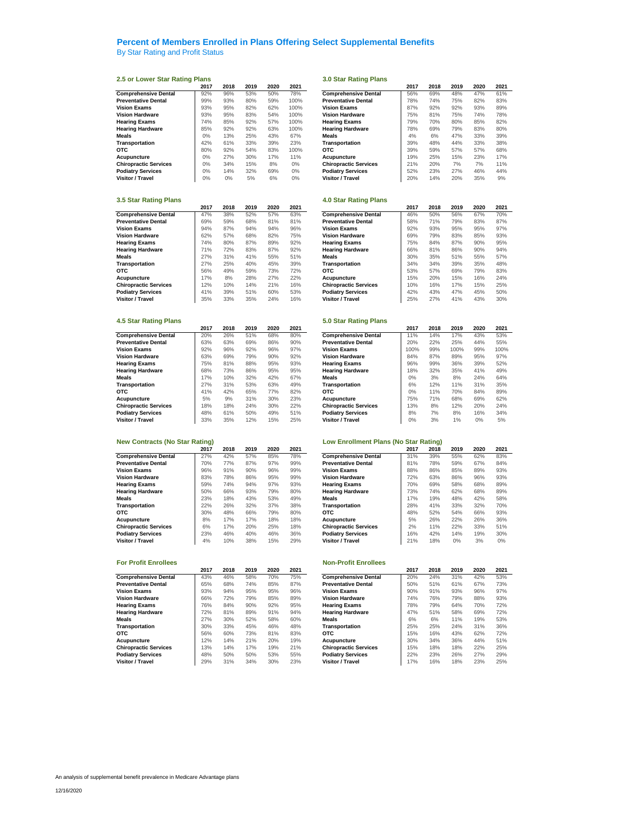### **Percent of Members Enrolled in Plans Offering Select Supplemental Benefits** By Star Rating and Profit Status

### **2.5 or Lower Star Rating Plans 3.0 Star Rating Plans**

|                              | 2017 | 2018 | 2019 | 2020 | 2021  |                              | 2017 | 2018 | 2019 | 2020 | 2021 |
|------------------------------|------|------|------|------|-------|------------------------------|------|------|------|------|------|
| <b>Comprehensive Dental</b>  | 92%  | 96%  | 53%  | 50%  | 78%   | <b>Comprehensive Dental</b>  | 56%  | 69%  | 48%  | 47%  | 61%  |
| <b>Preventative Dental</b>   | 99%  | 93%  | 80%  | 59%  | 100%  | <b>Preventative Dental</b>   | 78%  | 74%  | 75%  | 82%  | 83%  |
| <b>Vision Exams</b>          | 93%  | 95%  | 82%  | 62%  | 100%  | <b>Vision Exams</b>          | 87%  | 92%  | 92%  | 93%  | 89%  |
| <b>Vision Hardware</b>       | 93%  | 95%  | 83%  | 54%  | 100%  | <b>Vision Hardware</b>       | 75%  | 81%  | 75%  | 74%  | 78%  |
| <b>Hearing Exams</b>         | 74%  | 85%  | 92%  | 57%  | 100%  | <b>Hearing Exams</b>         | 79%  | 70%  | 80%  | 85%  | 82%  |
| <b>Hearing Hardware</b>      | 85%  | 92%  | 92%  | 63%  | 100%  | <b>Hearing Hardware</b>      | 78%  | 69%  | 79%  | 83%  | 80%  |
| Meals                        | 0%   | 13%  | 25%  | 43%  | 67%   | <b>Meals</b>                 | 4%   | 6%   | 47%  | 33%  | 39%  |
| <b>Transportation</b>        | 42%  | 61%  | 33%  | 39%  | 23%   | Transportation               | 39%  | 48%  | 44%  | 33%  | 38%  |
| <b>OTC</b>                   | 80%  | 92%  | 54%  | 83%  | 100%  | <b>OTC</b>                   | 39%  | 59%  | 57%  | 57%  | 68%  |
| Acupuncture                  | 0%   | 27%  | 30%  | 17%  | 11%   | Acupuncture                  | 19%  | 25%  | 15%  | 23%  | 17%  |
| <b>Chiropractic Services</b> | 0%   | 34%  | 15%  | 8%   | $0\%$ | <b>Chiropractic Services</b> | 21%  | 20%  | 7%   | 7%   | 11%  |
| <b>Podiatry Services</b>     | 0%   | 14%  | 32%  | 69%  | $0\%$ | <b>Podiatry Services</b>     | 52%  | 23%  | 27%  | 46%  | 44%  |
| Visitor / Travel             | 0%   | 0%   | 5%   | 6%   | 0%    | Visitor / Travel             | 20%  | 14%  | 20%  | 35%  | 9%   |

| 5.5 Star Kating Plans        |      |      |      |      |      | 4.0 Star Rating Plans        |      |      |      |      |      |
|------------------------------|------|------|------|------|------|------------------------------|------|------|------|------|------|
|                              | 2017 | 2018 | 2019 | 2020 | 2021 |                              | 2017 | 2018 | 2019 | 2020 | 2021 |
| <b>Comprehensive Dental</b>  | 47%  | 38%  | 52%  | 57%  | 63%  | <b>Comprehensive Dental</b>  | 46%  | 50%  | 56%  | 67%  | 70%  |
| <b>Preventative Dental</b>   | 69%  | 59%  | 68%  | 81%  | 81%  | <b>Preventative Dental</b>   | 58%  | 71%  | 79%  | 83%  | 87%  |
| <b>Vision Exams</b>          | 94%  | 87%  | 94%  | 94%  | 96%  | <b>Vision Exams</b>          | 92%  | 93%  | 95%  | 95%  | 97%  |
| <b>Vision Hardware</b>       | 62%  | 57%  | 68%  | 82%  | 75%  | <b>Vision Hardware</b>       | 69%  | 79%  | 83%  | 85%  | 93%  |
| <b>Hearing Exams</b>         | 74%  | 80%  | 87%  | 89%  | 92%  | <b>Hearing Exams</b>         | 75%  | 84%  | 87%  | 90%  | 95%  |
| <b>Hearing Hardware</b>      | 71%  | 72%  | 83%  | 87%  | 92%  | <b>Hearing Hardware</b>      | 66%  | 81%  | 86%  | 90%  | 94%  |
| <b>Meals</b>                 | 27%  | 31%  | 41%  | 55%  | 51%  | <b>Meals</b>                 | 30%  | 35%  | 51%  | 55%  | 57%  |
| Transportation               | 27%  | 25%  | 40%  | 45%  | 39%  | Transportation               | 34%  | 34%  | 39%  | 35%  | 48%  |
| <b>OTC</b>                   | 56%  | 49%  | 59%  | 73%  | 72%  | <b>OTC</b>                   | 53%  | 57%  | 69%  | 79%  | 83%  |
| Acupuncture                  | 17%  | 8%   | 28%  | 27%  | 22%  | Acupuncture                  | 15%  | 20%  | 15%  | 16%  | 24%  |
| <b>Chiropractic Services</b> | 2%   | 10%  | 14%  | 21%  | 16%  | <b>Chiropractic Services</b> | 10%  | 16%  | 17%  | 15%  | 25%  |
| <b>Podiatry Services</b>     | 41%  | 39%  | 51%  | 60%  | 53%  | <b>Podiatry Services</b>     | 42%  | 43%  | 47%  | 45%  | 50%  |
| Visitor / Travel             | 35%  | 33%  | 35%  | 24%  | 16%  | Visitor / Travel             | 25%  | 27%  | 41%  | 43%  | 30%  |

|                              | 2017 | 2018 | 2019 | 2020 | 2021 |                              | 2017 | 2018 | 2019 | 2020 | 2021 |
|------------------------------|------|------|------|------|------|------------------------------|------|------|------|------|------|
| <b>Comprehensive Dental</b>  | 20%  | 26%  | 51%  | 68%  | 80%  | <b>Comprehensive Dental</b>  | 11%  | 14%  | 17%  | 43%  | 53%  |
| <b>Preventative Dental</b>   | 63%  | 63%  | 69%  | 86%  | 90%  | <b>Preventative Dental</b>   | 20%  | 22%  | 25%  | 44%  | 55%  |
| <b>Vision Exams</b>          | 92%  | 96%  | 92%  | 96%  | 97%  | <b>Vision Exams</b>          | 100% | 99%  | 100% | 99%  | 100% |
| <b>Vision Hardware</b>       | 63%  | 69%  | 79%  | 90%  | 92%  | <b>Vision Hardware</b>       | 84%  | 87%  | 89%  | 95%  | 97%  |
| <b>Hearing Exams</b>         | 75%  | 81%  | 88%  | 95%  | 93%  | <b>Hearing Exams</b>         | 96%  | 99%  | 36%  | 39%  | 52%  |
| <b>Hearing Hardware</b>      | 68%  | 73%  | 86%  | 95%  | 95%  | <b>Hearing Hardware</b>      | 18%  | 32%  | 35%  | 41%  | 49%  |
| Meals                        | 17%  | 10%  | 32%  | 42%  | 67%  | <b>Meals</b>                 | 0%   | 3%   | 8%   | 24%  | 64%  |
| Transportation               | 27%  | 31%  | 53%  | 63%  | 49%  | Transportation               | 6%   | 12%  | 11%  | 31%  | 35%  |
| отс                          | 41%  | 42%  | 65%  | 77%  | 82%  | <b>OTC</b>                   | 0%   | 11%  | 70%  | 84%  | 89%  |
| Acupuncture                  | 5%   | 9%   | 31%  | 30%  | 23%  | Acupuncture                  | 75%  | 71%  | 68%  | 69%  | 62%  |
| <b>Chiropractic Services</b> | 18%  | 18%  | 24%  | 30%  | 22%  | <b>Chiropractic Services</b> | 13%  | 8%   | 12%  | 20%  | 24%  |
| <b>Podiatry Services</b>     | 48%  | 61%  | 50%  | 49%  | 51%  | <b>Podiatry Services</b>     | 8%   | 7%   | 8%   | 16%  | 34%  |
| Visitor / Travel             | 33%  | 35%  | 12%  | 15%  | 25%  | Visitor / Travel             | 0%   | 3%   | 1%   | 0%   | 5%   |

| New Contracts (NO Star Kathly) |      |      |      |      |      | Low Enforment Plans (No Star Rating) |      |      |      |      |      |
|--------------------------------|------|------|------|------|------|--------------------------------------|------|------|------|------|------|
|                                | 2017 | 2018 | 2019 | 2020 | 2021 |                                      | 2017 | 2018 | 2019 | 2020 | 2021 |
| <b>Comprehensive Dental</b>    | 27%  | 42%  | 57%  | 85%  | 78%  | <b>Comprehensive Dental</b>          | 31%  | 39%  | 55%  | 62%  | 83%  |
| <b>Preventative Dental</b>     | 70%  | 77%  | 87%  | 97%  | 99%  | <b>Preventative Dental</b>           | 81%  | 78%  | 59%  | 67%  | 84%  |
| <b>Vision Exams</b>            | 96%  | 91%  | 90%  | 96%  | 99%  | <b>Vision Exams</b>                  | 88%  | 86%  | 85%  | 89%  | 93%  |
| <b>Vision Hardware</b>         | 83%  | 78%  | 86%  | 95%  | 99%  | <b>Vision Hardware</b>               | 72%  | 63%  | 86%  | 96%  | 93%  |
| <b>Hearing Exams</b>           | 59%  | 74%  | 94%  | 97%  | 93%  | <b>Hearing Exams</b>                 | 70%  | 69%  | 58%  | 68%  | 89%  |
| <b>Hearing Hardware</b>        | 50%  | 66%  | 93%  | 79%  | 80%  | <b>Hearing Hardware</b>              | 73%  | 74%  | 62%  | 68%  | 89%  |
| <b>Meals</b>                   | 23%  | 18%  | 43%  | 53%  | 49%  | <b>Meals</b>                         | 17%  | 19%  | 48%  | 42%  | 58%  |
| Transportation                 | 22%  | 26%  | 32%  | 37%  | 38%  | Transportation                       | 28%  | 41%  | 33%  | 32%  | 70%  |
| <b>OTC</b>                     | 30%  | 48%  | 66%  | 79%  | 80%  | <b>OTC</b>                           | 48%  | 52%  | 54%  | 66%  | 93%  |
| Acupuncture                    | 8%   | 17%  | 17%  | 18%  | 18%  | Acupuncture                          | 5%   | 26%  | 22%  | 26%  | 36%  |
| <b>Chiropractic Services</b>   | 6%   | 17%  | 20%  | 25%  | 18%  | <b>Chiropractic Services</b>         | 2%   | 11%  | 22%  | 33%  | 51%  |
| <b>Podiatry Services</b>       | 23%  | 46%  | 40%  | 46%  | 36%  | <b>Podiatry Services</b>             | 16%  | 42%  | 14%  | 19%  | 30%  |
| <b>Visitor / Travel</b>        | 4%   | 10%  | 38%  | 15%  | 29%  | Visitor / Travel                     | 21%  | 18%  | 0%   | 3%   | 0%   |

|                              | 2017 | 2018 | 2019 | 2020 | 2021 |                              | 2017 | 2018 | 2019 | 2020 | 2021 |
|------------------------------|------|------|------|------|------|------------------------------|------|------|------|------|------|
| <b>Comprehensive Dental</b>  | 43%  | 46%  | 58%  | 70%  | 75%  | <b>Comprehensive Dental</b>  | 20%  | 24%  | 31%  | 42%  | 53%  |
| <b>Preventative Dental</b>   | 65%  | 68%  | 74%  | 85%  | 87%  | <b>Preventative Dental</b>   | 50%  | 51%  | 61%  | 67%  | 73%  |
| <b>Vision Exams</b>          | 93%  | 94%  | 95%  | 95%  | 96%  | <b>Vision Exams</b>          | 90%  | 91%  | 93%  | 96%  | 97%  |
| <b>Vision Hardware</b>       | 66%  | 72%  | 79%  | 85%  | 89%  | <b>Vision Hardware</b>       | 74%  | 76%  | 79%  | 88%  | 93%  |
| Hearing Exams                | 76%  | 84%  | 90%  | 92%  | 95%  | <b>Hearing Exams</b>         | 78%  | 79%  | 64%  | 70%  | 72%  |
| <b>Hearing Hardware</b>      | 72%  | 81%  | 89%  | 91%  | 94%  | <b>Hearing Hardware</b>      | 47%  | 51%  | 58%  | 69%  | 72%  |
| Meals                        | 27%  | 30%  | 52%  | 58%  | 60%  | <b>Meals</b>                 | 6%   | 6%   | 11%  | 19%  | 53%  |
| Transportation               | 30%  | 33%  | 45%  | 46%  | 48%  | Transportation               | 25%  | 25%  | 24%  | 31%  | 36%  |
| отс                          | 56%  | 60%  | 73%  | 81%  | 83%  | <b>OTC</b>                   | 15%  | 16%  | 43%  | 62%  | 72%  |
| Acupuncture                  | 12%  | 14%  | 21%  | 20%  | 19%  | Acupuncture                  | 30%  | 34%  | 36%  | 44%  | 51%  |
| <b>Chiropractic Services</b> | 13%  | 14%  | 17%  | 19%  | 21%  | <b>Chiropractic Services</b> | 15%  | 18%  | 18%  | 22%  | 25%  |
| <b>Podiatry Services</b>     | 48%  | 50%  | 50%  | 53%  | 55%  | <b>Podiatry Services</b>     | 22%  | 23%  | 26%  | 27%  | 29%  |
| Visitor / Travel             | 29%  | 31%  | 34%  | 30%  | 23%  | Visitor / Travel             | 17%  | 16%  | 18%  | 23%  | 25%  |
|                              |      |      |      |      |      |                              |      |      |      |      |      |

| 2017  | 2018  | 2019 | 2020 | 2021  |                              | 2017 | 2018 | 2019 | 2020 | 2021 |
|-------|-------|------|------|-------|------------------------------|------|------|------|------|------|
| 92%   | 96%   | 53%  | 50%  | 78%   | <b>Comprehensive Dental</b>  | 56%  | 69%  | 48%  | 47%  | 61%  |
| 99%   | 93%   | 80%  | 59%  | 100%  | <b>Preventative Dental</b>   | 78%  | 74%  | 75%  | 82%  | 83%  |
| 93%   | 95%   | 82%  | 62%  | 100%  | <b>Vision Exams</b>          | 87%  | 92%  | 92%  | 93%  | 89%  |
| 93%   | 95%   | 83%  | 54%  | 100%  | <b>Vision Hardware</b>       | 75%  | 81%  | 75%  | 74%  | 78%  |
| 74%   | 85%   | 92%  | 57%  | 100%  | <b>Hearing Exams</b>         | 79%  | 70%  | 80%  | 85%  | 82%  |
| 85%   | 92%   | 92%  | 63%  | 100%  | <b>Hearing Hardware</b>      | 78%  | 69%  | 79%  | 83%  | 80%  |
| $0\%$ | 13%   | 25%  | 43%  | 67%   | <b>Meals</b>                 | 4%   | 6%   | 47%  | 33%  | 39%  |
| 42%   | 61%   | 33%  | 39%  | 23%   | Transportation               | 39%  | 48%  | 44%  | 33%  | 38%  |
| 80%   | 92%   | 54%  | 83%  | 100%  | отс                          | 39%  | 59%  | 57%  | 57%  | 68%  |
| $0\%$ | 27%   | 30%  | 17%  | 11%   | Acupuncture                  | 19%  | 25%  | 15%  | 23%  | 17%  |
| $0\%$ | 34%   | 15%  | 8%   | 0%    | <b>Chiropractic Services</b> | 21%  | 20%  | 7%   | 7%   | 11%  |
| $0\%$ | 14%   | 32%  | 69%  | $0\%$ | <b>Podiatry Services</b>     | 52%  | 23%  | 27%  | 46%  | 44%  |
| $0\%$ | $0\%$ | 5%   | 6%   | 0%    | Visitor / Travel             | 20%  | 14%  | 20%  | 35%  | 9%   |

### **3.5 Star Rating Plans 4.0 Star Rating Plans**

|                              | 2017 | 2018 | 2019 | 2020 | 2021 |
|------------------------------|------|------|------|------|------|
| <b>Comprehensive Dental</b>  | 46%  | 50%  | 56%  | 67%  | 70%  |
| <b>Preventative Dental</b>   | 58%  | 71%  | 79%  | 83%  | 87%  |
| <b>Vision Exams</b>          | 92%  | 93%  | 95%  | 95%  | 97%  |
| <b>Vision Hardware</b>       | 69%  | 79%  | 83%  | 85%  | 93%  |
| <b>Hearing Exams</b>         | 75%  | 84%  | 87%  | 90%  | 95%  |
| <b>Hearing Hardware</b>      | 66%  | 81%  | 86%  | 90%  | 94%  |
| <b>Meals</b>                 | 30%  | 35%  | 51%  | 55%  | 57%  |
| Transportation               | 34%  | 34%  | 39%  | 35%  | 48%  |
| <b>OTC</b>                   | 53%  | 57%  | 69%  | 79%  | 83%  |
| Acupuncture                  | 15%  | 20%  | 15%  | 16%  | 24%  |
| <b>Chiropractic Services</b> | 10%  | 16%  | 17%  | 15%  | 25%  |
| <b>Podiatry Services</b>     | 42%  | 43%  | 47%  | 45%  | 50%  |
| Visitor / Travel             | 25%  | 27%  | 41%  | 43%  | 30%  |

### **4.5 Star Rating Plans 5.0 Star Rating Plans**

| 2017 | 2018 | 2019 | 2020 | 2021 |                              | 2017  | 2018 | 2019 | 2020 | 2021 |
|------|------|------|------|------|------------------------------|-------|------|------|------|------|
| 20%  | 26%  | 51%  | 68%  | 80%  | <b>Comprehensive Dental</b>  | 11%   | 14%  | 17%  | 43%  | 53%  |
| 63%  | 63%  | 69%  | 86%  | 90%  | <b>Preventative Dental</b>   | 20%   | 22%  | 25%  | 44%  | 55%  |
| 92%  | 96%  | 92%  | 96%  | 97%  | <b>Vision Exams</b>          | 100%  | 99%  | 100% | 99%  | 100% |
| 63%  | 69%  | 79%  | 90%  | 92%  | <b>Vision Hardware</b>       | 84%   | 87%  | 89%  | 95%  | 97%  |
| 75%  | 81%  | 88%  | 95%  | 93%  | <b>Hearing Exams</b>         | 96%   | 99%  | 36%  | 39%  | 52%  |
| 68%  | 73%  | 86%  | 95%  | 95%  | <b>Hearing Hardware</b>      | 18%   | 32%  | 35%  | 41%  | 49%  |
| 17%  | 10%  | 32%  | 42%  | 67%  | Meals                        | $0\%$ | 3%   | 8%   | 24%  | 64%  |
| 27%  | 31%  | 53%  | 63%  | 49%  | Transportation               | 6%    | 12%  | 11%  | 31%  | 35%  |
| 41%  | 42%  | 65%  | 77%  | 82%  | отс                          | $0\%$ | 11%  | 70%  | 84%  | 89%  |
| 5%   | 9%   | 31%  | 30%  | 23%  | Acupuncture                  | 75%   | 71%  | 68%  | 69%  | 62%  |
| 18%  | 18%  | 24%  | 30%  | 22%  | <b>Chiropractic Services</b> | 13%   | 8%   | 12%  | 20%  | 24%  |
| 48%  | 61%  | 50%  | 49%  | 51%  | <b>Podiatry Services</b>     | 8%    | 7%   | 8%   | 16%  | 34%  |
| 33%  | 35%  | 12%  | 15%  | 25%  | Visitor / Travel             | 0%    | 3%   | 1%   | 0%   | 5%   |

### **New Contracts (No Star Rating) Low Enrollment Plans (No Star Rating)**

|                              | 2017 | 2018 | 2019 | 2020 | 2021 |                              | 2017 | 2018 | 2019 | 2020 | 2021 |
|------------------------------|------|------|------|------|------|------------------------------|------|------|------|------|------|
| <b>Comprehensive Dental</b>  | 27%  | 42%  | 57%  | 85%  | 78%  | <b>Comprehensive Dental</b>  | 31%  | 39%  | 55%  | 62%  | 83%  |
| <b>Preventative Dental</b>   | 70%  | 77%  | 87%  | 97%  | 99%  | <b>Preventative Dental</b>   | 81%  | 78%  | 59%  | 67%  | 84%  |
| <b>Vision Exams</b>          | 96%  | 91%  | 90%  | 96%  | 99%  | <b>Vision Exams</b>          | 88%  | 86%  | 85%  | 89%  | 93%  |
| <b>Vision Hardware</b>       | 83%  | 78%  | 86%  | 95%  | 99%  | <b>Vision Hardware</b>       | 72%  | 63%  | 86%  | 96%  | 93%  |
| <b>Hearing Exams</b>         | 59%  | 74%  | 94%  | 97%  | 93%  | <b>Hearing Exams</b>         | 70%  | 69%  | 58%  | 68%  | 89%  |
| <b>Hearing Hardware</b>      | 50%  | 66%  | 93%  | 79%  | 80%  | <b>Hearing Hardware</b>      | 73%  | 74%  | 62%  | 68%  | 89%  |
| Meals                        | 23%  | 18%  | 43%  | 53%  | 49%  | <b>Meals</b>                 | 17%  | 19%  | 48%  | 42%  | 58%  |
| Transportation               | 22%  | 26%  | 32%  | 37%  | 38%  | Transportation               | 28%  | 41%  | 33%  | 32%  | 70%  |
| отс                          | 30%  | 48%  | 66%  | 79%  | 80%  | <b>OTC</b>                   | 48%  | 52%  | 54%  | 66%  | 93%  |
| Acupuncture                  | 8%   | 17%  | 17%  | 18%  | 18%  | Acupuncture                  | 5%   | 26%  | 22%  | 26%  | 36%  |
| <b>Chiropractic Services</b> | 6%   | 17%  | 20%  | 25%  | 18%  | <b>Chiropractic Services</b> | 2%   | 11%  | 22%  | 33%  | 51%  |
| <b>Podiatry Services</b>     | 23%  | 46%  | 40%  | 46%  | 36%  | <b>Podiatry Services</b>     | 16%  | 42%  | 14%  | 19%  | 30%  |
| Visitor / Travel             | 4%   | 10%  | 38%  | 15%  | 29%  | Visitor / Travel             | 21%  | 18%  | 0%   | 3%   | 0%   |

### **For Profit Enrollees Non-Profit Enrollees**

| 2017 | 2018 | 2019 | 2020 | 2021 |                              | 2017 | 2018 | 2019 | 2020 | 2021 |
|------|------|------|------|------|------------------------------|------|------|------|------|------|
| 43%  | 46%  | 58%  | 70%  | 75%  | <b>Comprehensive Dental</b>  | 20%  | 24%  | 31%  | 42%  | 53%  |
| 65%  | 68%  | 74%  | 85%  | 87%  | <b>Preventative Dental</b>   | 50%  | 51%  | 61%  | 67%  | 73%  |
| 93%  | 94%  | 95%  | 95%  | 96%  | <b>Vision Exams</b>          | 90%  | 91%  | 93%  | 96%  | 97%  |
| 66%  | 72%  | 79%  | 85%  | 89%  | <b>Vision Hardware</b>       | 74%  | 76%  | 79%  | 88%  | 93%  |
| 76%  | 84%  | 90%  | 92%  | 95%  | <b>Hearing Exams</b>         | 78%  | 79%  | 64%  | 70%  | 72%  |
| 72%  | 81%  | 89%  | 91%  | 94%  | <b>Hearing Hardware</b>      | 47%  | 51%  | 58%  | 69%  | 72%  |
| 27%  | 30%  | 52%  | 58%  | 60%  | <b>Meals</b>                 | 6%   | 6%   | 11%  | 19%  | 53%  |
| 30%  | 33%  | 45%  | 46%  | 48%  | Transportation               | 25%  | 25%  | 24%  | 31%  | 36%  |
| 56%  | 60%  | 73%  | 81%  | 83%  | <b>OTC</b>                   | 15%  | 16%  | 43%  | 62%  | 72%  |
| 12%  | 14%  | 21%  | 20%  | 19%  | Acupuncture                  | 30%  | 34%  | 36%  | 44%  | 51%  |
| 13%  | 14%  | 17%  | 19%  | 21%  | <b>Chiropractic Services</b> | 15%  | 18%  | 18%  | 22%  | 25%  |
| 48%  | 50%  | 50%  | 53%  | 55%  | <b>Podiatry Services</b>     | 22%  | 23%  | 26%  | 27%  | 29%  |
| 29%  | 31%  | 34%  | 30%  | 23%  | Visitor / Travel             | 17%  | 16%  | 18%  | 23%  | 25%  |
|      |      |      |      |      |                              |      |      |      |      |      |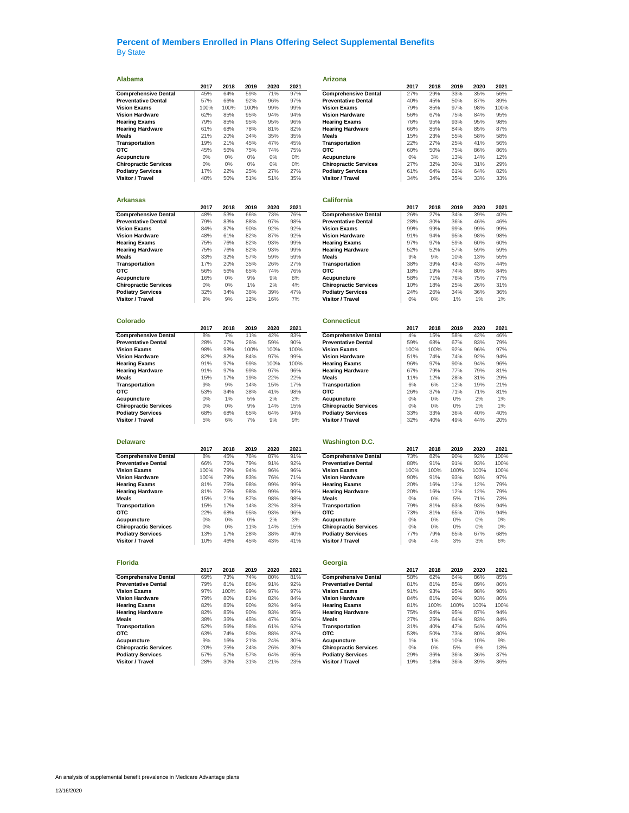**Alabama Arizona**

| Alabama                                                   |            |            |             |             |             | <b>Arizona</b>                                  |             |             |             |             |             |
|-----------------------------------------------------------|------------|------------|-------------|-------------|-------------|-------------------------------------------------|-------------|-------------|-------------|-------------|-------------|
|                                                           | 2017       | 2018       | 2019        | 2020        | 2021        |                                                 | 2017        | 2018        | 2019        | 2020        | 2021        |
| <b>Comprehensive Dental</b>                               | 45%        | 64%        | 59%         | 71%         | 97%         | <b>Comprehensive Dental</b>                     | 27%         | 29%         | 33%         | 35%         | 56%         |
| <b>Preventative Dental</b>                                | 57%        | 66%        | 92%         | 96%         | 97%         | <b>Preventative Dental</b>                      | 40%         | 45%         | 50%         | 87%         | 89%         |
| Vision Exams                                              | 100%       | 100%       | 100%        | 99%         | 99%         | <b>Vision Exams</b>                             | 79%         | 85%         | 97%         | 98%         | 100%        |
| Vision Hardware                                           | 62%        | 85%        | 95%         | 94%         | 94%         | <b>Vision Hardware</b>                          | 56%         | 67%         | 75%         | 84%         | 95%         |
| Hearing Exams                                             | 79%        | 85%        | 95%         | 95%         | 96%         | <b>Hearing Exams</b>                            | 76%         | 95%         | 93%         | 95%         | 98%         |
| <b>Hearing Hardware</b>                                   | 61%        | 68%        | 78%         | 81%         | 82%         | <b>Hearing Hardware</b>                         | 66%         | 85%         | 84%         | 85%         | 87%         |
| Meals                                                     | 21%        | 20%        | 34%         | 35%         | 35%         | Meals                                           | 15%         | 23%         | 55%         | 58%         | 58%         |
| Transportation                                            | 19%        | 21%        | 45%         | 47%         | 45%         | Transportation                                  | 22%         | 27%         | 25%         | 41%         | 56%         |
| отс                                                       | 45%        | 56%        | 75%         | 74%         | 75%         | отс                                             | 60%         | 50%         | 75%         | 86%         | 86%         |
| Acupuncture                                               | $0\%$      | 0%         | $0\%$       | 0%          | 0%          | Acupuncture                                     | $0\%$       | 3%          | 13%         | 14%         | 12%         |
| <b>Chiropractic Services</b>                              | $0\%$      | $0\%$      | $0\%$       | $0\%$       | $0\%$       | <b>Chiropractic Services</b>                    | 27%         | 32%         | 30%         | 31%         | 29%         |
| <b>Podiatry Services</b>                                  | 17%        | 22%        | 25%         | 27%         | 27%         | <b>Podiatry Services</b>                        | 61%         | 64%         | 61%         | 64%         | 82%         |
| Visitor / Travel                                          | 48%        | 50%        | 51%         | 51%         | 35%         | Visitor / Travel                                | 34%         | 34%         | 35%         | 33%         | 33%         |
| Arkansas                                                  |            |            |             |             |             | <b>California</b>                               |             |             |             |             |             |
|                                                           | 2017       | 2018       | 2019        | 2020        | 2021        |                                                 | 2017        | 2018        | 2019        | 2020        | 2021        |
| <b>Comprehensive Dental</b>                               | 48%        | 53%        | 66%         | 73%         | 76%         | <b>Comprehensive Dental</b>                     | 26%         | 27%         | 34%         | 39%         | 40%         |
| <b>Preventative Dental</b>                                | 79%        | 83%        | 88%         | 97%         | 98%         | <b>Preventative Dental</b>                      | 28%         | 30%         | 36%         | 46%         | 46%         |
| Vision Exams                                              | 84%        | 87%        | 90%         | 92%         | 92%         | <b>Vision Exams</b>                             | 99%         | 99%         | 99%         | 99%         | 99%         |
| <b>Vision Hardware</b>                                    | 48%        | 61%        | 82%         | 87%         | 92%         | <b>Vision Hardware</b>                          | 91%         | 94%         | 95%         | 98%         | 98%         |
| <b>Hearing Exams</b>                                      | 75%        | 76%        | 82%         | 93%         | 99%         | <b>Hearing Exams</b>                            | 97%         | 97%         | 59%         | 60%         | 60%         |
| <b>Hearing Hardware</b>                                   | 75%        | 76%        | 82%         | 93%         | 99%         | <b>Hearing Hardware</b>                         | 52%         | 52%         | 57%         | 59%         | 59%         |
| Meals                                                     | 33%        | 32%        | 57%         | 59%         | 59%         | Meals                                           | 9%          | 9%          | 10%         | 13%         | 55%         |
| Transportation                                            | 17%        | 20%        | 35%         | 26%         | 27%         | Transportation                                  | 38%         | 39%         | 43%         | 43%         | 44%         |
| отс                                                       | 56%        | 56%        | 65%         | 74%         | 76%         | отс                                             | 18%         | 19%         | 74%         | 80%         | 84%         |
| Acupuncture                                               | 16%        | 0%         | 9%          | 9%          | 8%          | Acupuncture                                     | 58%         | 71%         | 76%         | 75%         | 77%         |
| <b>Chiropractic Services</b>                              | $0\%$      | $0\%$      | 1%          | 2%          | 4%          | <b>Chiropractic Services</b>                    | 10%         | 18%         | 25%         | 26%         | 31%         |
| <b>Podiatry Services</b>                                  | 32%        | 34%        | 36%         | 39%         | 47%         | <b>Podiatry Services</b>                        | 24%         | 26%         | 34%         | 36%         | 36%         |
| Visitor / Travel                                          | 9%         | 9%         | 12%         | 16%         | 7%          | Visitor / Travel                                | $0\%$       | 0%          | 1%          | 1%          | 1%          |
|                                                           |            |            |             |             |             |                                                 |             |             |             |             |             |
| Colorado                                                  |            |            |             |             |             | <b>Connecticut</b>                              |             |             |             |             |             |
|                                                           | 2017<br>8% | 2018<br>7% | 2019<br>11% | 2020<br>42% | 2021<br>83% | <b>Comprehensive Dental</b>                     | 2017<br>4%  | 2018<br>15% | 2019<br>58% | 2020<br>42% | 2021<br>46% |
| <b>Comprehensive Dental</b><br><b>Preventative Dental</b> | 28%        | 27%        | 26%         | 59%         | 90%         | <b>Preventative Dental</b>                      |             |             | 67%         | 83%         | 79%         |
| <b>Vision Exams</b>                                       | 98%        | 98%        | 100%        | 100%        | 100%        | <b>Vision Exams</b>                             | 59%<br>100% | 68%<br>100% | 92%         | 96%         | 97%         |
| Vision Hardware                                           | 82%        | 82%        | 84%         | 97%         | 99%         | <b>Vision Hardware</b>                          | 51%         | 74%         | 74%         | 92%         | 94%         |
| <b>Hearing Exams</b>                                      | 91%        | 97%        | 99%         | 100%        | 100%        |                                                 | 96%         | 97%         | 90%         | 94%         | 96%         |
| Hearing Hardware                                          | 91%        | 97%        | 99%         | 97%         | 96%         | <b>Hearing Exams</b><br><b>Hearing Hardware</b> | 67%         | 79%         | 77%         | 79%         | 81%         |
| Meals                                                     | 15%        | 17%        | 19%         | 22%         | 22%         | Meals                                           | 11%         | 12%         | 28%         | 31%         | 29%         |
| Transportation                                            | 9%         | 9%         | 14%         | 15%         | 17%         | Transportation                                  | 6%          | 6%          | 12%         | 19%         | 21%         |
| отс                                                       | 53%        | 34%        | 38%         | 41%         | 98%         | отс                                             | 26%         | 37%         | 71%         | 71%         | 81%         |
| Acupuncture                                               | $0\%$      | 1%         | 5%          | 2%          | 2%          | Acupuncture                                     | $0\%$       | 0%          | 0%          | 2%          | 1%          |
| <b>Chiropractic Services</b>                              | 0%         | $0\%$      | 9%          | 14%         | 15%         | <b>Chiropractic Services</b>                    | $0\%$       | $0\%$       | $0\%$       | 1%          | 1%          |
| <b>Podiatry Services</b>                                  | 68%        | 68%        | 65%         | 64%         | 94%         | <b>Podiatry Services</b>                        | 33%         | 33%         | 36%         | 40%         | 40%         |
| Visitor / Travel                                          | 5%         | 6%         | 7%          | 9%          | 9%          | <b>Visitor / Travel</b>                         | 32%         | 40%         | 49%         | 44%         | 20%         |
|                                                           |            |            |             |             |             |                                                 |             |             |             |             |             |
| Delaware                                                  | 2017       | 2018       | 2019        | 2020        | 2021        | <b>Washington D.C.</b>                          | 2017        | 2018        | 2019        | 2020        | 2021        |
| <b>Comprehensive Dental</b>                               | 8%         | 45%        | 76%         | 87%         | 91%         | <b>Comprehensive Dental</b>                     | 73%         | 82%         | 90%         | 92%         | 100%        |
| <b>Preventative Dental</b>                                | 66%        | 75%        | 79%         | 91%         | 92%         | <b>Preventative Dental</b>                      | 88%         | 91%         | 91%         | 93%         | 100%        |
| Vision Exams                                              | 100%       | 79%        | 94%         | 96%         | 96%         | <b>Vision Exams</b>                             | 100%        | 100%        | 100%        | 100%        | 100%        |
| Vision Hardware                                           | 100%       | 79%        | 83%         | 76%         | 71%         | <b>Vision Hardware</b>                          | 90%         | 91%         | 93%         | 93%         | 97%         |
| <b>Hearing Exams</b>                                      | 81%        | 75%        | 98%         | 99%         | 99%         | <b>Hearing Exams</b>                            | 20%         | 16%         | 12%         | 12%         | 79%         |
| <b>Hearing Hardware</b>                                   | 81%        | 75%        | 98%         | 99%         | 99%         | <b>Hearing Hardware</b>                         | 20%         | 16%         | 12%         | 12%         | 79%         |
| Meals                                                     | 15%        | 21%        | 87%         | 98%         | 98%         | Meals                                           | $0\%$       | $0\%$       | 5%          | 71%         | 73%         |
| Transportation                                            | 15%        | 17%        | 14%         | 32%         | 33%         | Transportation                                  | 79%         | 81%         | 63%         | 93%         | 94%         |
| отс                                                       | 22%        | 68%        | 95%         | 93%         | 96%         | отс                                             | 73%         | 81%         | 65%         | 70%         | 94%         |
| Acupuncture                                               | $0\%$      | $0\%$      | $0\%$       | 2%          | 3%          | Acupuncture                                     | $0\%$       | $0\%$       | $0\%$       | $0\%$       | $0\%$       |
| <b>Chiropractic Services</b>                              | $0\%$      | 0%         | 11%         | 14%         | 15%         | <b>Chiropractic Services</b>                    | $0\%$       | 0%          | $0\%$       | 0%          | 0%          |
| <b>Podiatry Services</b>                                  | 13%        | 17%        | 28%         | 38%         | 40%         | <b>Podiatry Services</b>                        | 77%         | 79%         | 65%         | 67%         | 68%         |
| Visitor / Travel                                          | 10%        | 46%        | 45%         | 43%         | 41%         | Visitor / Travel                                | $0\%$       | 4%          | 3%          | 3%          | 6%          |
|                                                           |            |            |             |             |             |                                                 |             |             |             |             |             |
| <b>Florida</b>                                            | 2017       | 2018       | 2019        | 2020        | 2021        | Georgia                                         | 2017        | 2018        | 2019        | 2020        | 2021        |
| <b>Comprehensive Dental</b>                               | 69%        | 73%        | 74%         | 80%         | 81%         | <b>Comprehensive Dental</b>                     | 58%         | 62%         | 64%         | 86%         | 85%         |
| <b>Preventative Dental</b>                                | 79%        | 81%        | 86%         | 91%         | 92%         | <b>Preventative Dental</b>                      | 81%         | 81%         | 85%         | 89%         | 86%         |
| <b>Vision Exams</b>                                       | 97%        | 100%       | 99%         | 97%         | 97%         | <b>Vision Exams</b>                             | 91%         | 93%         | 95%         | 98%         | 98%         |
| <b>Vision Hardware</b>                                    | 79%        | 80%        | 81%         | 82%         | 84%         | <b>Vision Hardware</b>                          | 84%         | 81%         | 90%         | 93%         | 86%         |
| <b>Hearing Exams</b>                                      | 82%        | 85%        | 90%         | 92%         | 94%         | <b>Hearing Exams</b>                            | 81%         | 100%        | 100%        | 100%        | 100%        |
| <b>Hearing Hardware</b>                                   | 82%        | 85%        | 90%         | 93%         | 95%         | <b>Hearing Hardware</b>                         | 75%         | 94%         | 95%         | 87%         | 94%         |
| Meals                                                     | 38%        | 36%        | 45%         | 47%         | 50%         | Meals                                           | 27%         | 25%         | 64%         | 83%         | 84%         |

|                                                 | 2017  | 2018 | 2019  | 2020 | 2021  |                                                           | 2017  | 2018  | 2019  | 2020  | 2021  |
|-------------------------------------------------|-------|------|-------|------|-------|-----------------------------------------------------------|-------|-------|-------|-------|-------|
| <b>Comprehensive Dental</b>                     | 45%   | 64%  | 59%   | 71%  | 97%   | <b>Comprehensive Dental</b>                               | 27%   | 29%   | 33%   | 35%   | 56%   |
| <b>Preventative Dental</b>                      | 57%   | 66%  | 92%   | 96%  | 97%   | <b>Preventative Dental</b>                                | 40%   | 45%   | 50%   | 87%   | 89%   |
| Vision Exams                                    | 100%  | 100% | 100%  | 99%  | 99%   | <b>Vision Exams</b>                                       | 79%   | 85%   | 97%   | 98%   | 100%  |
| <b>Vision Hardware</b>                          | 62%   | 85%  | 95%   | 94%  | 94%   | <b>Vision Hardware</b>                                    | 56%   | 67%   | 75%   | 84%   | 95%   |
|                                                 |       |      |       |      |       |                                                           |       |       |       |       |       |
| <b>Hearing Exams</b>                            | 79%   | 85%  | 95%   | 95%  | 96%   | <b>Hearing Exams</b>                                      | 76%   | 95%   | 93%   | 95%   | 98%   |
| Hearing Hardware                                | 61%   | 68%  | 78%   | 81%  | 82%   | <b>Hearing Hardware</b>                                   | 66%   | 85%   | 84%   | 85%   | 87%   |
| <b>Meals</b>                                    | 21%   | 20%  | 34%   | 35%  | 35%   | <b>Meals</b>                                              | 15%   | 23%   | 55%   | 58%   | 58%   |
| Transportation                                  | 19%   | 21%  | 45%   | 47%  | 45%   | Transportation                                            | 22%   | 27%   | 25%   | 41%   | 56%   |
| отс                                             | 45%   | 56%  | 75%   | 74%  | 75%   | отс                                                       | 60%   | 50%   | 75%   | 86%   | 86%   |
| Acupuncture                                     | 0%    | 0%   | $0\%$ | 0%   | $0\%$ | Acupuncture                                               | $0\%$ | 3%    | 13%   | 14%   | 12%   |
| <b>Chiropractic Services</b>                    | $0\%$ | 0%   | 0%    | 0%   | 0%    | <b>Chiropractic Services</b>                              | 27%   | 32%   | 30%   | 31%   | 29%   |
| <b>Podiatry Services</b>                        | 17%   | 22%  | 25%   | 27%  | 27%   | <b>Podiatry Services</b>                                  | 61%   | 64%   | 61%   | 64%   | 82%   |
| Visitor / Travel                                | 48%   | 50%  | 51%   | 51%  | 35%   | <b>Visitor / Travel</b>                                   | 34%   | 34%   | 35%   | 33%   | 33%   |
|                                                 |       |      |       |      |       |                                                           |       |       |       |       |       |
|                                                 |       |      |       |      |       |                                                           |       |       |       |       |       |
| Arkansas                                        |       |      |       |      |       | <b>California</b>                                         |       |       |       |       |       |
|                                                 | 2017  | 2018 | 2019  | 2020 | 2021  |                                                           | 2017  | 2018  | 2019  | 2020  | 2021  |
| <b>Comprehensive Dental</b>                     | 48%   | 53%  | 66%   | 73%  | 76%   | <b>Comprehensive Dental</b>                               | 26%   | 27%   | 34%   | 39%   | 40%   |
| Preventative Dental                             | 79%   | 83%  | 88%   | 97%  | 98%   | <b>Preventative Dental</b>                                | 28%   | 30%   | 36%   | 46%   | 46%   |
| Vision Exams                                    | 84%   | 87%  | 90%   | 92%  | 92%   | <b>Vision Exams</b>                                       | 99%   | 99%   | 99%   | 99%   | 99%   |
| Vision Hardware                                 | 48%   | 61%  | 82%   | 87%  | 92%   | <b>Vision Hardware</b>                                    | 91%   | 94%   | 95%   | 98%   | 98%   |
| Hearing Exams                                   | 75%   | 76%  | 82%   | 93%  | 99%   | <b>Hearing Exams</b>                                      | 97%   | 97%   | 59%   | 60%   | 60%   |
| <b>Hearing Hardware</b>                         | 75%   | 76%  | 82%   | 93%  | 99%   | <b>Hearing Hardware</b>                                   | 52%   | 52%   | 57%   | 59%   | 59%   |
| Meals                                           | 33%   | 32%  | 57%   | 59%  | 59%   | <b>Meals</b>                                              | 9%    | 9%    | 10%   | 13%   | 55%   |
| Transportation                                  | 17%   | 20%  | 35%   | 26%  | 27%   | Transportation                                            | 38%   | 39%   | 43%   | 43%   | 44%   |
|                                                 |       |      |       | 74%  |       |                                                           |       |       |       |       |       |
| отс                                             | 56%   | 56%  | 65%   |      | 76%   | отс                                                       | 18%   | 19%   | 74%   | 80%   | 84%   |
| Acupuncture                                     | 16%   | 0%   | 9%    | 9%   | 8%    | Acupuncture                                               | 58%   | 71%   | 76%   | 75%   | 77%   |
| <b>Chiropractic Services</b>                    | $0\%$ | 0%   | 1%    | 2%   | 4%    | <b>Chiropractic Services</b>                              | 10%   | 18%   | 25%   | 26%   | 31%   |
| <b>Podiatry Services</b>                        | 32%   | 34%  | 36%   | 39%  | 47%   | <b>Podiatry Services</b>                                  | 24%   | 26%   | 34%   | 36%   | 36%   |
| Visitor / Travel                                | 9%    | 9%   | 12%   | 16%  | 7%    | Visitor / Travel                                          | $0\%$ | 0%    | 1%    | 1%    | 1%    |
|                                                 |       |      |       |      |       |                                                           |       |       |       |       |       |
|                                                 |       |      |       |      |       |                                                           |       |       |       |       |       |
| Colorado                                        |       |      |       |      |       | <b>Connecticut</b>                                        |       |       |       |       |       |
|                                                 | 2017  | 2018 | 2019  | 2020 | 2021  |                                                           | 2017  | 2018  | 2019  | 2020  | 2021  |
| <b>Comprehensive Dental</b>                     | 8%    | 7%   | 11%   | 42%  | 83%   | <b>Comprehensive Dental</b><br><b>Preventative Dental</b> | 4%    | 15%   | 58%   | 42%   | 46%   |
| <b>Preventative Dental</b>                      | 28%   | 27%  | 26%   | 59%  | 90%   |                                                           | 59%   | 68%   | 67%   | 83%   | 79%   |
| Vision Exams                                    | 98%   | 98%  | 100%  | 100% | 100%  | <b>Vision Exams</b>                                       | 100%  | 100%  | 92%   | 96%   | 97%   |
| <b>Vision Hardware</b>                          | 82%   | 82%  | 84%   | 97%  | 99%   | <b>Vision Hardware</b>                                    | 51%   | 74%   | 74%   | 92%   | 94%   |
| <b>Hearing Exams</b>                            | 91%   | 97%  | 99%   | 100% | 100%  | <b>Hearing Exams</b>                                      | 96%   | 97%   | 90%   | 94%   | 96%   |
| Hearing Hardware                                | 91%   | 97%  | 99%   | 97%  | 96%   | <b>Hearing Hardware</b>                                   | 67%   | 79%   | 77%   | 79%   | 81%   |
| Meals                                           | 15%   | 17%  | 19%   | 22%  | 22%   | Meals                                                     | 11%   | 12%   | 28%   | 31%   | 29%   |
| Transportation                                  | 9%    | 9%   | 14%   | 15%  | 17%   | Transportation                                            | 6%    | 6%    | 12%   | 19%   | 21%   |
| отс                                             | 53%   | 34%  | 38%   | 41%  | 98%   | отс                                                       | 26%   | 37%   | 71%   | 71%   | 81%   |
| Acupuncture                                     | 0%    | 1%   | 5%    | 2%   | 2%    | Acupuncture                                               | $0\%$ | 0%    | $0\%$ | 2%    | 1%    |
| <b>Chiropractic Services</b>                    | $0\%$ | 0%   | 9%    | 14%  | 15%   | <b>Chiropractic Services</b>                              | 0%    | 0%    | $0\%$ | 1%    | 1%    |
| <b>Podiatry Services</b>                        | 68%   | 68%  | 65%   | 64%  | 94%   | <b>Podiatry Services</b>                                  | 33%   | 33%   | 36%   | 40%   | 40%   |
| Visitor / Travel                                | 5%    | 6%   | 7%    | 9%   | 9%    | Visitor / Travel                                          | 32%   | 40%   | 49%   | 44%   | 20%   |
|                                                 |       |      |       |      |       |                                                           |       |       |       |       |       |
|                                                 |       |      |       |      |       |                                                           |       |       |       |       |       |
| Delaware                                        |       |      |       |      |       | <b>Washington D.C.</b>                                    |       |       |       |       |       |
|                                                 | 2017  | 2018 | 2019  | 2020 | 2021  |                                                           | 2017  | 2018  | 2019  | 2020  | 2021  |
| <b>Comprehensive Dental</b>                     | 8%    | 45%  | 76%   | 87%  | 91%   | <b>Comprehensive Dental</b>                               | 73%   | 82%   | 90%   | 92%   | 100%  |
| Preventative Dental                             | 66%   | 75%  | 79%   | 91%  | 92%   | <b>Preventative Dental</b>                                | 88%   | 91%   | 91%   | 93%   | 100%  |
| Vision Exams                                    | 100%  | 79%  | 94%   | 96%  | 96%   | <b>Vision Exams</b>                                       | 100%  | 100%  | 100%  | 100%  | 100%  |
| Vision Hardware                                 | 100%  | 79%  | 83%   | 76%  | 71%   | <b>Vision Hardware</b>                                    | 90%   | 91%   | 93%   | 93%   | 97%   |
|                                                 | 81%   | 75%  | 98%   | 99%  | 99%   |                                                           | 20%   | 16%   | 12%   | 12%   | 79%   |
| <b>Hearing Exams</b><br><b>Hearing Hardware</b> |       |      |       |      |       | <b>Hearing Exams</b><br><b>Hearing Hardware</b>           |       |       |       |       |       |
|                                                 | 81%   | 75%  | 98%   | 99%  | 99%   |                                                           | 20%   | 16%   | 12%   | 12%   | 79%   |
| Meals                                           | 15%   | 21%  | 87%   | 98%  | 98%   | Meals                                                     | 0%    | $0\%$ | 5%    | 71%   | 73%   |
| Transportation                                  | 15%   | 17%  | 14%   | 32%  | 33%   | Transportation                                            | 79%   | 81%   | 63%   | 93%   | 94%   |
| отс                                             | 22%   | 68%  | 95%   | 93%  | 96%   | отс                                                       | 73%   | 81%   | 65%   | 70%   | 94%   |
| <b>Acupuncture</b>                              | $0\%$ | 0%   | 0%    | 2%   | 3%    | Acupuncture                                               | 0%    | 0%    | $0\%$ | $0\%$ | $0\%$ |
| <b>Chiropractic Services</b>                    | $0\%$ | 0%   | 11%   | 14%  | 15%   | <b>Chiropractic Services</b>                              | $0\%$ | $0\%$ | $0\%$ | $0\%$ | 0%    |
| <b>Podiatry Services</b>                        | 13%   | 17%  | 28%   | 38%  | 40%   | <b>Podiatry Services</b>                                  | 77%   | 79%   | 65%   | 67%   | 68%   |
| Visitor / Travel                                | 10%   | 46%  | 45%   | 43%  | 41%   | <b>Visitor / Travel</b>                                   | 0%    | 4%    | 3%    | 3%    | 6%    |
|                                                 |       |      |       |      |       |                                                           |       |       |       |       |       |
|                                                 |       |      |       |      |       |                                                           |       |       |       |       |       |
| <b>Florida</b>                                  |       |      |       |      |       | Georgia                                                   |       |       |       |       |       |
|                                                 | 2017  | 2018 | 2019  | 2020 | 2021  |                                                           | 2017  | 2018  | 2019  | 2020  | 2021  |
| <b>Comprehensive Dental</b>                     | 69%   | 73%  | 74%   | 80%  | 81%   | <b>Comprehensive Dental</b>                               | 58%   | 62%   | 64%   | 86%   | 85%   |
| Preventative Dental                             | 79%   | 81%  | 86%   | 91%  | 92%   | <b>Preventative Dental</b>                                | 81%   | 81%   | 85%   | 89%   | 86%   |
| <b>Vision Exams</b>                             | 97%   | 100% | 99%   | 97%  | 97%   | <b>Vision Exams</b>                                       | 91%   | 93%   | 95%   | 98%   | 98%   |
| Vision Hardware                                 | 79%   | 80%  | 81%   | 82%  | 84%   | <b>Vision Hardware</b>                                    | 84%   | 81%   | 90%   | 93%   | 86%   |
| <b>Hearing Exams</b>                            | 82%   | 85%  | 90%   | 92%  | 94%   | <b>Hearing Exams</b>                                      | 81%   | 100%  | 100%  | 100%  | 100%  |
| <b>Hearing Hardware</b>                         | 82%   | 85%  | 90%   | 93%  | 95%   | <b>Hearing Hardware</b>                                   | 75%   | 94%   | 95%   | 87%   | 94%   |
| Meals                                           | 38%   | 36%  | 45%   | 47%  | 50%   | <b>Meals</b>                                              | 27%   | 25%   | 64%   | 83%   | 84%   |
| <b>Transportation</b>                           | 52%   | 56%  | 58%   | 61%  | 62%   | Transportation                                            | 31%   | 40%   | 47%   | 54%   | 60%   |
| отс                                             | 63%   | 74%  | 80%   | 88%  | 87%   | отс                                                       | 53%   | 50%   | 73%   | 80%   | 80%   |
| Acupuncture                                     | 9%    | 16%  | 21%   | 24%  | 30%   | Acupuncture                                               | 1%    | 1%    | 10%   | 10%   | 9%    |
| <b>Chiropractic Services</b>                    | 20%   | 25%  | 24%   | 26%  | 30%   | <b>Chiropractic Services</b>                              | $0\%$ | $0\%$ | 5%    | 6%    | 13%   |
| <b>Podiatry Services</b>                        | 57%   | 57%  | 57%   | 64%  | 65%   | <b>Podiatry Services</b>                                  | 29%   | 36%   | 36%   | 36%   | 37%   |
| Visitor / Travel                                | 28%   | 30%  | 31%   | 21%  | 23%   | Visitor / Travel                                          | 19%   | 18%   | 36%   | 39%   | 36%   |
|                                                 |       |      |       |      |       |                                                           |       |       |       |       |       |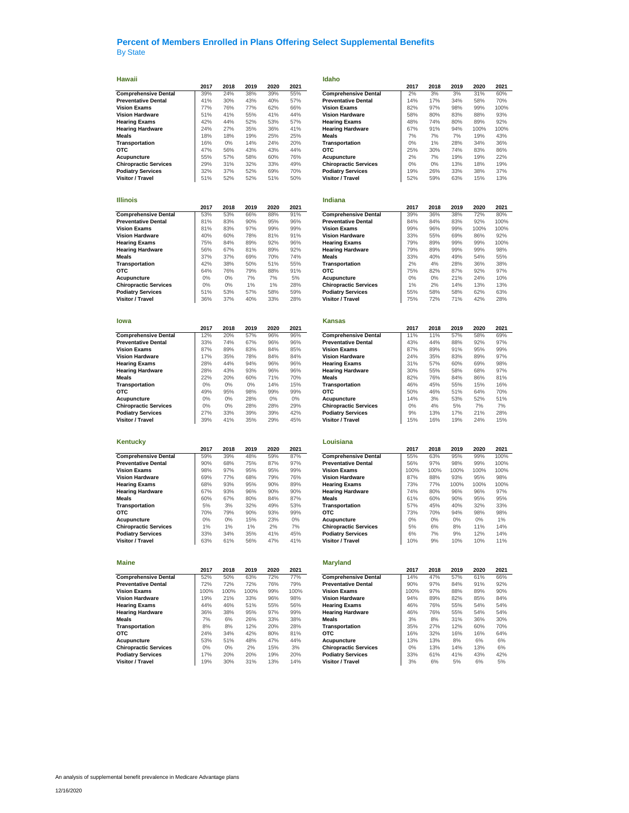| Hawaii                       |       |       |      |       |       | Idaho                        |       |       |      |      |      |
|------------------------------|-------|-------|------|-------|-------|------------------------------|-------|-------|------|------|------|
|                              | 2017  | 2018  | 2019 | 2020  | 2021  |                              | 2017  | 2018  | 2019 | 2020 | 2021 |
| <b>Comprehensive Dental</b>  | 39%   | 24%   | 38%  | 39%   | 55%   | <b>Comprehensive Dental</b>  | 2%    | 3%    | 3%   | 31%  | 60%  |
| <b>Preventative Dental</b>   | 41%   | 30%   | 43%  | 40%   | 57%   | <b>Preventative Dental</b>   | 14%   | 17%   | 34%  | 58%  | 70%  |
| <b>Vision Exams</b>          | 77%   | 76%   | 77%  | 62%   | 66%   | <b>Vision Exams</b>          | 82%   | 97%   | 98%  | 99%  | 100% |
| <b>Vision Hardware</b>       | 51%   | 41%   | 55%  | 41%   | 44%   | <b>Vision Hardware</b>       | 58%   | 80%   | 83%  | 88%  | 93%  |
| <b>Hearing Exams</b>         | 42%   | 44%   | 52%  | 53%   | 57%   | <b>Hearing Exams</b>         | 48%   | 74%   | 80%  | 89%  | 92%  |
| <b>Hearing Hardware</b>      | 24%   | 27%   | 35%  | 36%   | 41%   | <b>Hearing Hardware</b>      | 67%   | 91%   | 94%  | 100% | 100% |
| Meals                        | 18%   | 18%   | 19%  | 25%   | 25%   | Meals                        | 7%    | 7%    | 7%   | 19%  | 43%  |
|                              |       |       |      |       |       |                              |       |       |      |      |      |
| Transportation               | 16%   | $0\%$ | 14%  | 24%   | 20%   | Transportation               | 0%    | 1%    | 28%  | 34%  | 36%  |
| отс                          | 47%   | 56%   | 43%  | 43%   | 44%   | отс                          | 25%   | 30%   | 74%  | 83%  | 86%  |
| Acupuncture                  | 55%   | 57%   | 58%  | 60%   | 76%   | Acupuncture                  | 2%    | 7%    | 19%  | 19%  | 22%  |
| <b>Chiropractic Services</b> | 29%   | 31%   | 32%  | 33%   | 49%   | <b>Chiropractic Services</b> | 0%    | 0%    | 13%  | 18%  | 19%  |
| <b>Podiatry Services</b>     | 32%   | 37%   | 52%  | 69%   | 70%   | <b>Podiatry Services</b>     | 19%   | 26%   | 33%  | 38%  | 37%  |
| Visitor / Travel             | 51%   | 52%   | 52%  | 51%   | 50%   | Visitor / Travel             | 52%   | 59%   | 63%  | 15%  | 13%  |
|                              |       |       |      |       |       |                              |       |       |      |      |      |
|                              |       |       |      |       |       |                              |       |       |      |      |      |
| <b>Illinois</b>              |       |       |      |       |       | Indiana                      |       |       |      |      |      |
|                              |       |       |      |       |       |                              |       |       |      |      |      |
|                              | 2017  | 2018  | 2019 | 2020  | 2021  |                              | 2017  | 2018  | 2019 | 2020 | 2021 |
| <b>Comprehensive Dental</b>  | 53%   | 53%   | 66%  | 88%   | 91%   | <b>Comprehensive Dental</b>  | 39%   | 36%   | 38%  | 72%  | 80%  |
| <b>Preventative Dental</b>   | 81%   | 83%   | 90%  | 95%   | 96%   | <b>Preventative Dental</b>   | 84%   | 84%   | 83%  | 92%  | 100% |
| <b>Vision Exams</b>          | 81%   | 83%   | 97%  | 99%   | 99%   | <b>Vision Exams</b>          | 99%   | 96%   | 99%  | 100% | 100% |
| <b>Vision Hardware</b>       | 40%   | 60%   | 78%  | 81%   | 91%   | <b>Vision Hardware</b>       | 33%   | 55%   | 69%  | 86%  | 92%  |
| <b>Hearing Exams</b>         | 75%   | 84%   | 89%  | 92%   | 96%   | <b>Hearing Exams</b>         | 79%   | 89%   | 99%  | 99%  | 100% |
| <b>Hearing Hardware</b>      | 56%   | 67%   | 81%  | 89%   | 92%   | <b>Hearing Hardware</b>      | 79%   | 89%   | 99%  | 99%  | 98%  |
| Meals                        | 37%   | 37%   | 69%  | 70%   | 74%   | Meals                        | 33%   | 40%   | 49%  | 54%  | 55%  |
| Transportation               | 42%   | 38%   | 50%  | 51%   | 55%   | Transportation               | 2%    | 4%    | 28%  | 36%  | 38%  |
| отс                          | 64%   | 76%   | 79%  | 88%   | 91%   | отс                          | 75%   | 82%   | 87%  | 92%  | 97%  |
| Acupuncture                  | 0%    | $0\%$ | 7%   | 7%    | 5%    | Acupuncture                  | $0\%$ | $0\%$ | 21%  | 24%  | 10%  |
|                              |       |       |      |       |       |                              |       |       |      |      |      |
| <b>Chiropractic Services</b> | $0\%$ | $0\%$ | 1%   | 1%    | 28%   | <b>Chiropractic Services</b> | 1%    | 2%    | 14%  | 13%  | 13%  |
| <b>Podiatry Services</b>     | 51%   | 53%   | 57%  | 58%   | 59%   | <b>Podiatry Services</b>     | 55%   | 58%   | 58%  | 62%  | 63%  |
| Visitor / Travel             | 36%   | 37%   | 40%  | 33%   | 28%   | Visitor / Travel             | 75%   | 72%   | 71%  | 42%  | 28%  |
|                              |       |       |      |       |       |                              |       |       |      |      |      |
|                              |       |       |      |       |       |                              |       |       |      |      |      |
| lowa                         |       |       |      |       |       | <b>Kansas</b>                |       |       |      |      |      |
|                              | 2017  | 2018  | 2019 | 2020  | 2021  |                              | 2017  | 2018  | 2019 | 2020 | 2021 |
| <b>Comprehensive Dental</b>  | 12%   | 20%   | 57%  | 96%   | 96%   | <b>Comprehensive Dental</b>  | 11%   | 11%   | 57%  | 58%  | 69%  |
| <b>Preventative Dental</b>   | 33%   | 74%   | 67%  | 96%   | 96%   | <b>Preventative Dental</b>   | 43%   | 44%   | 88%  | 92%  | 97%  |
| <b>Vision Exams</b>          | 87%   | 89%   | 83%  | 84%   | 85%   | <b>Vision Exams</b>          | 87%   | 89%   | 91%  | 95%  | 99%  |
|                              |       |       |      |       |       |                              |       |       |      |      |      |
| <b>Vision Hardware</b>       | 17%   | 35%   | 78%  | 84%   | 84%   | <b>Vision Hardware</b>       | 24%   | 35%   | 83%  | 89%  | 97%  |
| <b>Hearing Exams</b>         | 28%   | 44%   | 94%  | 96%   | 96%   | <b>Hearing Exams</b>         | 31%   | 57%   | 60%  | 69%  | 98%  |
| <b>Hearing Hardware</b>      | 28%   | 43%   | 93%  | 96%   | 96%   | <b>Hearing Hardware</b>      | 30%   | 55%   | 58%  | 68%  | 97%  |
| Meals                        | 22%   | 20%   | 60%  | 71%   | 70%   | Meals                        | 82%   | 76%   | 84%  | 86%  | 81%  |
| Transportation               | 0%    | 0%    | 0%   | 14%   | 15%   | Transportation               | 46%   | 45%   | 55%  | 15%  | 16%  |
| отс                          | 49%   | 95%   | 98%  | 99%   | 99%   | отс                          | 50%   | 46%   | 51%  | 64%  | 70%  |
| Acupuncture                  | 0%    | $0\%$ | 28%  | $0\%$ | $0\%$ | Acupuncture                  | 14%   | 3%    | 53%  | 52%  | 51%  |
| <b>Chiropractic Services</b> | $0\%$ | $0\%$ | 28%  | 28%   | 29%   | <b>Chiropractic Services</b> | $0\%$ | 4%    | 5%   | 7%   | 7%   |
| <b>Podiatry Services</b>     | 27%   | 33%   | 39%  | 39%   | 42%   | <b>Podiatry Services</b>     | 9%    | 13%   | 17%  | 21%  | 28%  |
|                              |       |       |      |       |       |                              |       |       |      |      |      |
| Visitor / Travel             | 39%   | 41%   | 35%  | 29%   | 45%   | Visitor / Travel             | 15%   | 16%   | 19%  | 24%  | 15%  |
|                              |       |       |      |       |       |                              |       |       |      |      |      |
|                              |       |       |      |       |       |                              |       |       |      |      |      |
| Kentucky                     |       |       |      |       |       | Louisiana                    |       |       |      |      |      |
|                              | 2017  | 2018  | 2019 | 2020  | 2021  |                              | 2017  | 2018  | 2019 | 2020 | 2021 |
| <b>Comprehensive Dental</b>  | 59%   | 39%   | 48%  | 59%   | 87%   | <b>Comprehensive Dental</b>  | 55%   | 63%   | 95%  | 99%  | 100% |
| <b>Preventative Dental</b>   | 90%   | 68%   | 75%  | 87%   | 97%   | <b>Preventative Dental</b>   | 56%   | 97%   | 98%  | 99%  | 100% |
| <b>Vision Exams</b>          | 98%   | 97%   | 95%  | 95%   | 99%   | <b>Vision Exams</b>          | 100%  | 100%  | 100% | 100% | 100% |
| <b>Vision Hardware</b>       | 69%   | 77%   | 68%  | 79%   | 76%   | <b>Vision Hardware</b>       | 87%   | 88%   | 93%  | 95%  | 98%  |
|                              | 68%   | 93%   | 95%  | 90%   | 89%   |                              | 73%   | 77%   | 100% | 100% | 100% |
| <b>Hearing Exams</b>         |       |       |      |       |       | <b>Hearing Exams</b>         |       |       |      |      |      |
| <b>Hearing Hardware</b>      | 67%   | 93%   | 96%  | 90%   | 90%   | <b>Hearing Hardware</b>      | 74%   | 80%   | 96%  | 96%  | 97%  |
| Meals                        | 60%   | 67%   | 80%  | 84%   | 87%   | <b>Meals</b>                 | 61%   | 60%   | 90%  | 95%  | 95%  |
| Transportation               | 5%    | 3%    | 32%  | 49%   | 53%   | Transportation               | 57%   | 45%   | 40%  | 32%  | 33%  |
| отс                          | 70%   | 79%   | 90%  | 93%   | 99%   | отс                          | 73%   | 70%   | 94%  | 98%  | 98%  |
| Acupuncture                  | 0%    | 0%    | 15%  | 23%   | 0%    | Acupuncture                  | 0%    | 0%    | 0%   | 0%   | 1%   |
| <b>Chiropractic Services</b> | 1%    | 1%    | 1%   | 2%    | 7%    | <b>Chiropractic Services</b> | 5%    | 6%    | 8%   | 11%  | 14%  |
| <b>Podiatry Services</b>     | 33%   | 34%   | 35%  | 41%   | 45%   | <b>Podiatry Services</b>     | 6%    | 7%    | 9%   | 12%  | 14%  |
| Visitor / Travel             | 63%   | 61%   | 56%  | 47%   | 41%   | <b>Visitor / Travel</b>      | 10%   | 9%    | 10%  | 10%  | 11%  |
|                              |       |       |      |       |       |                              |       |       |      |      |      |
|                              |       |       |      |       |       |                              |       |       |      |      |      |
| Maine                        |       |       |      |       |       |                              |       |       |      |      |      |
|                              |       |       |      |       |       | <b>Maryland</b>              |       |       |      |      |      |
|                              | 2017  | 2018  | 2019 | 2020  | 2021  |                              | 2017  | 2018  | 2019 | 2020 | 2021 |
| <b>Comprehensive Dental</b>  | 52%   | 50%   | 63%  | 72%   | 77%   | <b>Comprehensive Dental</b>  | 14%   | 47%   | 57%  | 61%  | 66%  |
| <b>Preventative Dental</b>   | 72%   | 72%   | 72%  | 76%   | 79%   | <b>Preventative Dental</b>   | 90%   | 97%   | 84%  | 91%  | 92%  |
| <b>Vision Exams</b>          | 100%  | 100%  | 100% | 99%   | 100%  | <b>Vision Exams</b>          | 100%  | 97%   | 88%  | 89%  | 90%  |
| <b>Vision Hardware</b>       | 19%   | 21%   | 33%  | 96%   | 98%   | <b>Vision Hardware</b>       | 94%   | 89%   | 82%  | 85%  | 84%  |
| <b>Hearing Exams</b>         | 44%   | 46%   | 51%  | 55%   | 56%   | <b>Hearing Exams</b>         | 46%   | 76%   | 55%  | 54%  | 54%  |
| <b>Hearing Hardware</b>      | 36%   | 38%   | 95%  | 97%   | 99%   | <b>Hearing Hardware</b>      | 46%   | 76%   | 55%  | 54%  | 54%  |
| Meals                        | 7%    | 6%    | 26%  | 33%   | 38%   | Meals                        | 3%    | 8%    | 31%  | 36%  | 30%  |
| Transportation               | 8%    | 8%    | 12%  | 20%   | 28%   | Transportation               | 35%   | 27%   | 12%  | 60%  | 70%  |
|                              |       |       |      |       |       |                              |       |       |      |      |      |
| <b>OTC</b>                   | 24%   | 34%   | 42%  | 80%   | 81%   | отс                          | 16%   | 32%   | 16%  | 16%  | 64%  |
| Acupuncture                  | 53%   | 51%   | 48%  | 47%   | 44%   | Acupuncture                  | 13%   | 13%   | 8%   | 6%   | 6%   |
| <b>Chiropractic Services</b> | $0\%$ | $0\%$ | 2%   | 15%   | 3%    | <b>Chiropractic Services</b> | $0\%$ | 13%   | 14%  | 13%  | 6%   |
| <b>Podiatry Services</b>     | 17%   | 20%   | 20%  | 19%   | 20%   | <b>Podiatry Services</b>     | 33%   | 61%   | 41%  | 43%  | 42%  |
| Visitor / Travel             | 19%   | 30%   | 31%  | 13%   | 14%   | Visitor / Travel             | 3%    | 6%    | 5%   | 6%   | 5%   |
|                              |       |       |      |       |       |                              |       |       |      |      |      |

| 2017  | 2018  | 2019  | 2020  | 2021  |                              | 2017  | 2018  | 2019  | 2020 | 2021 |
|-------|-------|-------|-------|-------|------------------------------|-------|-------|-------|------|------|
| 39%   | 24%   | 38%   | 39%   | 55%   | <b>Comprehensive Dental</b>  | 2%    | 3%    | 3%    | 31%  | 60%  |
|       |       |       |       |       |                              |       |       |       |      |      |
| 41%   | 30%   | 43%   | 40%   | 57%   | <b>Preventative Dental</b>   | 14%   | 17%   | 34%   | 58%  | 70%  |
| 77%   | 76%   | 77%   | 62%   | 66%   | <b>Vision Exams</b>          | 82%   | 97%   | 98%   | 99%  | 100% |
| 51%   | 41%   | 55%   | 41%   | 44%   | <b>Vision Hardware</b>       | 58%   | 80%   | 83%   | 88%  | 93%  |
| 42%   | 44%   | 52%   | 53%   | 57%   | <b>Hearing Exams</b>         | 48%   | 74%   | 80%   | 89%  | 92%  |
|       |       |       |       |       |                              |       |       |       |      |      |
| 24%   | 27%   | 35%   | 36%   | 41%   | <b>Hearing Hardware</b>      | 67%   | 91%   | 94%   | 100% | 100% |
| 18%   | 18%   | 19%   | 25%   | 25%   | Meals                        | 7%    | 7%    | 7%    | 19%  | 43%  |
| 16%   | 0%    | 14%   | 24%   | 20%   | Transportation               | 0%    | 1%    | 28%   | 34%  | 36%  |
|       |       |       |       |       |                              |       |       |       |      |      |
| 47%   | 56%   | 43%   | 43%   | 44%   | отс                          | 25%   | 30%   | 74%   | 83%  | 86%  |
| 55%   | 57%   | 58%   | 60%   | 76%   | Acupuncture                  | 2%    | 7%    | 19%   | 19%  | 22%  |
| 29%   | 31%   | 32%   | 33%   | 49%   | <b>Chiropractic Services</b> | $0\%$ | $0\%$ | 13%   | 18%  | 19%  |
|       | 37%   | 52%   | 69%   | 70%   |                              | 19%   | 26%   | 33%   | 38%  | 37%  |
| 32%   |       |       |       |       | <b>Podiatry Services</b>     |       |       |       |      |      |
| 51%   | 52%   | 52%   | 51%   | 50%   | Visitor / Travel             | 52%   | 59%   | 63%   | 15%  | 13%  |
|       |       |       |       |       |                              |       |       |       |      |      |
|       |       |       |       |       |                              |       |       |       |      |      |
|       |       |       |       |       | Indiana                      |       |       |       |      |      |
|       |       |       |       |       |                              |       |       |       |      |      |
| 2017  | 2018  | 2019  | 2020  | 2021  |                              | 2017  | 2018  | 2019  | 2020 | 2021 |
| 53%   | 53%   | 66%   | 88%   | 91%   | <b>Comprehensive Dental</b>  | 39%   | 36%   | 38%   | 72%  | 80%  |
| 81%   | 83%   | 90%   | 95%   | 96%   | <b>Preventative Dental</b>   | 84%   | 84%   | 83%   | 92%  | 100% |
|       |       |       |       |       |                              |       |       |       |      |      |
| 81%   | 83%   | 97%   | 99%   | 99%   | <b>Vision Exams</b>          | 99%   | 96%   | 99%   | 100% | 100% |
| 40%   | 60%   | 78%   | 81%   | 91%   | <b>Vision Hardware</b>       | 33%   | 55%   | 69%   | 86%  | 92%  |
| 75%   | 84%   | 89%   | 92%   | 96%   | <b>Hearing Exams</b>         | 79%   | 89%   | 99%   | 99%  | 100% |
|       |       |       |       |       |                              |       |       |       |      |      |
| 56%   | 67%   | 81%   | 89%   | 92%   | <b>Hearing Hardware</b>      | 79%   | 89%   | 99%   | 99%  | 98%  |
| 37%   | 37%   | 69%   | 70%   | 74%   | Meals                        | 33%   | 40%   | 49%   | 54%  | 55%  |
| 42%   | 38%   | 50%   | 51%   | 55%   | Transportation               | 2%    | 4%    | 28%   | 36%  | 38%  |
| 64%   | 76%   | 79%   | 88%   | 91%   | отс                          | 75%   | 82%   | 87%   | 92%  | 97%  |
|       |       |       |       |       |                              |       |       |       |      |      |
| $0\%$ | $0\%$ | 7%    | 7%    | 5%    | Acupuncture                  | $0\%$ | $0\%$ | 21%   | 24%  | 10%  |
| $0\%$ | $0\%$ | 1%    | 1%    | 28%   | <b>Chiropractic Services</b> | 1%    | 2%    | 14%   | 13%  | 13%  |
| 51%   | 53%   | 57%   | 58%   | 59%   | <b>Podiatry Services</b>     | 55%   | 58%   | 58%   | 62%  | 63%  |
|       |       |       |       |       |                              |       |       |       |      |      |
| 36%   | 37%   | 40%   | 33%   | 28%   | Visitor / Travel             | 75%   | 72%   | 71%   | 42%  | 28%  |
|       |       |       |       |       |                              |       |       |       |      |      |
|       |       |       |       |       |                              |       |       |       |      |      |
|       |       |       |       |       | <b>Kansas</b>                |       |       |       |      |      |
|       |       |       |       |       |                              |       |       |       |      |      |
| 2017  | 2018  | 2019  | 2020  | 2021  |                              | 2017  | 2018  | 2019  | 2020 | 2021 |
| 12%   | 20%   | 57%   | 96%   | 96%   | <b>Comprehensive Dental</b>  | 11%   | 11%   | 57%   | 58%  | 69%  |
| 33%   | 74%   | 67%   | 96%   | 96%   | <b>Preventative Dental</b>   | 43%   | 44%   | 88%   | 92%  | 97%  |
| 87%   | 89%   | 83%   | 84%   | 85%   | <b>Vision Exams</b>          | 87%   | 89%   | 91%   | 95%  | 99%  |
|       |       |       |       |       |                              |       |       |       |      |      |
| 17%   | 35%   | 78%   | 84%   | 84%   | <b>Vision Hardware</b>       | 24%   | 35%   | 83%   | 89%  | 97%  |
| 28%   | 44%   | 94%   | 96%   | 96%   | <b>Hearing Exams</b>         | 31%   | 57%   | 60%   | 69%  | 98%  |
| 28%   | 43%   | 93%   | 96%   | 96%   | <b>Hearing Hardware</b>      | 30%   | 55%   | 58%   | 68%  | 97%  |
|       |       |       |       |       |                              |       |       |       |      |      |
| 22%   | 20%   | 60%   | 71%   | 70%   | <b>Meals</b>                 | 82%   | 76%   | 84%   | 86%  | 81%  |
| $0\%$ | $0\%$ | $0\%$ | 14%   | 15%   | Transportation               | 46%   | 45%   | 55%   | 15%  | 16%  |
| 49%   | 95%   | 98%   | 99%   | 99%   | отс                          | 50%   | 46%   | 51%   | 64%  | 70%  |
|       |       |       |       |       |                              | 14%   |       |       | 52%  | 51%  |
| $0\%$ | $0\%$ | 28%   | $0\%$ | $0\%$ | Acupuncture                  |       | 3%    | 53%   |      |      |
| $0\%$ | 0%    | 28%   | 28%   | 29%   | <b>Chiropractic Services</b> | $0\%$ | 4%    | 5%    | 7%   | 7%   |
| 27%   | 33%   | 39%   | 39%   | 42%   | <b>Podiatry Services</b>     | 9%    | 13%   | 17%   | 21%  | 28%  |
| 39%   | 41%   | 35%   | 29%   | 45%   | Visitor / Travel             | 15%   | 16%   | 19%   | 24%  | 15%  |
|       |       |       |       |       |                              |       |       |       |      |      |
|       |       |       |       |       |                              |       |       |       |      |      |
|       |       |       |       |       |                              |       |       |       |      |      |
|       |       |       |       |       | Louisiana                    |       |       |       |      |      |
| 2017  | 2018  | 2019  | 2020  | 2021  |                              | 2017  | 2018  | 2019  | 2020 | 2021 |
| 59%   | 39%   | 48%   | 59%   | 87%   | <b>Comprehensive Dental</b>  | 55%   | 63%   | 95%   | 99%  | 100% |
|       |       |       |       |       |                              |       |       |       |      |      |
| 90%   | 68%   | 75%   | 87%   | 97%   | <b>Preventative Dental</b>   | 56%   | 97%   | 98%   | 99%  | 100% |
| 98%   | 97%   | 95%   | 95%   | 99%   | <b>Vision Exams</b>          | 100%  | 100%  | 100%  | 100% | 100% |
| 69%   | 77%   | 68%   | 79%   | 76%   | <b>Vision Hardware</b>       | 87%   | 88%   | 93%   | 95%  | 98%  |
| 68%   | 93%   | 95%   | 90%   | 89%   | <b>Hearing Exams</b>         | 73%   | 77%   | 100%  | 100% | 100% |
|       |       |       |       |       |                              |       |       |       |      |      |
| 67%   | 93%   | 96%   | 90%   | 90%   | <b>Hearing Hardware</b>      | 74%   | 80%   | 96%   | 96%  | 97%  |
| 60%   | 67%   | 80%   | 84%   | 87%   | Meals                        | 61%   | 60%   | 90%   | 95%  | 95%  |
| 5%    | 3%    | 32%   | 49%   | 53%   | Transportation               | 57%   | 45%   | 40%   | 32%  | 33%  |
| 70%   | 79%   | 90%   | 93%   | 99%   | отс                          | 73%   | 70%   | 94%   | 98%  | 98%  |
|       |       |       |       |       |                              |       |       |       |      |      |
| $0\%$ | 0%    | 15%   | 23%   | $0\%$ | Acupuncture                  | $0\%$ | $0\%$ | $0\%$ | 0%   | 1%   |
| 1%    | 1%    | $1\%$ | 2%    | 7%    | <b>Chiropractic Services</b> | 5%    | 6%    | 8%    | 11%  | 14%  |
| 33%   | 34%   | 35%   | 41%   | 45%   | <b>Podiatry Services</b>     | 6%    | 7%    | 9%    | 12%  | 14%  |
| 63%   | 61%   |       | 47%   | 41%   |                              |       |       |       | 10%  | 11%  |
|       |       | 56%   |       |       | Visitor / Travel             | 10%   | 9%    | 10%   |      |      |
|       |       |       |       |       |                              |       |       |       |      |      |
|       |       |       |       |       |                              |       |       |       |      |      |
|       |       |       |       |       | <b>Maryland</b>              |       |       |       |      |      |
| 2017  | 2018  | 2019  | 2020  | 2021  |                              | 2017  | 2018  | 2019  | 2020 | 2021 |
|       |       |       |       |       |                              |       |       |       |      |      |
| 52%   | 50%   | 63%   | 72%   | 77%   | <b>Comprehensive Dental</b>  | 14%   | 47%   | 57%   | 61%  | 66%  |
| 72%   | 72%   | 72%   | 76%   | 79%   | <b>Preventative Dental</b>   | 90%   | 97%   | 84%   | 91%  | 92%  |
| 100%  | 100%  | 100%  | 99%   | 100%  | <b>Vision Exams</b>          | 100%  | 97%   | 88%   | 89%  | 90%  |
| 19%   | 21%   | 33%   | 96%   | 98%   | <b>Vision Hardware</b>       | 94%   | 89%   | 82%   | 85%  | 84%  |
|       |       |       |       |       |                              |       |       |       |      |      |
| 44%   | 46%   | 51%   | 55%   | 56%   | <b>Hearing Exams</b>         | 46%   | 76%   | 55%   | 54%  | 54%  |
| 36%   | 38%   | 95%   | 97%   | 99%   | <b>Hearing Hardware</b>      | 46%   | 76%   | 55%   | 54%  | 54%  |
| 7%    | 6%    | 26%   | 33%   | 38%   | Meals                        | 3%    | 8%    | 31%   | 36%  | 30%  |
|       |       |       |       |       |                              |       |       |       |      |      |
| 8%    | 8%    | 12%   | 20%   | 28%   | Transportation               | 35%   | 27%   | 12%   | 60%  | 70%  |
| 24%   | 34%   | 42%   | 80%   | 81%   | отс                          | 16%   | 32%   | 16%   | 16%  | 64%  |
| 53%   | 51%   | 48%   | 47%   | 44%   | Acupuncture                  | 13%   | 13%   | 8%    | 6%   | 6%   |
| $0\%$ | $0\%$ | 2%    | 15%   | 3%    | <b>Chiropractic Services</b> | $0\%$ | 13%   | 14%   | 13%  | 6%   |
|       |       |       |       |       |                              |       |       |       |      |      |
| 17%   | 20%   | 20%   | 19%   | 20%   | <b>Podiatry Services</b>     | 33%   | 61%   | 41%   | 43%  | 42%  |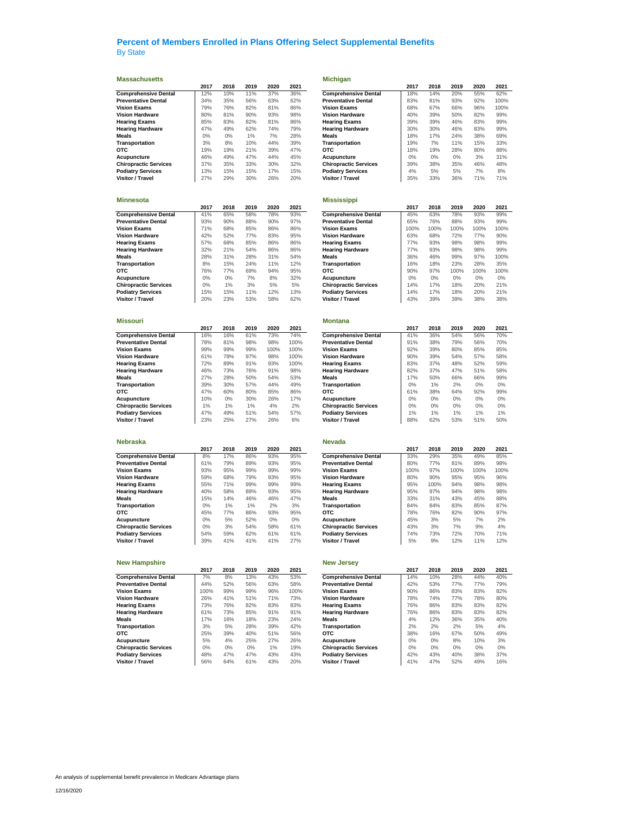| <b>Massachusetts</b>         |      |      |      |      |      | <b>Michigan</b>              |      |      |      |      |      |
|------------------------------|------|------|------|------|------|------------------------------|------|------|------|------|------|
|                              | 2017 | 2018 | 2019 | 2020 | 2021 |                              | 2017 | 2018 | 2019 | 2020 | 2021 |
| <b>Comprehensive Dental</b>  | 12%  | 10%  | 11%  | 37%  | 36%  | <b>Comprehensive Dental</b>  | 18%  | 14%  | 20%  | 55%  | 62%  |
| <b>Preventative Dental</b>   | 34%  | 35%  | 56%  | 63%  | 62%  | <b>Preventative Dental</b>   | 83%  | 81%  | 93%  | 92%  | 100% |
| <b>Vision Exams</b>          | 79%  | 76%  | 82%  | 81%  | 86%  | <b>Vision Exams</b>          | 68%  | 67%  | 66%  | 96%  | 100% |
| <b>Vision Hardware</b>       | 80%  | 81%  | 90%  | 93%  | 98%  | Vision Hardware              | 40%  | 39%  | 50%  | 82%  | 99%  |
| <b>Hearing Exams</b>         | 85%  | 83%  | 82%  | 81%  | 86%  | <b>Hearing Exams</b>         | 39%  | 39%  | 46%  | 83%  | 99%  |
| <b>Hearing Hardware</b>      | 47%  | 49%  | 62%  | 74%  | 79%  | <b>Hearing Hardware</b>      | 30%  | 30%  | 46%  | 83%  | 99%  |
| <b>Meals</b>                 | 0%   | 0%   | 1%   | 7%   | 28%  | Meals                        | 18%  | 17%  | 24%  | 38%  | 69%  |
| <b>Transportation</b>        | 3%   | 8%   | 10%  | 44%  | 39%  | <b>Transportation</b>        | 19%  | 7%   | 11%  | 15%  | 33%  |
| OTC                          | 19%  | 19%  | 21%  | 39%  | 47%  | отс                          | 18%  | 19%  | 28%  | 80%  | 88%  |
| Acupuncture                  | 46%  | 49%  | 47%  | 44%  | 45%  | Acupuncture                  | 0%   | 0%   | 0%   | 3%   | 31%  |
| <b>Chiropractic Services</b> | 37%  | 35%  | 33%  | 30%  | 32%  | <b>Chiropractic Services</b> | 39%  | 38%  | 35%  | 46%  | 48%  |
| <b>Podiatry Services</b>     | 13%  | 15%  | 15%  | 17%  | 15%  | <b>Podiatry Services</b>     | 4%   | 5%   | 5%   | 7%   | 8%   |
| Visitor / Travel             | 27%  | 29%  | 30%  | 26%  | 20%  | Visitor / Travel             | 35%  | 33%  | 36%  | 71%  | 71%  |
|                              |      |      |      |      |      |                              |      |      |      |      |      |
| <b>Minnesota</b>             |      |      |      |      |      | <b>Mississippi</b>           |      |      |      |      |      |
|                              | 2017 | 2018 | 2019 | 2020 | 2021 |                              | 2017 | 2018 | 2019 | 2020 | 2021 |
| <b>Comprehensive Dental</b>  | 41%  | 65%  | 58%  | 78%  | 93%  | <b>Comprehensive Dental</b>  | 45%  | 63%  | 78%  | 93%  | 99%  |
| <b>Preventative Dental</b>   | 93%  | 90%  | 88%  | 90%  | 97%  | <b>Preventative Dental</b>   | 65%  | 76%  | 88%  | 93%  | 99%  |
| <b>Vision Exams</b>          | 71%  | 68%  | 85%  | 86%  | 86%  | <b>Vision Exams</b>          | 100% | 100% | 100% | 100% | 100% |
| <b>Vision Hardware</b>       | 42%  | 52%  | 77%  | 83%  | 95%  | <b>Vision Hardware</b>       | 63%  | 68%  | 72%  | 77%  | 90%  |
| <b>Hearing Exams</b>         | 57%  | 68%  | 85%  | 86%  | 86%  | <b>Hearing Exams</b>         | 77%  | 93%  | 98%  | 98%  | 99%  |
| <b>Hearing Hardware</b>      | 32%  | 21%  | 54%  | 86%  | 86%  | <b>Hearing Hardware</b>      | 77%  | 93%  | 98%  | 98%  | 99%  |
| Meals                        | 28%  | 31%  | 28%  | 31%  | 54%  | Meals                        | 36%  | 46%  | 99%  | 97%  | 100% |
| Transportation               | 8%   | 15%  | 24%  | 11%  | 12%  | Transportation               | 16%  | 18%  | 23%  | 28%  | 35%  |
| OTC                          | 76%  | 77%  | 69%  | 94%  | 95%  | отс                          | 90%  | 97%  | 100% | 100% | 100% |
| Acupuncture                  | 0%   | 0%   | 7%   | 8%   | 32%  | Acupuncture                  | 0%   | 0%   | 0%   | 0%   | 0%   |
| <b>Chiropractic Services</b> | 0%   | 1%   | 3%   | 5%   | 5%   | <b>Chiropractic Services</b> | 14%  | 17%  | 18%  | 20%  | 21%  |
| <b>Podiatry Services</b>     | 15%  | 15%  | 11%  | 12%  | 13%  | <b>Podiatry Services</b>     | 14%  | 17%  | 18%  | 20%  | 21%  |
| Visitor / Travel             | 20%  | 23%  | 53%  | 58%  | 62%  | Visitor / Travel             | 43%  | 39%  | 39%  | 38%  | 38%  |
| <b>Missouri</b>              |      |      |      |      |      | <b>Montana</b>               |      |      |      |      |      |
|                              | 2017 | 2018 | 2019 | 2020 | 2021 |                              | 2017 | 2018 | 2019 | 2020 | 2021 |
| <b>Comprehensive Dental</b>  | 16%  | 16%  | 61%  | 73%  | 74%  | <b>Comprehensive Dental</b>  | 41%  | 36%  | 54%  | 56%  | 70%  |
| <b>Preventative Dental</b>   | 78%  | 81%  | 98%  | 98%  | 100% | <b>Preventative Dental</b>   | 91%  | 38%  | 79%  | 56%  | 70%  |
| <b>Vision Exams</b>          | 99%  | 99%  | 99%  | 100% | 100% | <b>Vision Exams</b>          | 92%  | 39%  | 80%  | 85%  | 85%  |
| <b>Vision Hardware</b>       | 61%  | 78%  | 97%  | 98%  | 100% | <b>Vision Hardware</b>       | 90%  | 39%  | 54%  | 57%  | 58%  |
| <b>Hearing Exams</b>         | 72%  | 89%  | 91%  | 93%  | 100% | Hearing Exams                | 83%  | 37%  | 48%  | 52%  | 59%  |
| <b>Hearing Hardware</b>      | 46%  | 73%  | 76%  | 91%  | 98%  | <b>Hearing Hardware</b>      | 82%  | 37%  | 47%  | 51%  | 58%  |

| <b>Vision Exams</b>          | 99% | 99% | 99% | 100% | 100% | <b>Vision Exams</b>          | 92% | 39%   | 80%   | 85%   | 85%   |
|------------------------------|-----|-----|-----|------|------|------------------------------|-----|-------|-------|-------|-------|
| <b>Vision Hardware</b>       | 61% | 78% | 97% | 98%  | 100% | <b>Vision Hardware</b>       | 90% | 39%   | 54%   | 57%   | 58%   |
| <b>Hearing Exams</b>         | 72% | 89% | 91% | 93%  | 100% | <b>Hearing Exams</b>         | 83% | 37%   | 48%   | 52%   | 59%   |
| <b>Hearing Hardware</b>      | 46% | 73% | 76% | 91%  | 98%  | <b>Hearing Hardware</b>      | 82% | 37%   | 47%   | 51%   | 58%   |
| Meals                        | 27% | 28% | 50% | 54%  | 53%  | <b>Meals</b>                 | 17% | 50%   | 66%   | 66%   | 99%   |
| Transportation               | 39% | 30% | 57% | 44%  | 49%  | Transportation               | 0%  | 1%    | 2%    | $0\%$ | $0\%$ |
| отс                          | 47% | 60% | 80% | 85%  | 86%  | <b>OTC</b>                   | 61% | 38%   | 64%   | 92%   | 99%   |
| Acupuncture                  | 10% | 0%  | 30% | 26%  | 17%  | Acupuncture                  | 0%  | 0%    | $0\%$ | $0\%$ | $0\%$ |
| <b>Chiropractic Services</b> | 1%  | 1%  | 1%  | 4%   | 2%   | <b>Chiropractic Services</b> | 0%  | $0\%$ | 0%    | $0\%$ | $0\%$ |
| <b>Podiatry Services</b>     | 47% | 49% | 51% | 54%  | 57%  | <b>Podiatry Services</b>     | 1%  | 1%    | 1%    | 1%    | 1%    |
| Visitor / Travel             | 23% | 25% | 27% | 26%  | 6%   | Visitor / Travel             | 88% | 62%   | 53%   | 51%   | 50%   |

|                              | --- | --- | ---   | ∸∽∼ | ---   |                              | ---  | ---  | ---- | ∼∽∼  | ---  |
|------------------------------|-----|-----|-------|-----|-------|------------------------------|------|------|------|------|------|
| <b>Comprehensive Dental</b>  | 8%  | 17% | 86%   | 93% | 95%   | <b>Comprehensive Dental</b>  | 33%  | 29%  | 35%  | 49%  | 85%  |
| <b>Preventative Dental</b>   | 61% | 79% | 89%   | 93% | 95%   | <b>Preventative Dental</b>   | 80%  | 77%  | 81%  | 89%  | 98%  |
| <b>Vision Exams</b>          | 93% | 95% | 99%   | 99% | 99%   | <b>Vision Exams</b>          | 100% | 97%  | 100% | 100% | 100% |
| <b>Vision Hardware</b>       | 59% | 68% | 79%   | 93% | 95%   | Vision Hardware              | 80%  | 90%  | 95%  | 95%  | 96%  |
| <b>Hearing Exams</b>         | 55% | 71% | 99%   | 99% | 99%   | <b>Hearing Exams</b>         | 95%  | 100% | 94%  | 98%  | 98%  |
| <b>Hearing Hardware</b>      | 40% | 58% | 89%   | 93% | 95%   | <b>Hearing Hardware</b>      | 95%  | 97%  | 94%  | 98%  | 98%  |
| Meals                        | 5%  | 14% | 46%   | 46% | 47%   | <b>Meals</b>                 | 33%  | 31%  | 43%  | 45%  | 88%  |
| Transportation               | 0%  | 1%  | $1\%$ | 2%  | 3%    | Transportation               | 84%  | 84%  | 83%  | 85%  | 87%  |
| <b>OTC</b>                   | 45% | 77% | 86%   | 93% | 95%   | <b>OTC</b>                   | 78%  | 76%  | 82%  | 90%  | 97%  |
| Acupuncture                  | 0%  | 5%  | 52%   | 0%  | $0\%$ | Acupuncture                  | 45%  | 3%   | 5%   | 7%   | 2%   |
| <b>Chiropractic Services</b> | 0%  | 3%  | 54%   | 58% | 61%   | <b>Chiropractic Services</b> | 43%  | 3%   | 7%   | 9%   | 4%   |
| <b>Podiatry Services</b>     | 54% | 59% | 62%   | 61% | 61%   | <b>Podiatry Services</b>     | 74%  | 73%  | 72%  | 70%  | 71%  |
| Visitor / Travel             | 39% | 41% | 41%   | 41% | 27%   | Visitor / Travel             | 5%   | 9%   | 12%  | 11%  | 12%  |

### **New Hampshire**

|                              | 2017 | 2018  | 2019  | 2020 | 2021 |                              | 2017 | 2018  | 2019  | 2020  | 2021 |
|------------------------------|------|-------|-------|------|------|------------------------------|------|-------|-------|-------|------|
| <b>Comprehensive Dental</b>  | 7%   | 8%    | 13%   | 43%  | 53%  | <b>Comprehensive Dental</b>  | 14%  | 10%   | 28%   | 44%   | 40%  |
| <b>Preventative Dental</b>   | 44%  | 52%   | 56%   | 63%  | 58%  | <b>Preventative Dental</b>   | 42%  | 53%   | 77%   | 77%   | 79%  |
| <b>Vision Exams</b>          | 100% | 99%   | 99%   | 96%  | 100% | <b>Vision Exams</b>          | 90%  | 86%   | 83%   | 83%   | 82%  |
| <b>Vision Hardware</b>       | 26%  | 41%   | 51%   | 71%  | 73%  | <b>Vision Hardware</b>       | 78%  | 74%   | 77%   | 78%   | 80%  |
| <b>Hearing Exams</b>         | 73%  | 76%   | 82%   | 83%  | 83%  | <b>Hearing Exams</b>         | 76%  | 86%   | 83%   | 83%   | 82%  |
| <b>Hearing Hardware</b>      | 61%  | 73%   | 85%   | 91%  | 91%  | <b>Hearing Hardware</b>      | 76%  | 86%   | 83%   | 83%   | 82%  |
| Meals                        | 17%  | 16%   | 18%   | 23%  | 24%  | <b>Meals</b>                 | 4%   | 12%   | 36%   | 35%   | 40%  |
| Transportation               | 3%   | 5%    | 28%   | 39%  | 42%  | Transportation               | 2%   | 2%    | 2%    | 5%    | 4%   |
| отс                          | 25%  | 39%   | 40%   | 51%  | 56%  | <b>OTC</b>                   | 38%  | 16%   | 67%   | 50%   | 49%  |
| Acupuncture                  | 5%   | 4%    | 25%   | 27%  | 26%  | Acupuncture                  | 0%   | $0\%$ | 8%    | 10%   | 3%   |
| <b>Chiropractic Services</b> | 0%   | $0\%$ | $0\%$ | 1%   | 19%  | <b>Chiropractic Services</b> | 0%   | 0%    | $0\%$ | $0\%$ | 0%   |
| <b>Podiatry Services</b>     | 48%  | 47%   | 47%   | 43%  | 43%  | <b>Podiatry Services</b>     | 42%  | 43%   | 40%   | 38%   | 37%  |
| Visitor / Travel             | 56%  | 64%   | 61%   | 43%  | 20%  | Visitor / Travel             | 41%  | 47%   | 52%   | 49%   | 16%  |
|                              |      |       |       |      |      |                              |      |       |       |       |      |

| <b>Preventative Dental</b>                        | 34%   | 35%   | 56%  | 63%   | 62%  | <b>Preventative Dental</b>   | 83%   | 81%   | 93%   | 92%   | 100%  |
|---------------------------------------------------|-------|-------|------|-------|------|------------------------------|-------|-------|-------|-------|-------|
| <b>Vision Exams</b>                               | 79%   | 76%   | 82%  | 81%   | 86%  | <b>Vision Exams</b>          | 68%   | 67%   | 66%   | 96%   | 100%  |
| Vision Hardware                                   | 80%   | 81%   | 90%  | 93%   | 98%  | <b>Vision Hardware</b>       | 40%   | 39%   | 50%   | 82%   | 99%   |
| Hearing Exams                                     | 85%   | 83%   | 82%  | 81%   | 86%  | <b>Hearing Exams</b>         | 39%   | 39%   | 46%   | 83%   | 99%   |
| Hearing Hardware                                  | 47%   | 49%   | 62%  | 74%   | 79%  | <b>Hearing Hardware</b>      | 30%   | 30%   | 46%   | 83%   | 99%   |
| Meals                                             | $0\%$ | $0\%$ | 1%   | 7%    | 28%  | Meals                        | 18%   | 17%   | 24%   | 38%   | 69%   |
| <b>Transportation</b>                             | 3%    | 8%    | 10%  | 44%   | 39%  | Transportation               | 19%   | 7%    | 11%   | 15%   | 33%   |
| отс                                               | 19%   | 19%   | 21%  | 39%   | 47%  | отс                          | 18%   | 19%   | 28%   | 80%   | 88%   |
| Acupuncture                                       | 46%   | 49%   | 47%  | 44%   | 45%  | Acupuncture                  | 0%    | $0\%$ | 0%    | 3%    | 31%   |
|                                                   |       |       |      |       |      |                              |       |       |       |       |       |
| <b>Chiropractic Services</b>                      | 37%   | 35%   | 33%  | 30%   | 32%  | <b>Chiropractic Services</b> | 39%   | 38%   | 35%   | 46%   | 48%   |
| <b>Podiatry Services</b>                          | 13%   | 15%   | 15%  | 17%   | 15%  | <b>Podiatry Services</b>     | 4%    | 5%    | 5%    | 7%    | 8%    |
| Visitor / Travel                                  | 27%   | 29%   | 30%  | 26%   | 20%  | Visitor / Travel             | 35%   | 33%   | 36%   | 71%   | 71%   |
|                                                   |       |       |      |       |      |                              |       |       |       |       |       |
|                                                   |       |       |      |       |      |                              |       |       |       |       |       |
| Minnesota                                         |       |       |      |       |      | Mississippi                  |       |       |       |       |       |
|                                                   | 2017  | 2018  | 2019 | 2020  | 2021 |                              | 2017  | 2018  | 2019  | 2020  | 2021  |
| <b>Comprehensive Dental</b>                       | 41%   | 65%   | 58%  | 78%   | 93%  | <b>Comprehensive Dental</b>  | 45%   | 63%   | 78%   | 93%   | 99%   |
| <b>Preventative Dental</b>                        | 93%   | 90%   | 88%  | 90%   | 97%  | <b>Preventative Dental</b>   | 65%   | 76%   | 88%   | 93%   | 99%   |
| Vision Exams                                      | 71%   | 68%   | 85%  | 86%   | 86%  | <b>Vision Exams</b>          | 100%  | 100%  | 100%  | 100%  | 100%  |
| Vision Hardware                                   | 42%   | 52%   | 77%  | 83%   | 95%  | <b>Vision Hardware</b>       | 63%   | 68%   | 72%   | 77%   | 90%   |
| <b>Hearing Exams</b>                              | 57%   | 68%   | 85%  | 86%   | 86%  | <b>Hearing Exams</b>         | 77%   | 93%   | 98%   | 98%   | 99%   |
| Hearing Hardware                                  | 32%   | 21%   | 54%  | 86%   | 86%  | <b>Hearing Hardware</b>      | 77%   | 93%   | 98%   | 98%   | 99%   |
| Meals                                             | 28%   | 31%   | 28%  | 31%   | 54%  | Meals                        | 36%   | 46%   | 99%   | 97%   | 100%  |
|                                                   |       |       |      |       |      |                              |       |       |       |       |       |
| Transportation                                    | 8%    | 15%   | 24%  | 11%   | 12%  | Transportation               | 16%   | 18%   | 23%   | 28%   | 35%   |
| отс                                               | 76%   | 77%   | 69%  | 94%   | 95%  | <b>OTC</b>                   | 90%   | 97%   | 100%  | 100%  | 100%  |
| Acupuncture                                       | 0%    | 0%    | 7%   | 8%    | 32%  | Acupuncture                  | $0\%$ | 0%    | $0\%$ | $0\%$ | $0\%$ |
| <b>Chiropractic Services</b>                      | 0%    | 1%    | 3%   | 5%    | 5%   | <b>Chiropractic Services</b> | 14%   | 17%   | 18%   | 20%   | 21%   |
| <b>Podiatry Services</b>                          | 15%   | 15%   | 11%  | 12%   | 13%  | <b>Podiatry Services</b>     | 14%   | 17%   | 18%   | 20%   | 21%   |
| Visitor / Travel                                  | 20%   | 23%   | 53%  | 58%   | 62%  | <b>Visitor / Travel</b>      | 43%   | 39%   | 39%   | 38%   | 38%   |
|                                                   |       |       |      |       |      |                              |       |       |       |       |       |
|                                                   |       |       |      |       |      |                              |       |       |       |       |       |
| Missouri                                          |       |       |      |       |      | Montana                      |       |       |       |       |       |
|                                                   | 2017  | 2018  | 2019 | 2020  | 2021 |                              | 2017  | 2018  | 2019  | 2020  | 2021  |
| <b>Comprehensive Dental</b>                       | 16%   | 16%   | 61%  | 73%   | 74%  | <b>Comprehensive Dental</b>  | 41%   | 36%   | 54%   | 56%   | 70%   |
| Preventative Dental                               | 78%   | 81%   | 98%  | 98%   | 100% | <b>Preventative Dental</b>   | 91%   | 38%   | 79%   | 56%   | 70%   |
| <b>Vision Exams</b>                               | 99%   | 99%   | 99%  | 100%  | 100% | <b>Vision Exams</b>          | 92%   | 39%   | 80%   | 85%   | 85%   |
| <b>Vision Hardware</b>                            | 61%   | 78%   | 97%  | 98%   | 100% | <b>Vision Hardware</b>       | 90%   | 39%   | 54%   | 57%   | 58%   |
|                                                   |       | 89%   |      |       | 100% | <b>Hearing Exams</b>         |       | 37%   | 48%   | 52%   |       |
| Hearing Exams                                     | 72%   |       | 91%  | 93%   |      |                              | 83%   |       |       |       | 59%   |
| Hearing Hardware                                  | 46%   | 73%   | 76%  | 91%   | 98%  | <b>Hearing Hardware</b>      | 82%   | 37%   | 47%   | 51%   | 58%   |
| Meals                                             | 27%   | 28%   | 50%  | 54%   | 53%  | Meals                        | 17%   | 50%   | 66%   | 66%   | 99%   |
| <b>Transportation</b>                             | 39%   | 30%   | 57%  | 44%   | 49%  | Transportation               | 0%    | 1%    | 2%    | $0\%$ | $0\%$ |
| отс                                               | 47%   | 60%   | 80%  | 85%   | 86%  | OTC                          | 61%   | 38%   | 64%   | 92%   | 99%   |
| Acupuncture                                       | 10%   | 0%    | 30%  | 26%   | 17%  | Acupuncture                  | 0%    | 0%    | 0%    | 0%    | 0%    |
| <b>Chiropractic Services</b>                      | 1%    | 1%    | 1%   | 4%    | 2%   | <b>Chiropractic Services</b> | 0%    | 0%    | $0\%$ | 0%    | 0%    |
| <b>Podiatry Services</b>                          | 47%   | 49%   | 51%  | 54%   | 57%  | <b>Podiatry Services</b>     | 1%    | 1%    | 1%    | 1%    | 1%    |
| Visitor / Travel                                  | 23%   | 25%   | 27%  | 26%   | 6%   | Visitor / Travel             | 88%   | 62%   | 53%   | 51%   | 50%   |
|                                                   |       |       |      |       |      |                              |       |       |       |       |       |
|                                                   |       |       |      |       |      |                              |       |       |       |       |       |
| Nebraska                                          |       |       |      |       |      | <b>Nevada</b>                |       |       |       |       |       |
|                                                   | 2017  | 2018  | 2019 | 2020  | 2021 |                              | 2017  | 2018  | 2019  | 2020  | 2021  |
| <b>Comprehensive Dental</b>                       | 8%    | 17%   | 86%  | 93%   | 95%  | <b>Comprehensive Dental</b>  | 33%   | 29%   | 35%   | 49%   | 85%   |
| <b>Preventative Dental</b>                        | 61%   | 79%   | 89%  | 93%   | 95%  | <b>Preventative Dental</b>   | 80%   | 77%   | 81%   | 89%   | 98%   |
|                                                   |       |       |      |       |      |                              |       |       |       |       |       |
| Vision Exams                                      | 93%   | 95%   | 99%  | 99%   | 99%  | <b>Vision Exams</b>          | 100%  | 97%   | 100%  | 100%  | 100%  |
| Vision Hardware                                   | 59%   | 68%   | 79%  | 93%   | 95%  | <b>Vision Hardware</b>       | 80%   | 90%   | 95%   | 95%   | 96%   |
| Hearing Exams                                     | 55%   | 71%   | 99%  | 99%   | 99%  | <b>Hearing Exams</b>         | 95%   | 100%  | 94%   | 98%   | 98%   |
| Hearing Hardware                                  | 40%   | 58%   | 89%  | 93%   | 95%  | <b>Hearing Hardware</b>      | 95%   | 97%   | 94%   | 98%   | 98%   |
| <b>Meals</b>                                      | 15%   | 14%   | 46%  | 46%   | 47%  | Meals                        | 33%   | 31%   | 43%   | 45%   | 88%   |
| Transportation                                    | 0%    | 1%    | 1%   | 2%    | 3%   | Transportation               | 84%   | 84%   | 83%   | 85%   | 87%   |
| отс                                               | 45%   | 77%   | 86%  | 93%   | 95%  | <b>OTC</b>                   | 78%   | 76%   | 82%   | 90%   | 97%   |
| Acupuncture                                       | $0\%$ | 5%    | 52%  | $0\%$ | 0%   | Acupuncture                  | 45%   | 3%    | 5%    | 7%    | 2%    |
| <b>Chiropractic Services</b>                      | 0%    | 3%    | 54%  | 58%   | 61%  | <b>Chiropractic Services</b> | 43%   | 3%    | 7%    | 9%    | 4%    |
| <b>Podiatry Services</b>                          | 54%   | 59%   | 62%  | 61%   | 61%  | <b>Podiatry Services</b>     | 74%   | 73%   | 72%   | 70%   | 71%   |
| Visitor / Travel                                  | 39%   | 41%   | 41%  | 41%   | 27%  | Visitor / Travel             | 5%    | 9%    | 12%   | 11%   | 12%   |
|                                                   |       |       |      |       |      |                              |       |       |       |       |       |
|                                                   |       |       |      |       |      |                              |       |       |       |       |       |
| <b>New Hampshire</b>                              |       |       |      |       |      | <b>New Jersey</b>            |       |       |       |       |       |
|                                                   | 2017  | 2018  | 2019 | 2020  | 2021 |                              | 2017  | 2018  | 2019  | 2020  | 2021  |
| <b>Comprehensive Dental</b>                       |       |       |      | 43%   | 53%  | <b>Comprehensive Dental</b>  | 14%   | 10%   | 28%   | 44%   | 40%   |
|                                                   |       |       |      |       |      |                              |       |       |       |       |       |
|                                                   | 7%    | 8%    | 13%  |       |      |                              |       |       |       |       |       |
|                                                   | 44%   | 52%   | 56%  | 63%   | 58%  | <b>Preventative Dental</b>   | 42%   | 53%   | 77%   | 77%   | 79%   |
| <b>Preventative Dental</b><br><b>Vision Exams</b> | 100%  | 99%   | 99%  | 96%   | 100% | <b>Vision Exams</b>          | 90%   | 86%   | 83%   | 83%   | 82%   |
| <b>Vision Hardware</b>                            | 26%   | 41%   | 51%  | 71%   | 73%  | <b>Vision Hardware</b>       | 78%   | 74%   | 77%   | 78%   | 80%   |
| <b>Hearing Exams</b>                              | 73%   | 76%   | 82%  | 83%   | 83%  | <b>Hearing Exams</b>         | 76%   | 86%   | 83%   | 83%   | 82%   |
| Hearing Hardware                                  | 61%   | 73%   | 85%  | 91%   | 91%  | <b>Hearing Hardware</b>      | 76%   | 86%   | 83%   | 83%   | 82%   |
| Meals                                             | 17%   | 16%   | 18%  | 23%   | 24%  | <b>Meals</b>                 | 4%    | 12%   | 36%   | 35%   | 40%   |
| <b>Transportation</b>                             | 3%    | 5%    | 28%  | 39%   | 42%  | Transportation               | 2%    | 2%    | 2%    | 5%    | 4%    |
| отс                                               | 25%   | 39%   | 40%  | 51%   | 56%  | отс                          | 38%   | 16%   | 67%   | 50%   | 49%   |
| Acupuncture                                       | 5%    | 4%    | 25%  | 27%   | 26%  | Acupuncture                  | 0%    | 0%    | 8%    | 10%   | 3%    |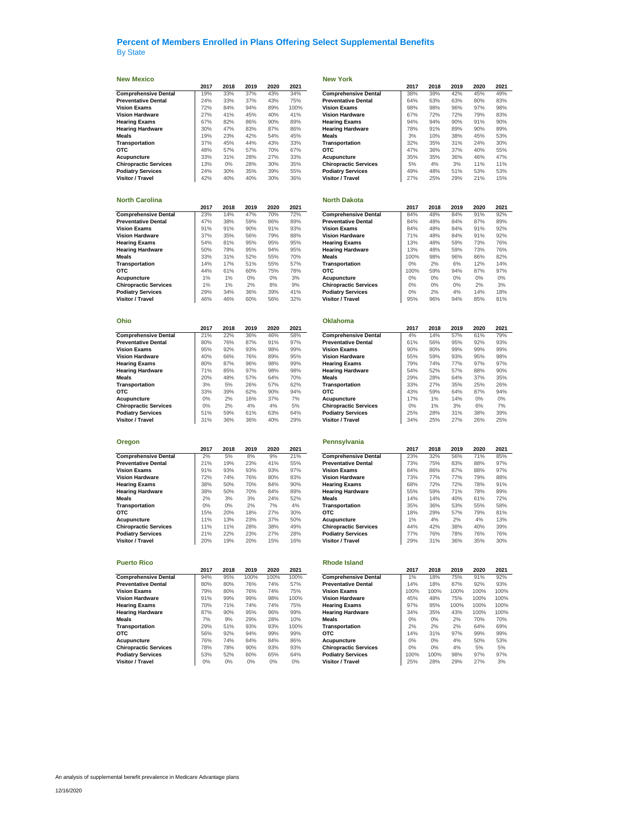### **New Mexico New York**

|                              | 2017 | 2018 | 2019 | 2020 | 2021 |                              | 2017  | 2018 | 2019 | 2020 | 2021 |
|------------------------------|------|------|------|------|------|------------------------------|-------|------|------|------|------|
| <b>Comprehensive Dental</b>  | 19%  | 33%  | 37%  | 43%  | 34%  | <b>Comprehensive Dental</b>  | 38%   | 39%  | 42%  | 45%  | 49%  |
| <b>Preventative Dental</b>   | 24%  | 33%  | 37%  | 43%  | 75%  | <b>Preventative Dental</b>   | 64%   | 63%  | 63%  | 80%  | 83%  |
| <b>Vision Exams</b>          | 72%  | 84%  | 94%  | 89%  | 100% | <b>Vision Exams</b>          | 98%   | 98%  | 96%  | 97%  | 98%  |
| <b>Vision Hardware</b>       | 27%  | 41%  | 45%  | 40%  | 41%  | <b>Vision Hardware</b>       | 67%   | 72%  | 72%  | 79%  | 83%  |
| <b>Hearing Exams</b>         | 67%  | 82%  | 86%  | 90%  | 89%  | <b>Hearing Exams</b>         | 94%   | 94%  | 90%  | 91%  | 90%  |
| <b>Hearing Hardware</b>      | 30%  | 47%  | 83%  | 87%  | 86%  | <b>Hearing Hardware</b>      | 78%   | 91%  | 89%  | 90%  | 89%  |
| <b>Meals</b>                 | 19%  | 23%  | 42%  | 54%  | 45%  | <b>Meals</b>                 | 3%    | 10%  | 38%  | 45%  | 53%  |
| Transportation               | 37%  | 45%  | 44%  | 43%  | 33%  | Transportation               | 32%   | 35%  | 31%  | 24%  | 30%  |
| <b>OTC</b>                   | 48%  | 57%  | 57%  | 70%  | 67%  | <b>OTC</b>                   | 47%   | 36%  | 37%  | 40%  | 55%  |
| Acupuncture                  | 33%  | 31%  | 28%  | 27%  | 33%  | Acupuncture                  | 35%   | 35%  | 36%  | 46%  | 47%  |
| <b>Chiropractic Services</b> | 13%  | 0%   | 28%  | 30%  | 35%  | <b>Chiropractic Services</b> | 5%    | 4%   | 3%   | 11%  | 11%  |
| <b>Podiatry Services</b>     | 24%  | 30%  | 35%  | 39%  | 55%  | <b>Podiatry Services</b>     | 49%   | 48%  | 51%  | 53%  | 53%  |
| <b>Visitor / Travel</b>      | 42%  | 40%  | 40%  | 30%  | 36%  | Visitor / Travel             | 27%   | 25%  | 29%  | 21%  | 15%  |
| <b>North Carolina</b>        |      |      |      |      |      | <b>North Dakota</b>          |       |      |      |      |      |
|                              | 2017 | 2018 | 2019 | 2020 | 2021 |                              | 2017  | 2018 | 2019 | 2020 | 2021 |
| <b>Comprehensive Dental</b>  | 23%  | 14%  | 47%  | 70%  | 72%  | <b>Comprehensive Dental</b>  | 84%   | 48%  | 84%  | 91%  | 92%  |
| <b>Preventative Dental</b>   | 47%  | 38%  | 59%  | 86%  | 89%  | <b>Preventative Dental</b>   | 84%   | 48%  | 84%  | 87%  | 89%  |
| <b>Vision Exams</b>          | 91%  | 91%  | 90%  | 91%  | 93%  | <b>Vision Exams</b>          | 84%   | 48%  | 84%  | 91%  | 92%  |
| <b>Vision Hardware</b>       | 37%  | 35%  | 56%  | 79%  | 88%  | <b>Vision Hardware</b>       | 71%   | 48%  | 84%  | 91%  | 92%  |
| <b>Hearing Exams</b>         | 54%  | 81%  | 95%  | 95%  | 95%  | <b>Hearing Exams</b>         | 13%   | 48%  | 59%  | 73%  | 76%  |
| <b>Hearing Hardware</b>      | 50%  | 78%  | 95%  | 94%  | 95%  | <b>Hearing Hardware</b>      | 13%   | 48%  | 59%  | 73%  | 76%  |
| <b>Meals</b>                 | 33%  | 31%  | 52%  | 55%  | 70%  | <b>Meals</b>                 | 100%  | 98%  | 96%  | 86%  | 82%  |
| Transportation               | 14%  | 17%  | 51%  | 55%  | 57%  | Transportation               | $0\%$ | 2%   | 6%   | 12%  | 14%  |
| <b>OTC</b>                   | 44%  | 61%  | 60%  | 75%  | 78%  | <b>OTC</b>                   | 100%  | 59%  | 94%  | 87%  | 97%  |

| Ohio                         |      |      |      |      |      | <b>Oklahoma</b>              |      |      |      |       |      |
|------------------------------|------|------|------|------|------|------------------------------|------|------|------|-------|------|
|                              | 2017 | 2018 | 2019 | 2020 | 2021 |                              | 2017 | 2018 | 2019 | 2020  | 2021 |
| <b>Comprehensive Dental</b>  | 21%  | 22%  | 36%  | 46%  | 58%  | <b>Comprehensive Dental</b>  | 4%   | 14%  | 57%  | 61%   | 79%  |
| <b>Preventative Dental</b>   | 80%  | 76%  | 87%  | 91%  | 97%  | <b>Preventative Dental</b>   | 61%  | 56%  | 95%  | 92%   | 93%  |
| <b>Vision Exams</b>          | 95%  | 92%  | 93%  | 98%  | 99%  | <b>Vision Exams</b>          | 90%  | 80%  | 99%  | 99%   | 99%  |
| <b>Vision Hardware</b>       | 40%  | 66%  | 76%  | 89%  | 95%  | <b>Vision Hardware</b>       | 55%  | 59%  | 93%  | 95%   | 98%  |
| <b>Hearing Exams</b>         | 80%  | 87%  | 96%  | 98%  | 99%  | <b>Hearing Exams</b>         | 79%  | 74%  | 77%  | 97%   | 97%  |
| <b>Hearing Hardware</b>      | 71%  | 85%  | 97%  | 98%  | 98%  | <b>Hearing Hardware</b>      | 54%  | 52%  | 57%  | 88%   | 90%  |
| Meals                        | 20%  | 48%  | 57%  | 64%  | 70%  | <b>Meals</b>                 | 29%  | 28%  | 64%  | 37%   | 35%  |
| Transportation               | 3%   | 5%   | 26%  | 57%  | 62%  | Transportation               | 33%  | 27%  | 35%  | 25%   | 26%  |
| <b>OTC</b>                   | 33%  | 39%  | 62%  | 90%  | 94%  | <b>OTC</b>                   | 43%  | 59%  | 64%  | 87%   | 94%  |
| Acupuncture                  | 0%   | 2%   | 16%  | 37%  | 7%   | Acupuncture                  | 17%  | 1%   | 14%  | $0\%$ | 0%   |
| <b>Chiropractic Services</b> | 0%   | 2%   | 4%   | 4%   | 5%   | <b>Chiropractic Services</b> | 0%   | 1%   | 3%   | 6%    | 7%   |
| <b>Podiatry Services</b>     | 51%  | 59%  | 61%  | 63%  | 64%  | <b>Podiatry Services</b>     | 25%  | 28%  | 31%  | 38%   | 39%  |
| Visitor / Travel             | 31%  | 36%  | 36%  | 40%  | 29%  | Visitor / Travel             | 34%  | 25%  | 27%  | 26%   | 25%  |

|                              | 2017 | 2018  | 2019 | 2020 | 2021 |                              | 2017 | 2018 | 2019 | 2020 | 2021 |
|------------------------------|------|-------|------|------|------|------------------------------|------|------|------|------|------|
| <b>Comprehensive Dental</b>  | 2%   | 5%    | 8%   | 9%   | 21%  | <b>Comprehensive Dental</b>  | 23%  | 32%  | 56%  | 71%  | 85%  |
| <b>Preventative Dental</b>   | 21%  | 19%   | 23%  | 41%  | 55%  | <b>Preventative Dental</b>   | 73%  | 75%  | 83%  | 88%  | 97%  |
| <b>Vision Exams</b>          | 91%  | 93%   | 93%  | 93%  | 97%  | <b>Vision Exams</b>          | 84%  | 86%  | 87%  | 88%  | 97%  |
| <b>Vision Hardware</b>       | 2%   | 74%   | 76%  | 80%  | 83%  | <b>Vision Hardware</b>       | 73%  | 77%  | 77%  | 79%  | 88%  |
| <b>Hearing Exams</b>         | 38%  | 50%   | 70%  | 84%  | 90%  | <b>Hearing Exams</b>         | 68%  | 72%  | 72%  | 78%  | 91%  |
| <b>Hearing Hardware</b>      | 38%  | 50%   | 70%  | 84%  | 89%  | <b>Hearing Hardware</b>      | 55%  | 59%  | 71%  | 78%  | 89%  |
| Meals                        | 2%   | 3%    | 3%   | 24%  | 52%  | <b>Meals</b>                 | 14%  | 14%  | 40%  | 61%  | 72%  |
| Transportation               | 0%   | $0\%$ | 2%   | 7%   | 4%   | Transportation               | 35%  | 36%  | 53%  | 55%  | 58%  |
| <b>OTC</b>                   | 5%   | 20%   | 18%  | 27%  | 30%  | <b>OTC</b>                   | 18%  | 29%  | 57%  | 79%  | 81%  |
| Acupuncture                  | 1%   | 13%   | 23%  | 37%  | 50%  | Acupuncture                  | 1%   | 4%   | 2%   | 4%   | 13%  |
| <b>Chiropractic Services</b> | 1%   | 11%   | 28%  | 38%  | 49%  | <b>Chiropractic Services</b> | 44%  | 42%  | 38%  | 40%  | 39%  |
| <b>Podiatry Services</b>     | 21%  | 22%   | 23%  | 27%  | 28%  | <b>Podiatry Services</b>     | 77%  | 76%  | 78%  | 76%  | 76%  |
| Visitor / Travel             | 20%  | 19%   | 20%  | 15%  | 16%  | Visitor / Travel             | 29%  | 31%  | 36%  | 35%  | 30%  |

|                              | 20 T Z | 2018 | 2019 | 2020  | 2021 |                              | 2017 | 2018 | 2019 | 2020 | 2021 |
|------------------------------|--------|------|------|-------|------|------------------------------|------|------|------|------|------|
| <b>Comprehensive Dental</b>  | 94%    | 95%  | 100% | 100%  | 100% | <b>Comprehensive Dental</b>  | 1%   | 18%  | 75%  | 91%  | 92%  |
| <b>Preventative Dental</b>   | 80%    | 80%  | 76%  | 74%   | 57%  | <b>Preventative Dental</b>   | 14%  | 18%  | 87%  | 92%  | 93%  |
| <b>Vision Exams</b>          | 79%    | 80%  | 76%  | 74%   | 75%  | <b>Vision Exams</b>          | 100% | 100% | 100% | 100% | 100% |
| <b>Vision Hardware</b>       | 91%    | 99%  | 99%  | 98%   | 100% | <b>Vision Hardware</b>       | 45%  | 48%  | 75%  | 100% | 100% |
| <b>Hearing Exams</b>         | 70%    | 71%  | 74%  | 74%   | 75%  | <b>Hearing Exams</b>         | 97%  | 95%  | 100% | 100% | 100% |
| <b>Hearing Hardware</b>      | 87%    | 90%  | 95%  | 96%   | 99%  | <b>Hearing Hardware</b>      | 34%  | 35%  | 43%  | 100% | 100% |
| Meals                        | 7%     | 9%   | 29%  | 28%   | 10%  | <b>Meals</b>                 | 0%   | 0%   | 2%   | 70%  | 70%  |
| <b>Transportation</b>        | 29%    | 51%  | 93%  | 93%   | 100% | Transportation               | 2%   | 2%   | 2%   | 64%  | 69%  |
| отс                          | 56%    | 92%  | 94%  | 99%   | 99%  | OTC                          | 14%  | 31%  | 97%  | 99%  | 99%  |
| Acupuncture                  | 76%    | 74%  | 84%  | 84%   | 86%  | Acupuncture                  | 0%   | 0%   | 4%   | 50%  | 53%  |
| <b>Chiropractic Services</b> | 78%    | 78%  | 90%  | 93%   | 93%  | <b>Chiropractic Services</b> | 0%   | 0%   | 4%   | 5%   | 5%   |
| <b>Podiatry Services</b>     | 53%    | 52%  | 60%  | 65%   | 64%  | <b>Podiatry Services</b>     | 100% | 100% | 98%  | 97%  | 97%  |
| Visitor / Travel             | 0%     | 0%   | 0%   | $0\%$ | 0%   | Visitor / Travel             | 25%  | 28%  | 29%  | 27%  | 3%   |

### **2017 2018 2019 2020 2021 2017 2018 2019 2020 2021 Comprehensive Dental** 1986<br> **Preventative Dental** 1986 33% 42% 45% 49%<br> **Preventative Dental** 1986 63% 63% 80% 83% **Preventative Dental** 24% 33% 37% 43% 75% **Preventative Dental** 64% 63% 63% 80% 83% **Hearing Exams 194%** 84% 90% 91% 90% 91% 90% 91% 90% **Hearing Hardware** 30% 47% 83% 87% 86% **Hearing Hardware** 78% 91% 89% 90% 89% **Transportation** 32% 35% 31% 24% 30%<br> **OTC** 47% 36% 37% 40% 55% **North Dakota 2017 2018 2019 2020 2021 2017 2018 2019 2020 2021 Preventative Dental Vision Hardware 37% 36% 84% 91% 92% 11% 11% 88% 84% 91% 92%**<br> **Hearing Exams** 13% 48% 59% 73% 76% **Hearing Exams 13%** 88% 59% 73% 76% **Hearing Hardware** 13% 48% 59% 73% 76% **Hearing Hardware** 50% 78% 95% 94% 95% **Hearing Hardware** 13% 48% 59% 73% 76% **Transportation** 14% 16% 2% 6% 12% 14%<br> **OTC** 100% 59% 94% 87% 97% **Acupuncture** 1% 1% 0% 0% 3% **Acupuncture** 0% 0% 0% 0% 0% **Chiropractic Services** 1% 1% 2% 8% 9% **Chiropractic Services** 0% 0% 0% 2% 3% **Podiatry Services** 29% 34% 36% 39% 41% **Podiatry Services** 0% 2% 4% 14% 18% **Visitor / Travel** 46% 46% 60% 56% 32% **Visitor / Travel** 95% 96% 94% 85% 81% **Ohio Oklahoma 2017 2018 2019 2020 2021 2017 2018 2019 2020 2021**  $Comprehensive Dental$ **Preventative Dental**  $61\%$  56% 95% 92% 93%<br> **Vision Exams** 90% 80% 99% 99% 99% **Hearing Exams**<br> **Hearing Hardware**<br> **Hearing Hardware**<br> **Meals 199%** 88% 57% 88% 90%<br> **199%** 88% 64% 37% 35% **Transportation** 33% 27% 35% 25% 26% **OTC Chiropractic Services** 0% 2% 4% 4% 5% **Chiropractic Services** 0% 1% 3% 6% 7% **Podiatry Services 1** 25% 28% 31% 38% 39% **Visitor / Travel** 34% 25% 27% 26% 25%

| Oregon                       |      |      |      |      |      | Pennsylvania                 |      |      |      |      |      |
|------------------------------|------|------|------|------|------|------------------------------|------|------|------|------|------|
|                              | 2017 | 2018 | 2019 | 2020 | 2021 |                              | 2017 | 2018 | 2019 | 2020 | 2021 |
| <b>Comprehensive Dental</b>  | 2%   | 5%   | 8%   | 9%   | 21%  | <b>Comprehensive Dental</b>  | 23%  | 32%  | 56%  | 71%  | 85%  |
| Preventative Dental          | 21%  | 19%  | 23%  | 41%  | 55%  | <b>Preventative Dental</b>   | 73%  | 75%  | 83%  | 88%  | 97%  |
| <b>Vision Exams</b>          | 91%  | 93%  | 93%  | 93%  | 97%  | <b>Vision Exams</b>          | 84%  | 86%  | 87%  | 88%  | 97%  |
| Vision Hardware              | 72%  | 74%  | 76%  | 80%  | 83%  | <b>Vision Hardware</b>       | 73%  | 77%  | 77%  | 79%  | 88%  |
| Hearing Exams                | 38%  | 50%  | 70%  | 84%  | 90%  | <b>Hearing Exams</b>         | 68%  | 72%  | 72%  | 78%  | 91%  |
| <b>Hearing Hardware</b>      | 38%  | 50%  | 70%  | 84%  | 89%  | <b>Hearing Hardware</b>      | 55%  | 59%  | 71%  | 78%  | 89%  |
| Meals                        | 2%   | 3%   | 3%   | 24%  | 52%  | <b>Meals</b>                 | 14%  | 14%  | 40%  | 61%  | 72%  |
| <b>Transportation</b>        | 0%   | 0%   | 2%   | 7%   | 4%   | Transportation               | 35%  | 36%  | 53%  | 55%  | 58%  |
| отс                          | 15%  | 20%  | 18%  | 27%  | 30%  | <b>OTC</b>                   | 18%  | 29%  | 57%  | 79%  | 81%  |
| Acupuncture                  | 11%  | 13%  | 23%  | 37%  | 50%  | Acupuncture                  | 1%   | 4%   | 2%   | 4%   | 13%  |
| <b>Chiropractic Services</b> | 11%  | 11%  | 28%  | 38%  | 49%  | <b>Chiropractic Services</b> | 44%  | 42%  | 38%  | 40%  | 39%  |
| <b>Podiatry Services</b>     | 21%  | 22%  | 23%  | 27%  | 28%  | <b>Podiatry Services</b>     | 77%  | 76%  | 78%  | 76%  | 76%  |
| Visitor / Travel             | 20%  | 19%  | 20%  | 15%  | 16%  | Visitor / Travel             | 29%  | 31%  | 36%  | 35%  | 30%  |
|                              |      |      |      |      |      |                              |      |      |      |      |      |

| <b>Puerto Rico</b>           |      |       |       |       |      | <b>Rhode Island</b>          |      |       |      |      |      |
|------------------------------|------|-------|-------|-------|------|------------------------------|------|-------|------|------|------|
|                              | 2017 | 2018  | 2019  | 2020  | 2021 |                              | 2017 | 2018  | 2019 | 2020 | 2021 |
| <b>Comprehensive Dental</b>  | 94%  | 95%   | 100%  | 100%  | 100% | <b>Comprehensive Dental</b>  | 1%   | 18%   | 75%  | 91%  | 92%  |
| <b>Preventative Dental</b>   | 80%  | 80%   | 76%   | 74%   | 57%  | <b>Preventative Dental</b>   | 14%  | 18%   | 87%  | 92%  | 93%  |
| <b>Vision Exams</b>          | 79%  | 80%   | 76%   | 74%   | 75%  | <b>Vision Exams</b>          | 100% | 100%  | 100% | 100% | 100% |
| Vision Hardware              | 91%  | 99%   | 99%   | 98%   | 100% | <b>Vision Hardware</b>       | 45%  | 48%   | 75%  | 100% | 100% |
| Hearing Exams                | 70%  | 71%   | 74%   | 74%   | 75%  | <b>Hearing Exams</b>         | 97%  | 95%   | 100% | 100% | 100% |
| <b>Hearing Hardware</b>      | 87%  | 90%   | 95%   | 96%   | 99%  | <b>Hearing Hardware</b>      | 34%  | 35%   | 43%  | 100% | 100% |
| Meals                        | 7%   | 9%    | 29%   | 28%   | 10%  | Meals                        | 0%   | $0\%$ | 2%   | 70%  | 70%  |
| Transportation               | 29%  | 51%   | 93%   | 93%   | 100% | Transportation               | 2%   | 2%    | 2%   | 64%  | 69%  |
| отс                          | 56%  | 92%   | 94%   | 99%   | 99%  | <b>OTC</b>                   | 14%  | 31%   | 97%  | 99%  | 99%  |
| Acupuncture                  | 76%  | 74%   | 84%   | 84%   | 86%  | Acupuncture                  | 0%   | 0%    | 4%   | 50%  | 53%  |
| <b>Chiropractic Services</b> | 78%  | 78%   | 90%   | 93%   | 93%  | <b>Chiropractic Services</b> | 0%   | 0%    | 4%   | 5%   | 5%   |
| <b>Podiatry Services</b>     | 53%  | 52%   | 60%   | 65%   | 64%  | <b>Podiatry Services</b>     | 100% | 100%  | 98%  | 97%  | 97%  |
| Visitor / Travel             | 0%   | $0\%$ | $0\%$ | $0\%$ | 0%   | Visitor / Travel             | 25%  | 28%   | 29%  | 27%  | 3%   |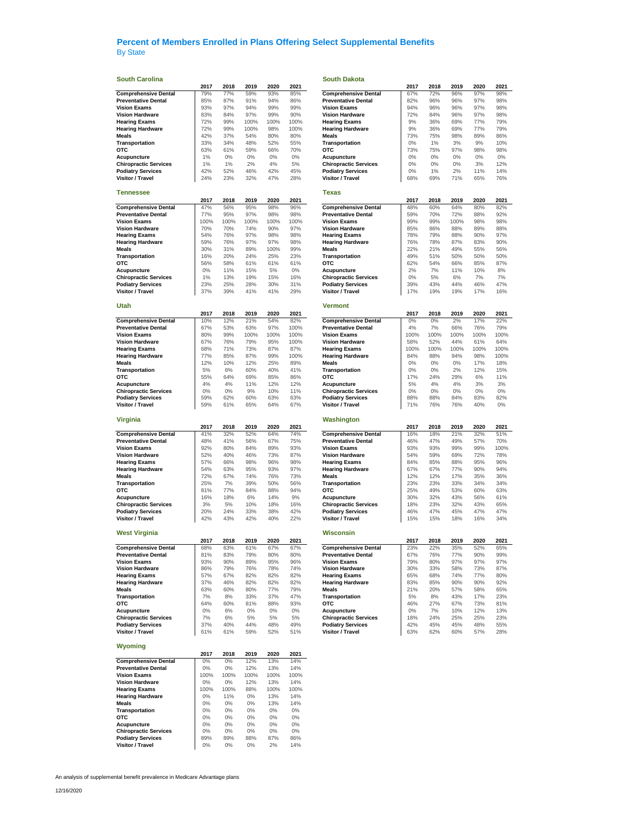### **South Carolina South Dakota**

| <b>Comprehensive Dental</b>                  |              |              | 2019      | 2020      | 2021       |                              | 2017  | 2018 | 2019 | 2020 | 2021  |
|----------------------------------------------|--------------|--------------|-----------|-----------|------------|------------------------------|-------|------|------|------|-------|
|                                              | 79%          | 77%          | 59%       | 93%       | 85%        | <b>Comprehensive Dental</b>  | 67%   | 72%  | 96%  | 97%  | 98%   |
| <b>Preventative Dental</b>                   | 85%          | 87%          | 91%       | 94%       | 86%        | <b>Preventative Dental</b>   | 82%   | 96%  | 96%  | 97%  | 98%   |
| <b>Vision Exams</b>                          | 93%          | 97%          | 94%       | 99%       | 99%        | <b>Vision Exams</b>          | 94%   | 96%  | 96%  | 97%  | 98%   |
|                                              |              |              |           |           |            |                              |       |      |      |      |       |
| <b>Vision Hardware</b>                       | 83%          | 84%          | 97%       | 99%       | 90%        | <b>Vision Hardware</b>       | 72%   | 84%  | 96%  | 97%  | 98%   |
| <b>Hearing Exams</b>                         | 72%          | 99%          | 100%      | 100%      | 100%       | <b>Hearing Exams</b>         | 9%    | 36%  | 69%  | 77%  | 79%   |
| <b>Hearing Hardware</b>                      | 72%          | 99%          | 100%      | 98%       | 100%       | <b>Hearing Hardware</b>      | 9%    | 36%  | 69%  | 77%  | 79%   |
| Meals                                        | 42%          | 37%          | 54%       | 80%       | 80%        | Meals                        | 73%   | 75%  | 98%  | 89%  | 86%   |
| Transportation                               | 33%          | 34%          | 48%       | 52%       | 55%        | Transportation               | 0%    | 1%   | 3%   | 9%   | 10%   |
| <b>OTC</b>                                   | 63%          | 61%          | 59%       | 66%       | 70%        | отс                          | 73%   | 75%  | 97%  | 98%  | 98%   |
|                                              |              |              |           |           |            |                              |       |      |      |      |       |
| Acupuncture                                  | 1%           | 0%           | $0\%$     | $0\%$     | $0\%$      | Acupuncture                  | 0%    | 0%   | 0%   | 0%   | $0\%$ |
| <b>Chiropractic Services</b>                 | 1%           | 1%           | 2%        | 4%        | $5\%$      | <b>Chiropractic Services</b> | 0%    | 0%   | 0%   | 3%   | 12%   |
| <b>Podiatry Services</b>                     | 42%          | 52%          | 46%       | 42%       | 45%        | <b>Podiatry Services</b>     | 0%    | 1%   | 2%   | 11%  | 14%   |
| <b>Visitor / Travel</b>                      | 24%          | 23%          | 32%       | 47%       | 28%        | Visitor / Travel             | 68%   | 69%  | 71%  | 65%  | 76%   |
|                                              |              |              |           |           |            |                              |       |      |      |      |       |
|                                              |              |              |           |           |            |                              |       |      |      |      |       |
| <b>Tennessee</b>                             |              |              |           |           |            | Texas                        |       |      |      |      |       |
|                                              | 2017         | 2018         | 2019      | 2020      | 2021       |                              | 2017  | 2018 | 2019 | 2020 | 2021  |
| <b>Comprehensive Dental</b>                  | 47%          | 56%          | 95%       | 98%       | 96%        | <b>Comprehensive Dental</b>  | 48%   | 60%  | 64%  | 80%  | 82%   |
| <b>Preventative Dental</b>                   | 77%          | 95%          | 97%       | 98%       | 98%        | <b>Preventative Dental</b>   | 59%   | 70%  | 72%  | 88%  | 92%   |
| <b>Vision Exams</b>                          | 100%         | 100%         | 100%      | 100%      | 100%       | <b>Vision Exams</b>          | 99%   | 99%  | 100% | 98%  | 98%   |
| <b>Vision Hardware</b>                       |              |              | 74%       | 90%       |            | <b>Vision Hardware</b>       | 85%   |      |      |      |       |
|                                              | 70%          | 70%          |           |           | 97%        |                              |       | 86%  | 88%  | 89%  | 88%   |
| <b>Hearing Exams</b>                         | 54%          | 76%          | 97%       | 98%       | 98%        | <b>Hearing Exams</b>         | 78%   | 79%  | 88%  | 90%  | 97%   |
| <b>Hearing Hardware</b>                      | 59%          | 76%          | 97%       | 97%       | 98%        | <b>Hearing Hardware</b>      | 76%   | 78%  | 87%  | 83%  | 90%   |
| <b>Meals</b>                                 | 30%          | 31%          | 89%       | 100%      | 99%        | Meals                        | 22%   | 21%  | 49%  | 55%  | 56%   |
| Transportation                               | 16%          | 20%          | 24%       | 25%       | 23%        | Transportation               | 49%   | 51%  | 50%  | 50%  | 50%   |
| отс                                          | 56%          | 58%          | 61%       | 61%       | 61%        | отс                          | 62%   | 54%  | 66%  | 85%  | 87%   |
|                                              |              |              |           | $5\%$     |            |                              |       |      |      |      |       |
| Acupuncture                                  | 0%           | 11%          | 15%       |           | $0\%$      | Acupuncture                  | 2%    | 7%   | 11%  | 10%  | 8%    |
| <b>Chiropractic Services</b>                 | 1%           | 13%          | 19%       | 15%       | 16%        | <b>Chiropractic Services</b> | 0%    | 5%   | 6%   | 7%   | 7%    |
| <b>Podiatry Services</b>                     | 23%          | 25%          | 28%       | 30%       | 31%        | <b>Podiatry Services</b>     | 39%   | 43%  | 44%  | 46%  | 47%   |
| Visitor / Travel                             | 37%          | 39%          | 41%       | 41%       | 29%        | Visitor / Travel             | 17%   | 19%  | 19%  | 17%  | 16%   |
|                                              |              |              |           |           |            |                              |       |      |      |      |       |
|                                              |              |              |           |           |            | <b>Vermont</b>               |       |      |      |      |       |
| Utah                                         |              |              |           |           |            |                              |       |      |      |      |       |
|                                              | 2017         | 2018         | 2019      | 2020      | 2021       |                              | 2017  | 2018 | 2019 | 2020 | 2021  |
| <b>Comprehensive Dental</b>                  | 10%          | 12%          | 21%       | 54%       | 82%        | <b>Comprehensive Dental</b>  | 0%    | 0%   | 2%   | 17%  | 22%   |
| <b>Preventative Dental</b>                   | 67%          | 53%          | 63%       | 97%       | 100%       | <b>Preventative Dental</b>   | 4%    | 7%   | 66%  | 76%  | 79%   |
| <b>Vision Exams</b>                          | 80%          | 99%          | 100%      | 100%      | 100%       | <b>Vision Exams</b>          | 100%  | 100% | 100% | 100% | 100%  |
|                                              |              |              |           |           |            |                              |       |      |      |      |       |
| <b>Vision Hardware</b>                       | 67%          | 76%          | 79%       | 95%       | 100%       | <b>Vision Hardware</b>       | 58%   | 52%  | 44%  | 61%  | 64%   |
| <b>Hearing Exams</b>                         | 68%          | 71%          | 73%       | 87%       | 87%        | <b>Hearing Exams</b>         | 100%  | 100% | 100% | 100% | 100%  |
| <b>Hearing Hardware</b>                      | 77%          | 85%          | 87%       | 99%       | 100%       | <b>Hearing Hardware</b>      | 84%   | 88%  | 94%  | 98%  | 100%  |
| Meals                                        | 12%          | 10%          | 12%       | 25%       | 89%        | Meals                        | $0\%$ | 0%   | 0%   | 17%  | 18%   |
| Transportation                               | 5%           | 6%           | 60%       | 40%       | 41%        | Transportation               | 0%    | 0%   | 2%   | 12%  | 15%   |
| отс                                          | 55%          | 64%          | 69%       | 85%       | 86%        | отс                          | 17%   | 24%  | 29%  | 6%   | 11%   |
|                                              |              |              |           |           |            |                              |       |      |      |      |       |
| Acupuncture                                  | 4%           | 4%           | 11%       | 12%       | 12%        | Acupuncture                  | 5%    | 4%   | 4%   | 3%   | 3%    |
| <b>Chiropractic Services</b>                 | 0%           | 0%           | 9%        | 10%       | 11%        | <b>Chiropractic Services</b> | 0%    | 0%   | 0%   | 0%   | $0\%$ |
| <b>Podiatry Services</b>                     | 59%          | 62%          | 60%       | 63%       | 63%        | <b>Podiatry Services</b>     | 88%   | 88%  | 84%  | 83%  | 82%   |
| <b>Visitor / Travel</b>                      | 59%          | 61%          | 65%       | 64%       | 67%        | Visitor / Travel             | 71%   | 76%  | 76%  | 40%  | $0\%$ |
|                                              |              |              |           |           |            |                              |       |      |      |      |       |
|                                              |              |              |           |           |            |                              |       |      |      |      |       |
| <b>Virginia</b>                              |              |              |           |           |            | Washington                   |       |      |      |      |       |
|                                              | 2017         | 2018         | 2019      | 2020      | 2021       |                              | 2017  | 2018 | 2019 | 2020 | 2021  |
|                                              |              |              |           |           |            |                              |       |      |      |      | 51%   |
|                                              | 41%          | 32%          | 52%       | 64%       | 74%        |                              | 16%   | 18%  | 21%  | 32%  |       |
| <b>Comprehensive Dental</b>                  |              |              |           |           |            | <b>Comprehensive Dental</b>  |       |      |      |      |       |
| <b>Preventative Dental</b>                   | 48%          | 41%          | 56%       | 67%       | 75%        | <b>Preventative Dental</b>   | 46%   | 47%  | 49%  | 57%  | 70%   |
| <b>Vision Exams</b>                          | 92%          | 80%          | 84%       | 89%       | 93%        | <b>Vision Exams</b>          | 93%   | 93%  | 99%  | 99%  | 100%  |
| <b>Vision Hardware</b>                       | 52%          | 40%          | 46%       | 73%       | 87%        | <b>Vision Hardware</b>       | 54%   | 59%  | 69%  | 72%  | 78%   |
| <b>Hearing Exams</b>                         | 57%          | 66%          | 98%       | 96%       | 98%        | <b>Hearing Exams</b>         | 84%   | 85%  | 88%  | 95%  | 96%   |
| <b>Hearing Hardware</b>                      | 54%          | 63%          | 95%       | 93%       | 97%        | <b>Hearing Hardware</b>      | 67%   | 67%  | 77%  | 90%  | 94%   |
|                                              |              |              |           |           |            |                              |       |      |      |      |       |
| Meals                                        | 72%          | 67%          | 74%       | 76%       | 73%        | <b>Meals</b>                 | 12%   | 12%  | 17%  | 35%  | 36%   |
| Transportation                               | 25%          | 7%           | 39%       | 50%       | 56%        | Transportation               | 23%   | 23%  | 33%  | 34%  | 34%   |
| <b>OTC</b>                                   | 81%          | 77%          | 84%       | 88%       | 94%        | отс                          | 25%   | 49%  | 53%  | 60%  | 63%   |
| Acupuncture                                  | 16%          | 18%          | 6%        | 14%       | 9%         | Acupuncture                  | 30%   | 32%  | 43%  | 56%  | 61%   |
| <b>Chiropractic Services</b>                 | 3%           | 5%           | 10%       | 18%       | 16%        | <b>Chiropractic Services</b> | 18%   | 23%  | 32%  | 43%  | 65%   |
|                                              |              |              |           |           |            |                              |       |      |      |      |       |
| <b>Podiatry Services</b>                     | 20%          | 24%          | 33%       | 38%       | 42%        | <b>Podiatry Services</b>     | 46%   | 47%  | 45%  | 47%  | 47%   |
| Visitor / Travel                             | 42%          | 43%          | 42%       | 40%       | 22%        | Visitor / Travel             | 15%   | 15%  | 18%  | 16%  | 34%   |
|                                              |              |              |           |           |            |                              |       |      |      |      |       |
| <b>West Virginia</b>                         |              |              |           |           |            | Wisconsin                    |       |      |      |      |       |
|                                              | 2017         | 2018         | 2019      | 2020      | 2021       |                              | 2017  | 2018 | 2019 | 2020 | 2021  |
| <b>Comprehensive Dental</b>                  | 68%          | 63%          | 61%       | 67%       | 67%        | Comprehensive Dental         | 23%   | 22%  | 35%  | 52%  | 65%   |
| <b>Preventative Dental</b>                   | 81%          | 83%          | 79%       | 80%       | 80%        | <b>Preventative Dental</b>   | 67%   | 76%  | 77%  | 90%  | 99%   |
| <b>Vision Exams</b>                          | 93%          | 90%          | 89%       | 95%       | 96%        | <b>Vision Exams</b>          | 79%   | 80%  | 97%  | 97%  | 97%   |
|                                              |              |              |           |           |            |                              |       |      |      |      |       |
| <b>Vision Hardware</b>                       | 86%          | 79%          | 76%       | 78%       | 74%        | <b>Vision Hardware</b>       | 30%   | 33%  | 58%  | 73%  | 87%   |
| <b>Hearing Exams</b>                         | 57%          | 67%          | 82%       | 82%       | 82%        | <b>Hearing Exams</b>         | 65%   | 68%  | 74%  | 77%  | 80%   |
| <b>Hearing Hardware</b>                      | 37%          | 46%          | 82%       | 82%       | 82%        | <b>Hearing Hardware</b>      | 83%   | 85%  | 90%  | 90%  | 92%   |
| Meals                                        | 63%          | 60%          | 80%       | 77%       | 79%        | Meals                        | 21%   | 20%  | 57%  | 58%  | 65%   |
| Transportation                               | 7%           | 8%           | 33%       | 37%       | 47%        | Transportation               | 5%    | 8%   | 43%  | 17%  | 23%   |
| OTC                                          | 64%          | 60%          | 81%       | 88%       | 93%        | отс                          | 46%   | 27%  | 67%  |      |       |
|                                              |              |              |           |           |            |                              |       |      |      | 73%  | 81%   |
| Acupuncture                                  | $0\%$        | 6%           | $0\%$     | $0\%$     | $0\%$      | Acupuncture                  | $0\%$ | 7%   | 10%  | 12%  | 13%   |
| <b>Chiropractic Services</b>                 | 7%           | 6%           | 5%        | 5%        | 5%         | <b>Chiropractic Services</b> | 18%   | 24%  | 25%  | 25%  | 23%   |
| <b>Podiatry Services</b>                     | 37%          | 40%          | 44%       | 48%       | 49%        | <b>Podiatry Services</b>     | 42%   | 45%  | 45%  | 48%  | 55%   |
| Visitor / Travel                             | 61%          | 61%          | 59%       | 52%       | 51%        | Visitor / Travel             | 63%   | 62%  | 60%  | 57%  | 28%   |
|                                              |              |              |           |           |            |                              |       |      |      |      |       |
|                                              |              |              |           |           |            |                              |       |      |      |      |       |
| Wyoming                                      |              |              |           |           |            |                              |       |      |      |      |       |
|                                              | 2017         | 2018         | 2019      | 2020      | 2021       |                              |       |      |      |      |       |
| <b>Comprehensive Dental</b>                  | $0\%$        | $0\%$        | 12%       | 13%       | 14%        |                              |       |      |      |      |       |
| <b>Preventative Dental</b>                   | $0\%$        | $0\%$        | 12%       | 13%       | 14%        |                              |       |      |      |      |       |
|                                              |              |              |           |           |            |                              |       |      |      |      |       |
| <b>Vision Exams</b>                          | 100%         | 100%         | 100%      | 100%      | 100%       |                              |       |      |      |      |       |
| <b>Vision Hardware</b>                       | $0\%$        | $0\%$        | 12%       | 13%       | 14%        |                              |       |      |      |      |       |
| <b>Hearing Exams</b>                         | 100%         | 100%         | 88%       | 100%      | 100%       |                              |       |      |      |      |       |
| <b>Hearing Hardware</b>                      | $0\%$        | 11%          | $0\%$     | 13%       | 14%        |                              |       |      |      |      |       |
| Meals                                        | $0\%$        | $0\%$        | $0\%$     | 13%       | 14%        |                              |       |      |      |      |       |
|                                              |              |              |           |           |            |                              |       |      |      |      |       |
| Transportation                               | 0%           | 0%           | $0\%$     | $0\%$     | $0\%$      |                              |       |      |      |      |       |
| отс                                          | 0%           | $0\%$        | $0\%$     | $0\%$     | $0\%$      |                              |       |      |      |      |       |
| Acupuncture                                  | $0\%$        | $0\%$        | $0\%$     | $0\%$     | $0\%$      |                              |       |      |      |      |       |
| <b>Chiropractic Services</b>                 | $0\%$        | $0\%$        | 0%        | $0\%$     | $0\%$      |                              |       |      |      |      |       |
| <b>Podiatry Services</b><br>Visitor / Travel | 89%<br>$0\%$ | 89%<br>$0\%$ | 88%<br>0% | 87%<br>2% | 86%<br>14% |                              |       |      |      |      |       |

| 2017<br>79%<br>85%<br>93%<br>83%<br>72%<br>72%<br>42%<br>33%<br>63%<br>1%<br>1%<br>42%<br>24%<br>2017<br>47%<br>77%<br>100%<br>70%<br>54%<br>59%<br>30%<br>16%<br>56%<br>$0\%$<br>1%<br>23%<br>37%<br>2017 | 2018<br>77%<br>87%<br>97%<br>84%<br>99%<br>99%<br>37%<br>34%<br>61%<br>$0\%$<br>1%<br>52%<br>23%<br>2018<br>56%<br>95%<br>100%<br>70%<br>76%<br>76%<br>31%<br>20%<br>58%<br>11%<br>13%<br>25%<br>39% | 2019<br>59%<br>91%<br>94%<br>97%<br>100%<br>100%<br>54%<br>48%<br>59%<br>0%<br>2%<br>46%<br>32%<br>2019<br>95%<br>97%<br>100%<br>74%<br>97%<br>97%<br>89%<br>24%<br>61%<br>15%<br>19%<br>28%<br>41% | 2020<br>93%<br>94%<br>99%<br>99%<br>100%<br>98%<br>80%<br>52%<br>66%<br>$0\%$<br>4%<br>42%<br>47%<br>2020<br>98%<br>98%<br>100%<br>90%<br>98%<br>97%<br>100%<br>25%<br>61%<br>5%<br>15% | 2021<br>85%<br>86%<br>99%<br>90%<br>100%<br>100%<br>80%<br>55%<br>70%<br>0%<br>5%<br>45%<br>28%<br>2021<br>96%<br>98%<br>100%<br>97%<br>98%<br>98%<br>99%<br>23%<br>61%<br>$0\%$ | <b>Comprehensive Dental</b><br><b>Preventative Dental</b><br><b>Vision Exams</b><br><b>Vision Hardware</b><br><b>Hearing Exams</b><br><b>Hearing Hardware</b><br>Meals<br>Transportation<br>отс<br>Acupuncture<br><b>Chiropractic Services</b><br><b>Podiatry Services</b><br>Visitor / Travel<br><b>Texas</b><br><b>Comprehensive Dental</b><br><b>Preventative Dental</b><br><b>Vision Exams</b><br><b>Vision Hardware</b><br><b>Hearing Exams</b><br><b>Hearing Hardware</b><br>Meals<br>Transportation | 2017<br>67%<br>82%<br>94%<br>72%<br>9%<br>9%<br>73%<br>0%<br>73%<br>$0\%$<br>0%<br>0%<br>68%<br>2017<br>48%<br>59%<br>99%<br>85%<br>78%<br>76%<br>22% | 2018<br>72%<br>96%<br>96%<br>84%<br>36%<br>36%<br>75%<br>1%<br>75%<br>$0\%$<br>0%<br>1%<br>69%<br>2018<br>60%<br>70%<br>99%<br>86%<br>79%<br>78%<br>21% | 2019<br>96%<br>96%<br>96%<br>96%<br>69%<br>69%<br>98%<br>3%<br>97%<br>$0\%$<br>0%<br>2%<br>71%<br>2019<br>64%<br>72%<br>100%<br>88%<br>88%<br>87% | 2020<br>97%<br>97%<br>97%<br>97%<br>77%<br>77%<br>89%<br>9%<br>98%<br>$0\%$<br>3%<br>11%<br>65%<br>2020<br>80%<br>88%<br>98%<br>89%<br>90%<br>83% | 2021<br>98%<br>98%<br>98%<br>98%<br>79%<br>79%<br>86%<br>10%<br>98%<br>$0\%$<br>12%<br>14%<br>76%<br>2021<br>82%<br>92%<br>98%<br>88%<br>97%<br>90% |
|------------------------------------------------------------------------------------------------------------------------------------------------------------------------------------------------------------|------------------------------------------------------------------------------------------------------------------------------------------------------------------------------------------------------|-----------------------------------------------------------------------------------------------------------------------------------------------------------------------------------------------------|-----------------------------------------------------------------------------------------------------------------------------------------------------------------------------------------|----------------------------------------------------------------------------------------------------------------------------------------------------------------------------------|------------------------------------------------------------------------------------------------------------------------------------------------------------------------------------------------------------------------------------------------------------------------------------------------------------------------------------------------------------------------------------------------------------------------------------------------------------------------------------------------------------|-------------------------------------------------------------------------------------------------------------------------------------------------------|---------------------------------------------------------------------------------------------------------------------------------------------------------|---------------------------------------------------------------------------------------------------------------------------------------------------|---------------------------------------------------------------------------------------------------------------------------------------------------|-----------------------------------------------------------------------------------------------------------------------------------------------------|
|                                                                                                                                                                                                            |                                                                                                                                                                                                      |                                                                                                                                                                                                     |                                                                                                                                                                                         |                                                                                                                                                                                  |                                                                                                                                                                                                                                                                                                                                                                                                                                                                                                            |                                                                                                                                                       |                                                                                                                                                         |                                                                                                                                                   |                                                                                                                                                   |                                                                                                                                                     |
|                                                                                                                                                                                                            |                                                                                                                                                                                                      |                                                                                                                                                                                                     |                                                                                                                                                                                         |                                                                                                                                                                                  |                                                                                                                                                                                                                                                                                                                                                                                                                                                                                                            |                                                                                                                                                       |                                                                                                                                                         |                                                                                                                                                   |                                                                                                                                                   |                                                                                                                                                     |
|                                                                                                                                                                                                            |                                                                                                                                                                                                      |                                                                                                                                                                                                     |                                                                                                                                                                                         |                                                                                                                                                                                  |                                                                                                                                                                                                                                                                                                                                                                                                                                                                                                            |                                                                                                                                                       |                                                                                                                                                         |                                                                                                                                                   |                                                                                                                                                   |                                                                                                                                                     |
|                                                                                                                                                                                                            |                                                                                                                                                                                                      |                                                                                                                                                                                                     |                                                                                                                                                                                         |                                                                                                                                                                                  |                                                                                                                                                                                                                                                                                                                                                                                                                                                                                                            |                                                                                                                                                       |                                                                                                                                                         |                                                                                                                                                   |                                                                                                                                                   |                                                                                                                                                     |
|                                                                                                                                                                                                            |                                                                                                                                                                                                      |                                                                                                                                                                                                     |                                                                                                                                                                                         |                                                                                                                                                                                  |                                                                                                                                                                                                                                                                                                                                                                                                                                                                                                            |                                                                                                                                                       |                                                                                                                                                         |                                                                                                                                                   |                                                                                                                                                   |                                                                                                                                                     |
|                                                                                                                                                                                                            |                                                                                                                                                                                                      |                                                                                                                                                                                                     |                                                                                                                                                                                         |                                                                                                                                                                                  |                                                                                                                                                                                                                                                                                                                                                                                                                                                                                                            |                                                                                                                                                       |                                                                                                                                                         |                                                                                                                                                   |                                                                                                                                                   |                                                                                                                                                     |
|                                                                                                                                                                                                            |                                                                                                                                                                                                      |                                                                                                                                                                                                     |                                                                                                                                                                                         |                                                                                                                                                                                  |                                                                                                                                                                                                                                                                                                                                                                                                                                                                                                            |                                                                                                                                                       |                                                                                                                                                         |                                                                                                                                                   |                                                                                                                                                   |                                                                                                                                                     |
|                                                                                                                                                                                                            |                                                                                                                                                                                                      |                                                                                                                                                                                                     |                                                                                                                                                                                         |                                                                                                                                                                                  |                                                                                                                                                                                                                                                                                                                                                                                                                                                                                                            |                                                                                                                                                       |                                                                                                                                                         |                                                                                                                                                   |                                                                                                                                                   |                                                                                                                                                     |
|                                                                                                                                                                                                            |                                                                                                                                                                                                      |                                                                                                                                                                                                     |                                                                                                                                                                                         |                                                                                                                                                                                  |                                                                                                                                                                                                                                                                                                                                                                                                                                                                                                            |                                                                                                                                                       |                                                                                                                                                         |                                                                                                                                                   |                                                                                                                                                   |                                                                                                                                                     |
|                                                                                                                                                                                                            |                                                                                                                                                                                                      |                                                                                                                                                                                                     |                                                                                                                                                                                         |                                                                                                                                                                                  |                                                                                                                                                                                                                                                                                                                                                                                                                                                                                                            |                                                                                                                                                       |                                                                                                                                                         |                                                                                                                                                   |                                                                                                                                                   |                                                                                                                                                     |
|                                                                                                                                                                                                            |                                                                                                                                                                                                      |                                                                                                                                                                                                     |                                                                                                                                                                                         |                                                                                                                                                                                  |                                                                                                                                                                                                                                                                                                                                                                                                                                                                                                            |                                                                                                                                                       |                                                                                                                                                         |                                                                                                                                                   |                                                                                                                                                   |                                                                                                                                                     |
|                                                                                                                                                                                                            |                                                                                                                                                                                                      |                                                                                                                                                                                                     |                                                                                                                                                                                         |                                                                                                                                                                                  |                                                                                                                                                                                                                                                                                                                                                                                                                                                                                                            |                                                                                                                                                       |                                                                                                                                                         |                                                                                                                                                   |                                                                                                                                                   |                                                                                                                                                     |
|                                                                                                                                                                                                            |                                                                                                                                                                                                      |                                                                                                                                                                                                     |                                                                                                                                                                                         |                                                                                                                                                                                  |                                                                                                                                                                                                                                                                                                                                                                                                                                                                                                            |                                                                                                                                                       |                                                                                                                                                         |                                                                                                                                                   |                                                                                                                                                   |                                                                                                                                                     |
|                                                                                                                                                                                                            |                                                                                                                                                                                                      |                                                                                                                                                                                                     |                                                                                                                                                                                         |                                                                                                                                                                                  |                                                                                                                                                                                                                                                                                                                                                                                                                                                                                                            |                                                                                                                                                       |                                                                                                                                                         |                                                                                                                                                   |                                                                                                                                                   |                                                                                                                                                     |
|                                                                                                                                                                                                            |                                                                                                                                                                                                      |                                                                                                                                                                                                     |                                                                                                                                                                                         |                                                                                                                                                                                  |                                                                                                                                                                                                                                                                                                                                                                                                                                                                                                            |                                                                                                                                                       |                                                                                                                                                         |                                                                                                                                                   |                                                                                                                                                   |                                                                                                                                                     |
|                                                                                                                                                                                                            |                                                                                                                                                                                                      |                                                                                                                                                                                                     |                                                                                                                                                                                         |                                                                                                                                                                                  |                                                                                                                                                                                                                                                                                                                                                                                                                                                                                                            |                                                                                                                                                       |                                                                                                                                                         |                                                                                                                                                   |                                                                                                                                                   |                                                                                                                                                     |
|                                                                                                                                                                                                            |                                                                                                                                                                                                      |                                                                                                                                                                                                     |                                                                                                                                                                                         |                                                                                                                                                                                  |                                                                                                                                                                                                                                                                                                                                                                                                                                                                                                            |                                                                                                                                                       |                                                                                                                                                         |                                                                                                                                                   |                                                                                                                                                   |                                                                                                                                                     |
|                                                                                                                                                                                                            |                                                                                                                                                                                                      |                                                                                                                                                                                                     |                                                                                                                                                                                         |                                                                                                                                                                                  |                                                                                                                                                                                                                                                                                                                                                                                                                                                                                                            |                                                                                                                                                       |                                                                                                                                                         |                                                                                                                                                   |                                                                                                                                                   |                                                                                                                                                     |
|                                                                                                                                                                                                            |                                                                                                                                                                                                      |                                                                                                                                                                                                     |                                                                                                                                                                                         |                                                                                                                                                                                  |                                                                                                                                                                                                                                                                                                                                                                                                                                                                                                            |                                                                                                                                                       |                                                                                                                                                         |                                                                                                                                                   |                                                                                                                                                   |                                                                                                                                                     |
|                                                                                                                                                                                                            |                                                                                                                                                                                                      |                                                                                                                                                                                                     |                                                                                                                                                                                         |                                                                                                                                                                                  |                                                                                                                                                                                                                                                                                                                                                                                                                                                                                                            |                                                                                                                                                       |                                                                                                                                                         |                                                                                                                                                   |                                                                                                                                                   |                                                                                                                                                     |
|                                                                                                                                                                                                            |                                                                                                                                                                                                      |                                                                                                                                                                                                     |                                                                                                                                                                                         |                                                                                                                                                                                  |                                                                                                                                                                                                                                                                                                                                                                                                                                                                                                            |                                                                                                                                                       |                                                                                                                                                         |                                                                                                                                                   |                                                                                                                                                   |                                                                                                                                                     |
|                                                                                                                                                                                                            |                                                                                                                                                                                                      |                                                                                                                                                                                                     |                                                                                                                                                                                         |                                                                                                                                                                                  |                                                                                                                                                                                                                                                                                                                                                                                                                                                                                                            |                                                                                                                                                       |                                                                                                                                                         |                                                                                                                                                   |                                                                                                                                                   |                                                                                                                                                     |
|                                                                                                                                                                                                            |                                                                                                                                                                                                      |                                                                                                                                                                                                     |                                                                                                                                                                                         |                                                                                                                                                                                  |                                                                                                                                                                                                                                                                                                                                                                                                                                                                                                            |                                                                                                                                                       |                                                                                                                                                         |                                                                                                                                                   |                                                                                                                                                   |                                                                                                                                                     |
|                                                                                                                                                                                                            |                                                                                                                                                                                                      |                                                                                                                                                                                                     |                                                                                                                                                                                         |                                                                                                                                                                                  |                                                                                                                                                                                                                                                                                                                                                                                                                                                                                                            |                                                                                                                                                       |                                                                                                                                                         |                                                                                                                                                   |                                                                                                                                                   |                                                                                                                                                     |
|                                                                                                                                                                                                            |                                                                                                                                                                                                      |                                                                                                                                                                                                     |                                                                                                                                                                                         |                                                                                                                                                                                  |                                                                                                                                                                                                                                                                                                                                                                                                                                                                                                            |                                                                                                                                                       |                                                                                                                                                         |                                                                                                                                                   |                                                                                                                                                   |                                                                                                                                                     |
|                                                                                                                                                                                                            |                                                                                                                                                                                                      |                                                                                                                                                                                                     |                                                                                                                                                                                         |                                                                                                                                                                                  |                                                                                                                                                                                                                                                                                                                                                                                                                                                                                                            |                                                                                                                                                       |                                                                                                                                                         | 49%                                                                                                                                               | 55%                                                                                                                                               | 56%                                                                                                                                                 |
|                                                                                                                                                                                                            |                                                                                                                                                                                                      |                                                                                                                                                                                                     |                                                                                                                                                                                         |                                                                                                                                                                                  |                                                                                                                                                                                                                                                                                                                                                                                                                                                                                                            |                                                                                                                                                       |                                                                                                                                                         |                                                                                                                                                   |                                                                                                                                                   |                                                                                                                                                     |
|                                                                                                                                                                                                            |                                                                                                                                                                                                      |                                                                                                                                                                                                     |                                                                                                                                                                                         |                                                                                                                                                                                  |                                                                                                                                                                                                                                                                                                                                                                                                                                                                                                            | 49%                                                                                                                                                   | 51%                                                                                                                                                     | 50%                                                                                                                                               | 50%                                                                                                                                               | 50%                                                                                                                                                 |
|                                                                                                                                                                                                            |                                                                                                                                                                                                      |                                                                                                                                                                                                     |                                                                                                                                                                                         |                                                                                                                                                                                  | отс                                                                                                                                                                                                                                                                                                                                                                                                                                                                                                        | 62%                                                                                                                                                   | 54%                                                                                                                                                     | 66%                                                                                                                                               | 85%                                                                                                                                               | 87%                                                                                                                                                 |
|                                                                                                                                                                                                            |                                                                                                                                                                                                      |                                                                                                                                                                                                     |                                                                                                                                                                                         |                                                                                                                                                                                  | Acupuncture                                                                                                                                                                                                                                                                                                                                                                                                                                                                                                | 2%                                                                                                                                                    | 7%                                                                                                                                                      | 11%                                                                                                                                               | 10%                                                                                                                                               | 8%                                                                                                                                                  |
|                                                                                                                                                                                                            |                                                                                                                                                                                                      |                                                                                                                                                                                                     |                                                                                                                                                                                         | 16%                                                                                                                                                                              | <b>Chiropractic Services</b>                                                                                                                                                                                                                                                                                                                                                                                                                                                                               | $0\%$                                                                                                                                                 | 5%                                                                                                                                                      | 6%                                                                                                                                                | 7%                                                                                                                                                | 7%                                                                                                                                                  |
|                                                                                                                                                                                                            |                                                                                                                                                                                                      |                                                                                                                                                                                                     | 30%                                                                                                                                                                                     | 31%                                                                                                                                                                              | <b>Podiatry Services</b>                                                                                                                                                                                                                                                                                                                                                                                                                                                                                   | 39%                                                                                                                                                   | 43%                                                                                                                                                     | 44%                                                                                                                                               | 46%                                                                                                                                               | 47%                                                                                                                                                 |
|                                                                                                                                                                                                            |                                                                                                                                                                                                      |                                                                                                                                                                                                     | 41%                                                                                                                                                                                     | 29%                                                                                                                                                                              | <b>Visitor / Travel</b>                                                                                                                                                                                                                                                                                                                                                                                                                                                                                    | 17%                                                                                                                                                   | 19%                                                                                                                                                     | 19%                                                                                                                                               | 17%                                                                                                                                               | 16%                                                                                                                                                 |
|                                                                                                                                                                                                            |                                                                                                                                                                                                      |                                                                                                                                                                                                     |                                                                                                                                                                                         |                                                                                                                                                                                  |                                                                                                                                                                                                                                                                                                                                                                                                                                                                                                            |                                                                                                                                                       |                                                                                                                                                         |                                                                                                                                                   |                                                                                                                                                   |                                                                                                                                                     |
|                                                                                                                                                                                                            |                                                                                                                                                                                                      |                                                                                                                                                                                                     |                                                                                                                                                                                         |                                                                                                                                                                                  |                                                                                                                                                                                                                                                                                                                                                                                                                                                                                                            |                                                                                                                                                       |                                                                                                                                                         |                                                                                                                                                   |                                                                                                                                                   |                                                                                                                                                     |
|                                                                                                                                                                                                            |                                                                                                                                                                                                      |                                                                                                                                                                                                     |                                                                                                                                                                                         |                                                                                                                                                                                  | <b>Vermont</b>                                                                                                                                                                                                                                                                                                                                                                                                                                                                                             |                                                                                                                                                       |                                                                                                                                                         |                                                                                                                                                   |                                                                                                                                                   |                                                                                                                                                     |
|                                                                                                                                                                                                            | 2018                                                                                                                                                                                                 | 2019                                                                                                                                                                                                | 2020                                                                                                                                                                                    | 2021                                                                                                                                                                             |                                                                                                                                                                                                                                                                                                                                                                                                                                                                                                            | 2017                                                                                                                                                  | 2018                                                                                                                                                    | 2019                                                                                                                                              | 2020                                                                                                                                              | 2021                                                                                                                                                |
| 10%                                                                                                                                                                                                        | 12%                                                                                                                                                                                                  | 21%                                                                                                                                                                                                 | 54%                                                                                                                                                                                     | 82%                                                                                                                                                                              | <b>Comprehensive Dental</b>                                                                                                                                                                                                                                                                                                                                                                                                                                                                                | $0\%$                                                                                                                                                 | $0\%$                                                                                                                                                   | 2%                                                                                                                                                | 17%                                                                                                                                               | 22%                                                                                                                                                 |
| 67%                                                                                                                                                                                                        | 53%                                                                                                                                                                                                  | 63%                                                                                                                                                                                                 | 97%                                                                                                                                                                                     | 100%                                                                                                                                                                             | <b>Preventative Dental</b>                                                                                                                                                                                                                                                                                                                                                                                                                                                                                 | 4%                                                                                                                                                    | 7%                                                                                                                                                      | 66%                                                                                                                                               | 76%                                                                                                                                               | 79%                                                                                                                                                 |
| 80%                                                                                                                                                                                                        | 99%                                                                                                                                                                                                  | 100%                                                                                                                                                                                                | 100%                                                                                                                                                                                    | 100%                                                                                                                                                                             | <b>Vision Exams</b>                                                                                                                                                                                                                                                                                                                                                                                                                                                                                        | 100%                                                                                                                                                  | 100%                                                                                                                                                    | 100%                                                                                                                                              | 100%                                                                                                                                              | 100%                                                                                                                                                |
| 67%                                                                                                                                                                                                        | 76%                                                                                                                                                                                                  | 79%                                                                                                                                                                                                 | 95%                                                                                                                                                                                     | 100%                                                                                                                                                                             | <b>Vision Hardware</b>                                                                                                                                                                                                                                                                                                                                                                                                                                                                                     | 58%                                                                                                                                                   | 52%                                                                                                                                                     | 44%                                                                                                                                               | 61%                                                                                                                                               | 64%                                                                                                                                                 |
| 68%                                                                                                                                                                                                        | 71%                                                                                                                                                                                                  | 73%                                                                                                                                                                                                 | 87%                                                                                                                                                                                     | 87%                                                                                                                                                                              | <b>Hearing Exams</b>                                                                                                                                                                                                                                                                                                                                                                                                                                                                                       | 100%                                                                                                                                                  | 100%                                                                                                                                                    | 100%                                                                                                                                              | 100%                                                                                                                                              | 100%                                                                                                                                                |
|                                                                                                                                                                                                            |                                                                                                                                                                                                      |                                                                                                                                                                                                     |                                                                                                                                                                                         |                                                                                                                                                                                  |                                                                                                                                                                                                                                                                                                                                                                                                                                                                                                            | 84%                                                                                                                                                   |                                                                                                                                                         |                                                                                                                                                   |                                                                                                                                                   |                                                                                                                                                     |
| 77%                                                                                                                                                                                                        | 85%                                                                                                                                                                                                  | 87%                                                                                                                                                                                                 | 99%                                                                                                                                                                                     | 100%                                                                                                                                                                             | <b>Hearing Hardware</b>                                                                                                                                                                                                                                                                                                                                                                                                                                                                                    |                                                                                                                                                       | 88%                                                                                                                                                     | 94%                                                                                                                                               | 98%                                                                                                                                               | 100%                                                                                                                                                |
| 12%                                                                                                                                                                                                        | 10%                                                                                                                                                                                                  | 12%                                                                                                                                                                                                 | 25%                                                                                                                                                                                     | 89%                                                                                                                                                                              | Meals                                                                                                                                                                                                                                                                                                                                                                                                                                                                                                      | $0\%$                                                                                                                                                 | $0\%$                                                                                                                                                   | $0\%$                                                                                                                                             | 17%                                                                                                                                               | 18%                                                                                                                                                 |
| 5%                                                                                                                                                                                                         | 6%                                                                                                                                                                                                   | 60%                                                                                                                                                                                                 | 40%                                                                                                                                                                                     | 41%                                                                                                                                                                              | Transportation                                                                                                                                                                                                                                                                                                                                                                                                                                                                                             | 0%                                                                                                                                                    | 0%                                                                                                                                                      | 2%                                                                                                                                                | 12%                                                                                                                                               | 15%                                                                                                                                                 |
| 55%                                                                                                                                                                                                        | 64%                                                                                                                                                                                                  | 69%                                                                                                                                                                                                 | 85%                                                                                                                                                                                     | 86%                                                                                                                                                                              | отс                                                                                                                                                                                                                                                                                                                                                                                                                                                                                                        | 17%                                                                                                                                                   | 24%                                                                                                                                                     | 29%                                                                                                                                               | 6%                                                                                                                                                | 11%                                                                                                                                                 |
| 4%                                                                                                                                                                                                         | 4%                                                                                                                                                                                                   | 11%                                                                                                                                                                                                 | 12%                                                                                                                                                                                     | 12%                                                                                                                                                                              | Acupuncture                                                                                                                                                                                                                                                                                                                                                                                                                                                                                                | 5%                                                                                                                                                    | 4%                                                                                                                                                      | 4%                                                                                                                                                | 3%                                                                                                                                                | 3%                                                                                                                                                  |
| 0%                                                                                                                                                                                                         | $0\%$                                                                                                                                                                                                | 9%                                                                                                                                                                                                  | 10%                                                                                                                                                                                     | 11%                                                                                                                                                                              | <b>Chiropractic Services</b>                                                                                                                                                                                                                                                                                                                                                                                                                                                                               | 0%                                                                                                                                                    | 0%                                                                                                                                                      | $0\%$                                                                                                                                             | $0\%$                                                                                                                                             | $0\%$                                                                                                                                               |
| 59%                                                                                                                                                                                                        | 62%                                                                                                                                                                                                  | 60%                                                                                                                                                                                                 | 63%                                                                                                                                                                                     | 63%                                                                                                                                                                              | <b>Podiatry Services</b>                                                                                                                                                                                                                                                                                                                                                                                                                                                                                   | 88%                                                                                                                                                   | 88%                                                                                                                                                     | 84%                                                                                                                                               | 83%                                                                                                                                               | 82%                                                                                                                                                 |
|                                                                                                                                                                                                            |                                                                                                                                                                                                      |                                                                                                                                                                                                     |                                                                                                                                                                                         |                                                                                                                                                                                  |                                                                                                                                                                                                                                                                                                                                                                                                                                                                                                            |                                                                                                                                                       |                                                                                                                                                         |                                                                                                                                                   |                                                                                                                                                   |                                                                                                                                                     |
| 59%                                                                                                                                                                                                        | 61%                                                                                                                                                                                                  | 65%                                                                                                                                                                                                 | 64%                                                                                                                                                                                     | 67%                                                                                                                                                                              | Visitor / Travel                                                                                                                                                                                                                                                                                                                                                                                                                                                                                           | 71%                                                                                                                                                   | 76%                                                                                                                                                     | 76%                                                                                                                                               | 40%                                                                                                                                               | 0%                                                                                                                                                  |
|                                                                                                                                                                                                            |                                                                                                                                                                                                      |                                                                                                                                                                                                     |                                                                                                                                                                                         |                                                                                                                                                                                  |                                                                                                                                                                                                                                                                                                                                                                                                                                                                                                            |                                                                                                                                                       |                                                                                                                                                         |                                                                                                                                                   |                                                                                                                                                   |                                                                                                                                                     |
|                                                                                                                                                                                                            |                                                                                                                                                                                                      |                                                                                                                                                                                                     |                                                                                                                                                                                         |                                                                                                                                                                                  | Washington                                                                                                                                                                                                                                                                                                                                                                                                                                                                                                 |                                                                                                                                                       |                                                                                                                                                         |                                                                                                                                                   |                                                                                                                                                   |                                                                                                                                                     |
| 2017                                                                                                                                                                                                       | 2018                                                                                                                                                                                                 | 2019                                                                                                                                                                                                | 2020                                                                                                                                                                                    | 2021                                                                                                                                                                             |                                                                                                                                                                                                                                                                                                                                                                                                                                                                                                            | 2017                                                                                                                                                  | 2018                                                                                                                                                    | 2019                                                                                                                                              | 2020                                                                                                                                              | 2021                                                                                                                                                |
| 41%                                                                                                                                                                                                        | 32%                                                                                                                                                                                                  | 52%                                                                                                                                                                                                 | 64%                                                                                                                                                                                     | 74%                                                                                                                                                                              | <b>Comprehensive Dental</b>                                                                                                                                                                                                                                                                                                                                                                                                                                                                                | 16%                                                                                                                                                   | 18%                                                                                                                                                     | 21%                                                                                                                                               | 32%                                                                                                                                               | 51%                                                                                                                                                 |
| 48%                                                                                                                                                                                                        | 41%                                                                                                                                                                                                  | 56%                                                                                                                                                                                                 | 67%                                                                                                                                                                                     | 75%                                                                                                                                                                              | <b>Preventative Dental</b>                                                                                                                                                                                                                                                                                                                                                                                                                                                                                 | 46%                                                                                                                                                   | 47%                                                                                                                                                     | 49%                                                                                                                                               | 57%                                                                                                                                               | 70%                                                                                                                                                 |
|                                                                                                                                                                                                            |                                                                                                                                                                                                      |                                                                                                                                                                                                     |                                                                                                                                                                                         |                                                                                                                                                                                  |                                                                                                                                                                                                                                                                                                                                                                                                                                                                                                            |                                                                                                                                                       |                                                                                                                                                         |                                                                                                                                                   |                                                                                                                                                   |                                                                                                                                                     |
| 92%                                                                                                                                                                                                        | 80%                                                                                                                                                                                                  | 84%                                                                                                                                                                                                 | 89%                                                                                                                                                                                     | 93%                                                                                                                                                                              | <b>Vision Exams</b>                                                                                                                                                                                                                                                                                                                                                                                                                                                                                        | 93%                                                                                                                                                   | 93%                                                                                                                                                     | 99%                                                                                                                                               | 99%                                                                                                                                               | 100%                                                                                                                                                |
| 52%                                                                                                                                                                                                        | 40%                                                                                                                                                                                                  | 46%                                                                                                                                                                                                 | 73%                                                                                                                                                                                     | 87%                                                                                                                                                                              | <b>Vision Hardware</b>                                                                                                                                                                                                                                                                                                                                                                                                                                                                                     | 54%                                                                                                                                                   | 59%                                                                                                                                                     | 69%                                                                                                                                               | 72%                                                                                                                                               | 78%                                                                                                                                                 |
| 57%                                                                                                                                                                                                        | 66%                                                                                                                                                                                                  | 98%                                                                                                                                                                                                 | 96%                                                                                                                                                                                     | 98%                                                                                                                                                                              | <b>Hearing Exams</b>                                                                                                                                                                                                                                                                                                                                                                                                                                                                                       | 84%                                                                                                                                                   | 85%                                                                                                                                                     | 88%                                                                                                                                               | 95%                                                                                                                                               | 96%                                                                                                                                                 |
| 54%                                                                                                                                                                                                        | 63%                                                                                                                                                                                                  | 95%                                                                                                                                                                                                 | 93%                                                                                                                                                                                     | 97%                                                                                                                                                                              | <b>Hearing Hardware</b>                                                                                                                                                                                                                                                                                                                                                                                                                                                                                    | 67%                                                                                                                                                   | 67%                                                                                                                                                     | 77%                                                                                                                                               | 90%                                                                                                                                               | 94%                                                                                                                                                 |
| 72%                                                                                                                                                                                                        | 67%                                                                                                                                                                                                  | 74%                                                                                                                                                                                                 | 76%                                                                                                                                                                                     | 73%                                                                                                                                                                              | Meals                                                                                                                                                                                                                                                                                                                                                                                                                                                                                                      | 12%                                                                                                                                                   | 12%                                                                                                                                                     | 17%                                                                                                                                               | 35%                                                                                                                                               | 36%                                                                                                                                                 |
| 25%                                                                                                                                                                                                        | 7%                                                                                                                                                                                                   | 39%                                                                                                                                                                                                 | 50%                                                                                                                                                                                     | 56%                                                                                                                                                                              | Transportation                                                                                                                                                                                                                                                                                                                                                                                                                                                                                             | 23%                                                                                                                                                   | 23%                                                                                                                                                     | 33%                                                                                                                                               | 34%                                                                                                                                               | 34%                                                                                                                                                 |
| 81%                                                                                                                                                                                                        | 77%                                                                                                                                                                                                  | 84%                                                                                                                                                                                                 | 88%                                                                                                                                                                                     | 94%                                                                                                                                                                              | отс                                                                                                                                                                                                                                                                                                                                                                                                                                                                                                        | 25%                                                                                                                                                   | 49%                                                                                                                                                     | 53%                                                                                                                                               | 60%                                                                                                                                               | 63%                                                                                                                                                 |
|                                                                                                                                                                                                            |                                                                                                                                                                                                      |                                                                                                                                                                                                     |                                                                                                                                                                                         |                                                                                                                                                                                  |                                                                                                                                                                                                                                                                                                                                                                                                                                                                                                            |                                                                                                                                                       |                                                                                                                                                         |                                                                                                                                                   |                                                                                                                                                   |                                                                                                                                                     |
| 16%                                                                                                                                                                                                        | 18%                                                                                                                                                                                                  | 6%                                                                                                                                                                                                  | 14%                                                                                                                                                                                     | 9%                                                                                                                                                                               | Acupuncture                                                                                                                                                                                                                                                                                                                                                                                                                                                                                                | 30%                                                                                                                                                   | 32%                                                                                                                                                     | 43%                                                                                                                                               | 56%                                                                                                                                               | 61%                                                                                                                                                 |
| 3%                                                                                                                                                                                                         | 5%                                                                                                                                                                                                   | 10%                                                                                                                                                                                                 | 18%                                                                                                                                                                                     | 16%                                                                                                                                                                              | <b>Chiropractic Services</b>                                                                                                                                                                                                                                                                                                                                                                                                                                                                               | 18%                                                                                                                                                   | 23%                                                                                                                                                     | 32%                                                                                                                                               | 43%                                                                                                                                               | 65%                                                                                                                                                 |
| 20%                                                                                                                                                                                                        | 24%                                                                                                                                                                                                  | 33%                                                                                                                                                                                                 | 38%                                                                                                                                                                                     | 42%                                                                                                                                                                              | <b>Podiatry Services</b>                                                                                                                                                                                                                                                                                                                                                                                                                                                                                   | 46%                                                                                                                                                   | 47%                                                                                                                                                     | 45%                                                                                                                                               | 47%                                                                                                                                               | 47%                                                                                                                                                 |
| 42%                                                                                                                                                                                                        | 43%                                                                                                                                                                                                  | 42%                                                                                                                                                                                                 | 40%                                                                                                                                                                                     | 22%                                                                                                                                                                              | Visitor / Travel                                                                                                                                                                                                                                                                                                                                                                                                                                                                                           | 15%                                                                                                                                                   | 15%                                                                                                                                                     | 18%                                                                                                                                               | 16%                                                                                                                                               | 34%                                                                                                                                                 |
|                                                                                                                                                                                                            |                                                                                                                                                                                                      |                                                                                                                                                                                                     |                                                                                                                                                                                         |                                                                                                                                                                                  |                                                                                                                                                                                                                                                                                                                                                                                                                                                                                                            |                                                                                                                                                       |                                                                                                                                                         |                                                                                                                                                   |                                                                                                                                                   |                                                                                                                                                     |
|                                                                                                                                                                                                            |                                                                                                                                                                                                      |                                                                                                                                                                                                     |                                                                                                                                                                                         |                                                                                                                                                                                  | <b>Wisconsin</b>                                                                                                                                                                                                                                                                                                                                                                                                                                                                                           |                                                                                                                                                       |                                                                                                                                                         |                                                                                                                                                   |                                                                                                                                                   |                                                                                                                                                     |
|                                                                                                                                                                                                            |                                                                                                                                                                                                      |                                                                                                                                                                                                     |                                                                                                                                                                                         |                                                                                                                                                                                  |                                                                                                                                                                                                                                                                                                                                                                                                                                                                                                            |                                                                                                                                                       |                                                                                                                                                         |                                                                                                                                                   |                                                                                                                                                   |                                                                                                                                                     |
| 2017                                                                                                                                                                                                       | 2018                                                                                                                                                                                                 | 2019                                                                                                                                                                                                | 2020                                                                                                                                                                                    | 2021                                                                                                                                                                             |                                                                                                                                                                                                                                                                                                                                                                                                                                                                                                            | 2017                                                                                                                                                  | 2018                                                                                                                                                    | 2019                                                                                                                                              | 2020                                                                                                                                              | 2021                                                                                                                                                |
| 68%                                                                                                                                                                                                        | 63%                                                                                                                                                                                                  | 61%                                                                                                                                                                                                 | 67%                                                                                                                                                                                     | 67%                                                                                                                                                                              | <b>Comprehensive Dental</b>                                                                                                                                                                                                                                                                                                                                                                                                                                                                                | 23%                                                                                                                                                   | 22%                                                                                                                                                     | 35%                                                                                                                                               | 52%                                                                                                                                               | 65%                                                                                                                                                 |
| 81%                                                                                                                                                                                                        | 83%                                                                                                                                                                                                  | 79%                                                                                                                                                                                                 | 80%                                                                                                                                                                                     | 80%                                                                                                                                                                              | <b>Preventative Dental</b>                                                                                                                                                                                                                                                                                                                                                                                                                                                                                 | 67%                                                                                                                                                   | 76%                                                                                                                                                     | 77%                                                                                                                                               | 90%                                                                                                                                               | 99%                                                                                                                                                 |
| 93%                                                                                                                                                                                                        | 90%                                                                                                                                                                                                  | 89%                                                                                                                                                                                                 | 95%                                                                                                                                                                                     | 96%                                                                                                                                                                              | <b>Vision Exams</b>                                                                                                                                                                                                                                                                                                                                                                                                                                                                                        | 79%                                                                                                                                                   | 80%                                                                                                                                                     | 97%                                                                                                                                               | 97%                                                                                                                                               | 97%                                                                                                                                                 |
| 86%                                                                                                                                                                                                        | 79%                                                                                                                                                                                                  | 76%                                                                                                                                                                                                 | 78%                                                                                                                                                                                     | 74%                                                                                                                                                                              | <b>Vision Hardware</b>                                                                                                                                                                                                                                                                                                                                                                                                                                                                                     | 30%                                                                                                                                                   | 33%                                                                                                                                                     | 58%                                                                                                                                               | 73%                                                                                                                                               | 87%                                                                                                                                                 |
| 57%                                                                                                                                                                                                        | 67%                                                                                                                                                                                                  | 82%                                                                                                                                                                                                 | 82%                                                                                                                                                                                     | 82%                                                                                                                                                                              | <b>Hearing Exams</b>                                                                                                                                                                                                                                                                                                                                                                                                                                                                                       | 65%                                                                                                                                                   | 68%                                                                                                                                                     | 74%                                                                                                                                               | 77%                                                                                                                                               | 80%                                                                                                                                                 |
| 37%                                                                                                                                                                                                        | 46%                                                                                                                                                                                                  | 82%                                                                                                                                                                                                 | 82%                                                                                                                                                                                     | 82%                                                                                                                                                                              | <b>Hearing Hardware</b>                                                                                                                                                                                                                                                                                                                                                                                                                                                                                    | 83%                                                                                                                                                   | 85%                                                                                                                                                     | 90%                                                                                                                                               | 90%                                                                                                                                               | 92%                                                                                                                                                 |
|                                                                                                                                                                                                            |                                                                                                                                                                                                      |                                                                                                                                                                                                     |                                                                                                                                                                                         |                                                                                                                                                                                  |                                                                                                                                                                                                                                                                                                                                                                                                                                                                                                            |                                                                                                                                                       |                                                                                                                                                         |                                                                                                                                                   |                                                                                                                                                   |                                                                                                                                                     |
| 63%                                                                                                                                                                                                        | 60%                                                                                                                                                                                                  | 80%                                                                                                                                                                                                 | 77%                                                                                                                                                                                     | 79%                                                                                                                                                                              | Meals                                                                                                                                                                                                                                                                                                                                                                                                                                                                                                      | 21%                                                                                                                                                   | 20%                                                                                                                                                     | 57%                                                                                                                                               | 58%                                                                                                                                               | 65%                                                                                                                                                 |
| 7%                                                                                                                                                                                                         | 8%                                                                                                                                                                                                   | 33%                                                                                                                                                                                                 | 37%                                                                                                                                                                                     | 47%                                                                                                                                                                              | Transportation                                                                                                                                                                                                                                                                                                                                                                                                                                                                                             | 5%                                                                                                                                                    | 8%                                                                                                                                                      | 43%                                                                                                                                               | 17%                                                                                                                                               | 23%                                                                                                                                                 |
| 64%                                                                                                                                                                                                        | 60%                                                                                                                                                                                                  | 81%                                                                                                                                                                                                 | 88%                                                                                                                                                                                     | 93%                                                                                                                                                                              | отс                                                                                                                                                                                                                                                                                                                                                                                                                                                                                                        | 46%                                                                                                                                                   | 27%                                                                                                                                                     | 67%                                                                                                                                               | 73%                                                                                                                                               | 81%                                                                                                                                                 |
| $0\%$                                                                                                                                                                                                      | 6%                                                                                                                                                                                                   | $0\%$                                                                                                                                                                                               | $0\%$                                                                                                                                                                                   | $0\%$                                                                                                                                                                            | Acupuncture                                                                                                                                                                                                                                                                                                                                                                                                                                                                                                | $0\%$                                                                                                                                                 | 7%                                                                                                                                                      | 10%                                                                                                                                               | 12%                                                                                                                                               | 13%                                                                                                                                                 |
| 7%                                                                                                                                                                                                         | 6%                                                                                                                                                                                                   | 5%                                                                                                                                                                                                  | 5%                                                                                                                                                                                      | 5%                                                                                                                                                                               | <b>Chiropractic Services</b>                                                                                                                                                                                                                                                                                                                                                                                                                                                                               | 18%                                                                                                                                                   | 24%                                                                                                                                                     | 25%                                                                                                                                               | 25%                                                                                                                                               | 23%                                                                                                                                                 |
| 37%                                                                                                                                                                                                        | 40%                                                                                                                                                                                                  | 44%                                                                                                                                                                                                 | 48%                                                                                                                                                                                     | 49%                                                                                                                                                                              | <b>Podiatry Services</b>                                                                                                                                                                                                                                                                                                                                                                                                                                                                                   | 42%                                                                                                                                                   | 45%                                                                                                                                                     | 45%                                                                                                                                               | 48%                                                                                                                                               | 55%                                                                                                                                                 |
| 61%                                                                                                                                                                                                        | 61%                                                                                                                                                                                                  | 59%                                                                                                                                                                                                 | 52%                                                                                                                                                                                     | 51%                                                                                                                                                                              | Visitor / Travel                                                                                                                                                                                                                                                                                                                                                                                                                                                                                           | 63%                                                                                                                                                   | 62%                                                                                                                                                     | 60%                                                                                                                                               | 57%                                                                                                                                               | 28%                                                                                                                                                 |
|                                                                                                                                                                                                            |                                                                                                                                                                                                      |                                                                                                                                                                                                     |                                                                                                                                                                                         |                                                                                                                                                                                  |                                                                                                                                                                                                                                                                                                                                                                                                                                                                                                            |                                                                                                                                                       |                                                                                                                                                         |                                                                                                                                                   |                                                                                                                                                   |                                                                                                                                                     |
|                                                                                                                                                                                                            |                                                                                                                                                                                                      |                                                                                                                                                                                                     |                                                                                                                                                                                         |                                                                                                                                                                                  |                                                                                                                                                                                                                                                                                                                                                                                                                                                                                                            |                                                                                                                                                       |                                                                                                                                                         |                                                                                                                                                   |                                                                                                                                                   |                                                                                                                                                     |

An analysis of supplemental benefit prevalence in Medicare Advantage plans